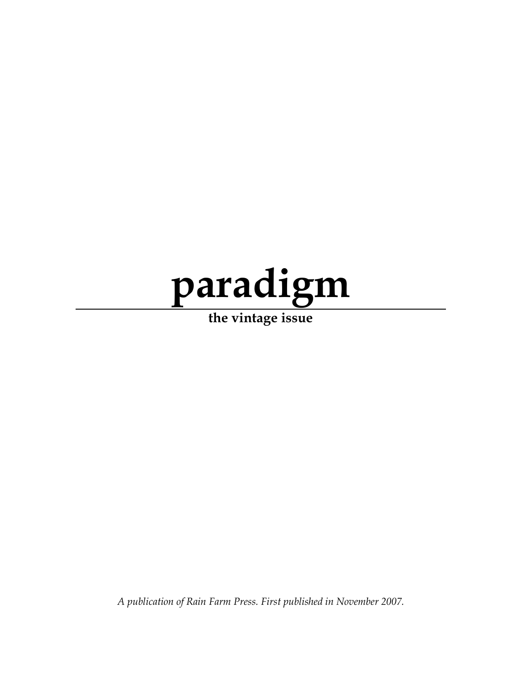

### the vintage issue

A publication of Rain Farm Press. First published in November 2007.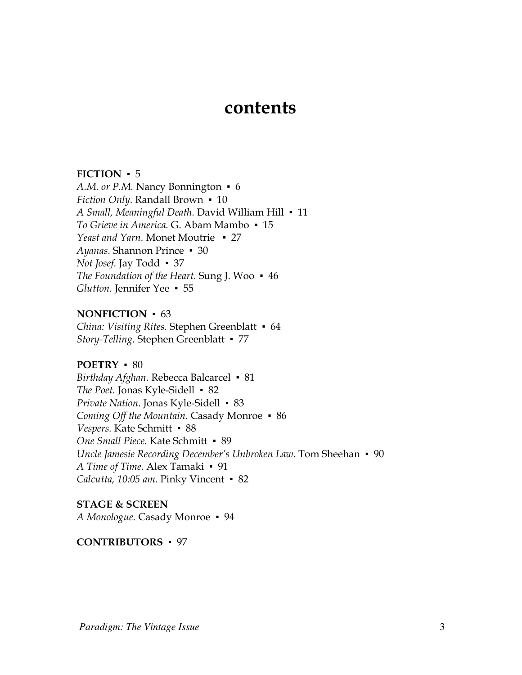## contents

#### FICTION • 5

A.M. or P.M. Nancy Bonnington • 6 Fiction Only. Randall Brown • 10 A Small, Meaningful Death. David William Hill ▪ 11 To Grieve in America. G. Abam Mambo ▪ 15 Yeast and Yarn. Monet Moutrie • 27 Ayanas. Shannon Prince • 30 Not Josef. Jay Todd • 37 The Foundation of the Heart. Sung J. Woo • 46 Glutton. Jennifer Yee • 55

#### NONFICTION • 63

China: Visiting Rites. Stephen Greenblatt • 64 Story-Telling. Stephen Greenblatt • 77

#### POETRY **• 80**

Birthday Afghan. Rebecca Balcarcel • 81 The Poet. Jonas Kyle-Sidell • 82 Private Nation. Jonas Kyle-Sidell • 83 Coming Off the Mountain. Casady Monroe ▪ 86 Vespers. Kate Schmitt • 88 One Small Piece. Kate Schmitt · 89 Uncle Jamesie Recording December's Unbroken Law. Tom Sheehan ▪ 90 A Time of Time. Alex Tamaki • 91 Calcutta, 10:05 am. Pinky Vincent • 82

#### STAGE & SCREEN

A Monologue. Casady Monroe • 94

#### CONTRIBUTORS ▪ 97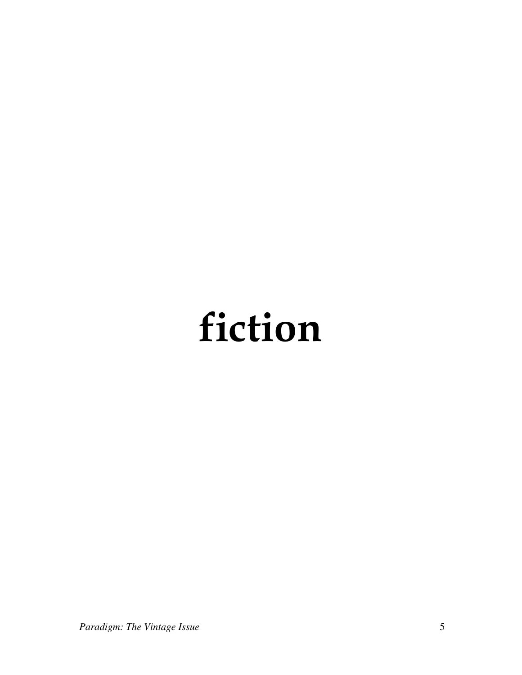# fiction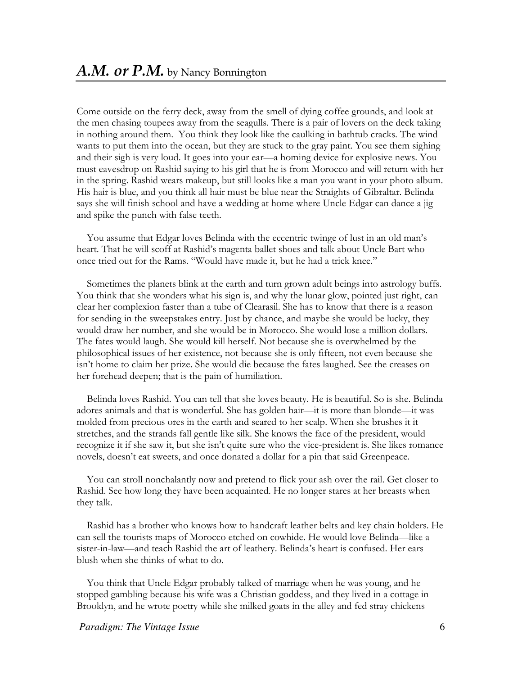Come outside on the ferry deck, away from the smell of dying coffee grounds, and look at the men chasing toupees away from the seagulls. There is a pair of lovers on the deck taking in nothing around them. You think they look like the caulking in bathtub cracks. The wind wants to put them into the ocean, but they are stuck to the gray paint. You see them sighing and their sigh is very loud. It goes into your ear—a homing device for explosive news. You must eavesdrop on Rashid saying to his girl that he is from Morocco and will return with her in the spring. Rashid wears makeup, but still looks like a man you want in your photo album. His hair is blue, and you think all hair must be blue near the Straights of Gibraltar. Belinda says she will finish school and have a wedding at home where Uncle Edgar can dance a jig and spike the punch with false teeth.

 You assume that Edgar loves Belinda with the eccentric twinge of lust in an old man's heart. That he will scoff at Rashid's magenta ballet shoes and talk about Uncle Bart who once tried out for the Rams. "Would have made it, but he had a trick knee."

 Sometimes the planets blink at the earth and turn grown adult beings into astrology buffs. You think that she wonders what his sign is, and why the lunar glow, pointed just right, can clear her complexion faster than a tube of Clearasil. She has to know that there is a reason for sending in the sweepstakes entry. Just by chance, and maybe she would be lucky, they would draw her number, and she would be in Morocco. She would lose a million dollars. The fates would laugh. She would kill herself. Not because she is overwhelmed by the philosophical issues of her existence, not because she is only fifteen, not even because she isn't home to claim her prize. She would die because the fates laughed. See the creases on her forehead deepen; that is the pain of humiliation.

 Belinda loves Rashid. You can tell that she loves beauty. He is beautiful. So is she. Belinda adores animals and that is wonderful. She has golden hair—it is more than blonde—it was molded from precious ores in the earth and seared to her scalp. When she brushes it it stretches, and the strands fall gentle like silk. She knows the face of the president, would recognize it if she saw it, but she isn't quite sure who the vice-president is. She likes romance novels, doesn't eat sweets, and once donated a dollar for a pin that said Greenpeace.

 You can stroll nonchalantly now and pretend to flick your ash over the rail. Get closer to Rashid. See how long they have been acquainted. He no longer stares at her breasts when they talk.

 Rashid has a brother who knows how to handcraft leather belts and key chain holders. He can sell the tourists maps of Morocco etched on cowhide. He would love Belinda—like a sister-in-law—and teach Rashid the art of leathery. Belinda's heart is confused. Her ears blush when she thinks of what to do.

 You think that Uncle Edgar probably talked of marriage when he was young, and he stopped gambling because his wife was a Christian goddess, and they lived in a cottage in Brooklyn, and he wrote poetry while she milked goats in the alley and fed stray chickens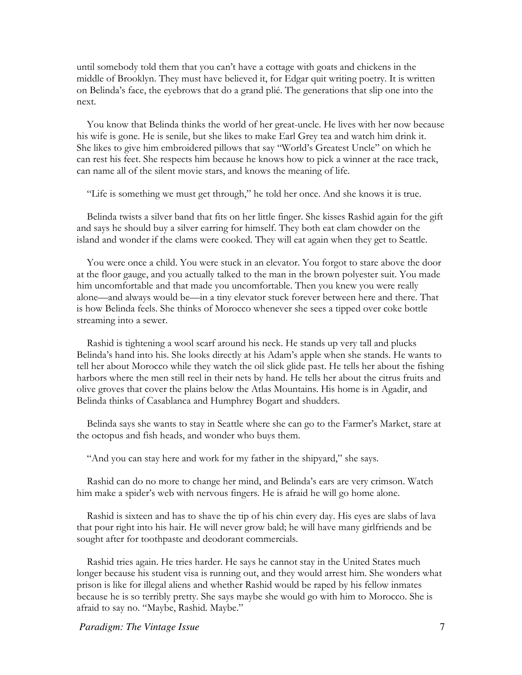until somebody told them that you can't have a cottage with goats and chickens in the middle of Brooklyn. They must have believed it, for Edgar quit writing poetry. It is written on Belinda's face, the eyebrows that do a grand plié. The generations that slip one into the next.

 You know that Belinda thinks the world of her great-uncle. He lives with her now because his wife is gone. He is senile, but she likes to make Earl Grey tea and watch him drink it. She likes to give him embroidered pillows that say "World's Greatest Uncle" on which he can rest his feet. She respects him because he knows how to pick a winner at the race track, can name all of the silent movie stars, and knows the meaning of life.

"Life is something we must get through," he told her once. And she knows it is true.

 Belinda twists a silver band that fits on her little finger. She kisses Rashid again for the gift and says he should buy a silver earring for himself. They both eat clam chowder on the island and wonder if the clams were cooked. They will eat again when they get to Seattle.

 You were once a child. You were stuck in an elevator. You forgot to stare above the door at the floor gauge, and you actually talked to the man in the brown polyester suit. You made him uncomfortable and that made you uncomfortable. Then you knew you were really alone—and always would be—in a tiny elevator stuck forever between here and there. That is how Belinda feels. She thinks of Morocco whenever she sees a tipped over coke bottle streaming into a sewer.

 Rashid is tightening a wool scarf around his neck. He stands up very tall and plucks Belinda's hand into his. She looks directly at his Adam's apple when she stands. He wants to tell her about Morocco while they watch the oil slick glide past. He tells her about the fishing harbors where the men still reel in their nets by hand. He tells her about the citrus fruits and olive groves that cover the plains below the Atlas Mountains. His home is in Agadir, and Belinda thinks of Casablanca and Humphrey Bogart and shudders.

 Belinda says she wants to stay in Seattle where she can go to the Farmer's Market, stare at the octopus and fish heads, and wonder who buys them.

"And you can stay here and work for my father in the shipyard," she says.

 Rashid can do no more to change her mind, and Belinda's ears are very crimson. Watch him make a spider's web with nervous fingers. He is afraid he will go home alone.

 Rashid is sixteen and has to shave the tip of his chin every day. His eyes are slabs of lava that pour right into his hair. He will never grow bald; he will have many girlfriends and be sought after for toothpaste and deodorant commercials.

 Rashid tries again. He tries harder. He says he cannot stay in the United States much longer because his student visa is running out, and they would arrest him. She wonders what prison is like for illegal aliens and whether Rashid would be raped by his fellow inmates because he is so terribly pretty. She says maybe she would go with him to Morocco. She is afraid to say no. "Maybe, Rashid. Maybe."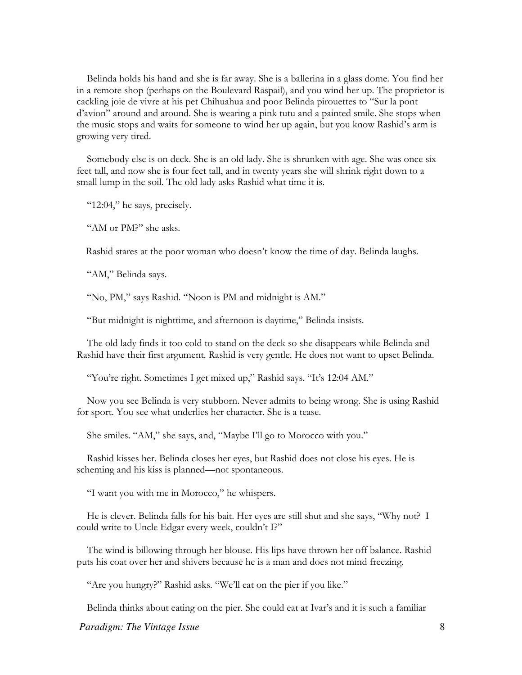Belinda holds his hand and she is far away. She is a ballerina in a glass dome. You find her in a remote shop (perhaps on the Boulevard Raspail), and you wind her up. The proprietor is cackling joie de vivre at his pet Chihuahua and poor Belinda pirouettes to "Sur la pont d'avion" around and around. She is wearing a pink tutu and a painted smile. She stops when the music stops and waits for someone to wind her up again, but you know Rashid's arm is growing very tired.

 Somebody else is on deck. She is an old lady. She is shrunken with age. She was once six feet tall, and now she is four feet tall, and in twenty years she will shrink right down to a small lump in the soil. The old lady asks Rashid what time it is.

"12:04," he says, precisely.

"AM or PM?" she asks.

Rashid stares at the poor woman who doesn't know the time of day. Belinda laughs.

"AM," Belinda says.

"No, PM," says Rashid. "Noon is PM and midnight is AM."

"But midnight is nighttime, and afternoon is daytime," Belinda insists.

 The old lady finds it too cold to stand on the deck so she disappears while Belinda and Rashid have their first argument. Rashid is very gentle. He does not want to upset Belinda.

"You're right. Sometimes I get mixed up," Rashid says. "It's 12:04 AM."

 Now you see Belinda is very stubborn. Never admits to being wrong. She is using Rashid for sport. You see what underlies her character. She is a tease.

She smiles. "AM," she says, and, "Maybe I'll go to Morocco with you."

 Rashid kisses her. Belinda closes her eyes, but Rashid does not close his eyes. He is scheming and his kiss is planned—not spontaneous.

"I want you with me in Morocco," he whispers.

 He is clever. Belinda falls for his bait. Her eyes are still shut and she says, "Why not? I could write to Uncle Edgar every week, couldn't I?"

 The wind is billowing through her blouse. His lips have thrown her off balance. Rashid puts his coat over her and shivers because he is a man and does not mind freezing.

"Are you hungry?" Rashid asks. "We'll eat on the pier if you like."

Belinda thinks about eating on the pier. She could eat at Ivar's and it is such a familiar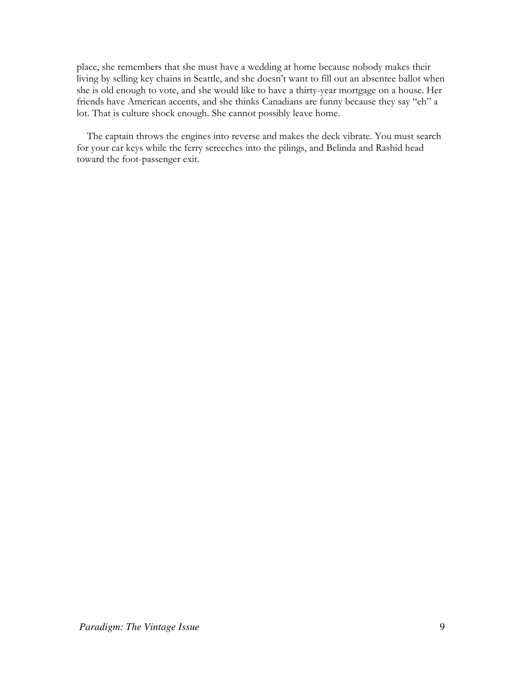place, she remembers that she must have a wedding at home because nobody makes their living by selling key chains in Seattle, and she doesn't want to fill out an absentee ballot when she is old enough to vote, and she would like to have a thirty-year mortgage on a house. Her friends have American accents, and she thinks Canadians are funny because they say "eh" a lot. That is culture shock enough. She cannot possibly leave home.

 The captain throws the engines into reverse and makes the deck vibrate. You must search for your car keys while the ferry screeches into the pilings, and Belinda and Rashid head toward the foot-passenger exit.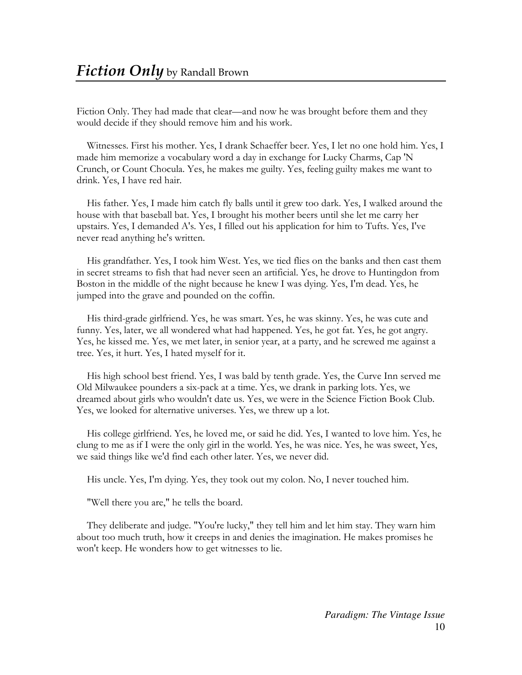Fiction Only. They had made that clear—and now he was brought before them and they would decide if they should remove him and his work.

 Witnesses. First his mother. Yes, I drank Schaeffer beer. Yes, I let no one hold him. Yes, I made him memorize a vocabulary word a day in exchange for Lucky Charms, Cap 'N Crunch, or Count Chocula. Yes, he makes me guilty. Yes, feeling guilty makes me want to drink. Yes, I have red hair.

 His father. Yes, I made him catch fly balls until it grew too dark. Yes, I walked around the house with that baseball bat. Yes, I brought his mother beers until she let me carry her upstairs. Yes, I demanded A's. Yes, I filled out his application for him to Tufts. Yes, I've never read anything he's written.

 His grandfather. Yes, I took him West. Yes, we tied flies on the banks and then cast them in secret streams to fish that had never seen an artificial. Yes, he drove to Huntingdon from Boston in the middle of the night because he knew I was dying. Yes, I'm dead. Yes, he jumped into the grave and pounded on the coffin.

 His third-grade girlfriend. Yes, he was smart. Yes, he was skinny. Yes, he was cute and funny. Yes, later, we all wondered what had happened. Yes, he got fat. Yes, he got angry. Yes, he kissed me. Yes, we met later, in senior year, at a party, and he screwed me against a tree. Yes, it hurt. Yes, I hated myself for it.

 His high school best friend. Yes, I was bald by tenth grade. Yes, the Curve Inn served me Old Milwaukee pounders a six-pack at a time. Yes, we drank in parking lots. Yes, we dreamed about girls who wouldn't date us. Yes, we were in the Science Fiction Book Club. Yes, we looked for alternative universes. Yes, we threw up a lot.

 His college girlfriend. Yes, he loved me, or said he did. Yes, I wanted to love him. Yes, he clung to me as if I were the only girl in the world. Yes, he was nice. Yes, he was sweet, Yes, we said things like we'd find each other later. Yes, we never did.

His uncle. Yes, I'm dying. Yes, they took out my colon. No, I never touched him.

"Well there you are," he tells the board.

 They deliberate and judge. "You're lucky," they tell him and let him stay. They warn him about too much truth, how it creeps in and denies the imagination. He makes promises he won't keep. He wonders how to get witnesses to lie.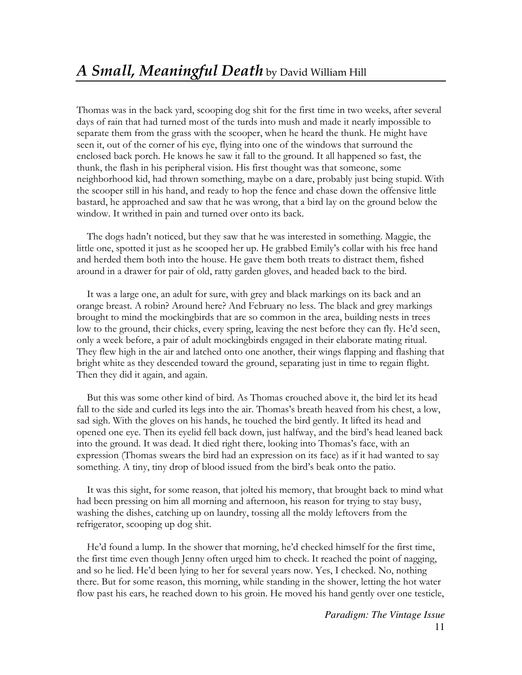Thomas was in the back yard, scooping dog shit for the first time in two weeks, after several days of rain that had turned most of the turds into mush and made it nearly impossible to separate them from the grass with the scooper, when he heard the thunk. He might have seen it, out of the corner of his eye, flying into one of the windows that surround the enclosed back porch. He knows he saw it fall to the ground. It all happened so fast, the thunk, the flash in his peripheral vision. His first thought was that someone, some neighborhood kid, had thrown something, maybe on a dare, probably just being stupid. With the scooper still in his hand, and ready to hop the fence and chase down the offensive little bastard, he approached and saw that he was wrong, that a bird lay on the ground below the window. It writhed in pain and turned over onto its back.

 The dogs hadn't noticed, but they saw that he was interested in something. Maggie, the little one, spotted it just as he scooped her up. He grabbed Emily's collar with his free hand and herded them both into the house. He gave them both treats to distract them, fished around in a drawer for pair of old, ratty garden gloves, and headed back to the bird.

 It was a large one, an adult for sure, with grey and black markings on its back and an orange breast. A robin? Around here? And February no less. The black and grey markings brought to mind the mockingbirds that are so common in the area, building nests in trees low to the ground, their chicks, every spring, leaving the nest before they can fly. He'd seen, only a week before, a pair of adult mockingbirds engaged in their elaborate mating ritual. They flew high in the air and latched onto one another, their wings flapping and flashing that bright white as they descended toward the ground, separating just in time to regain flight. Then they did it again, and again.

 But this was some other kind of bird. As Thomas crouched above it, the bird let its head fall to the side and curled its legs into the air. Thomas's breath heaved from his chest, a low, sad sigh. With the gloves on his hands, he touched the bird gently. It lifted its head and opened one eye. Then its eyelid fell back down, just halfway, and the bird's head leaned back into the ground. It was dead. It died right there, looking into Thomas's face, with an expression (Thomas swears the bird had an expression on its face) as if it had wanted to say something. A tiny, tiny drop of blood issued from the bird's beak onto the patio.

 It was this sight, for some reason, that jolted his memory, that brought back to mind what had been pressing on him all morning and afternoon, his reason for trying to stay busy, washing the dishes, catching up on laundry, tossing all the moldy leftovers from the refrigerator, scooping up dog shit.

 He'd found a lump. In the shower that morning, he'd checked himself for the first time, the first time even though Jenny often urged him to check. It reached the point of nagging, and so he lied. He'd been lying to her for several years now. Yes, I checked. No, nothing there. But for some reason, this morning, while standing in the shower, letting the hot water flow past his ears, he reached down to his groin. He moved his hand gently over one testicle,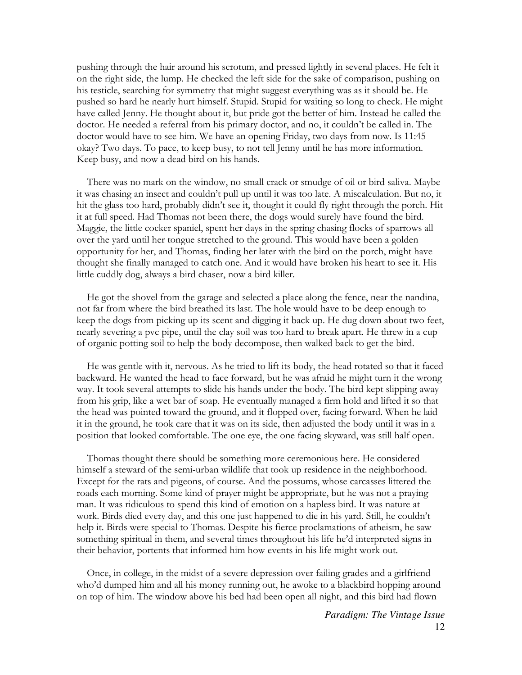pushing through the hair around his scrotum, and pressed lightly in several places. He felt it on the right side, the lump. He checked the left side for the sake of comparison, pushing on his testicle, searching for symmetry that might suggest everything was as it should be. He pushed so hard he nearly hurt himself. Stupid. Stupid for waiting so long to check. He might have called Jenny. He thought about it, but pride got the better of him. Instead he called the doctor. He needed a referral from his primary doctor, and no, it couldn't be called in. The doctor would have to see him. We have an opening Friday, two days from now. Is 11:45 okay? Two days. To pace, to keep busy, to not tell Jenny until he has more information. Keep busy, and now a dead bird on his hands.

 There was no mark on the window, no small crack or smudge of oil or bird saliva. Maybe it was chasing an insect and couldn't pull up until it was too late. A miscalculation. But no, it hit the glass too hard, probably didn't see it, thought it could fly right through the porch. Hit it at full speed. Had Thomas not been there, the dogs would surely have found the bird. Maggie, the little cocker spaniel, spent her days in the spring chasing flocks of sparrows all over the yard until her tongue stretched to the ground. This would have been a golden opportunity for her, and Thomas, finding her later with the bird on the porch, might have thought she finally managed to catch one. And it would have broken his heart to see it. His little cuddly dog, always a bird chaser, now a bird killer.

 He got the shovel from the garage and selected a place along the fence, near the nandina, not far from where the bird breathed its last. The hole would have to be deep enough to keep the dogs from picking up its scent and digging it back up. He dug down about two feet, nearly severing a pvc pipe, until the clay soil was too hard to break apart. He threw in a cup of organic potting soil to help the body decompose, then walked back to get the bird.

 He was gentle with it, nervous. As he tried to lift its body, the head rotated so that it faced backward. He wanted the head to face forward, but he was afraid he might turn it the wrong way. It took several attempts to slide his hands under the body. The bird kept slipping away from his grip, like a wet bar of soap. He eventually managed a firm hold and lifted it so that the head was pointed toward the ground, and it flopped over, facing forward. When he laid it in the ground, he took care that it was on its side, then adjusted the body until it was in a position that looked comfortable. The one eye, the one facing skyward, was still half open.

 Thomas thought there should be something more ceremonious here. He considered himself a steward of the semi-urban wildlife that took up residence in the neighborhood. Except for the rats and pigeons, of course. And the possums, whose carcasses littered the roads each morning. Some kind of prayer might be appropriate, but he was not a praying man. It was ridiculous to spend this kind of emotion on a hapless bird. It was nature at work. Birds died every day, and this one just happened to die in his yard. Still, he couldn't help it. Birds were special to Thomas. Despite his fierce proclamations of atheism, he saw something spiritual in them, and several times throughout his life he'd interpreted signs in their behavior, portents that informed him how events in his life might work out.

 Once, in college, in the midst of a severe depression over failing grades and a girlfriend who'd dumped him and all his money running out, he awoke to a blackbird hopping around on top of him. The window above his bed had been open all night, and this bird had flown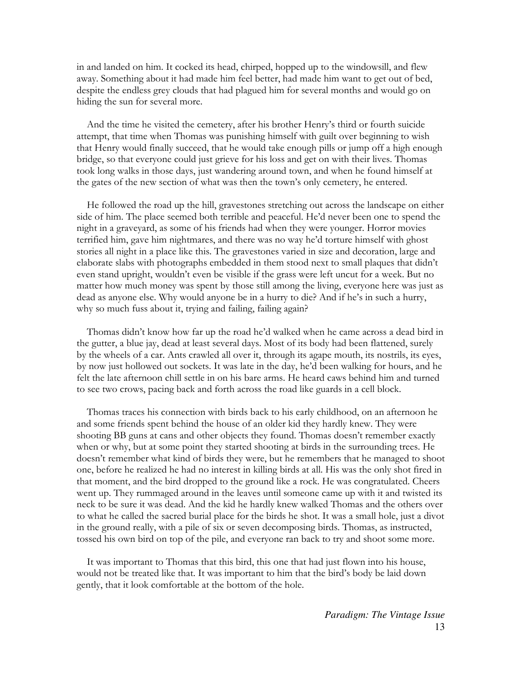in and landed on him. It cocked its head, chirped, hopped up to the windowsill, and flew away. Something about it had made him feel better, had made him want to get out of bed, despite the endless grey clouds that had plagued him for several months and would go on hiding the sun for several more.

 And the time he visited the cemetery, after his brother Henry's third or fourth suicide attempt, that time when Thomas was punishing himself with guilt over beginning to wish that Henry would finally succeed, that he would take enough pills or jump off a high enough bridge, so that everyone could just grieve for his loss and get on with their lives. Thomas took long walks in those days, just wandering around town, and when he found himself at the gates of the new section of what was then the town's only cemetery, he entered.

 He followed the road up the hill, gravestones stretching out across the landscape on either side of him. The place seemed both terrible and peaceful. He'd never been one to spend the night in a graveyard, as some of his friends had when they were younger. Horror movies terrified him, gave him nightmares, and there was no way he'd torture himself with ghost stories all night in a place like this. The gravestones varied in size and decoration, large and elaborate slabs with photographs embedded in them stood next to small plaques that didn't even stand upright, wouldn't even be visible if the grass were left uncut for a week. But no matter how much money was spent by those still among the living, everyone here was just as dead as anyone else. Why would anyone be in a hurry to die? And if he's in such a hurry, why so much fuss about it, trying and failing, failing again?

 Thomas didn't know how far up the road he'd walked when he came across a dead bird in the gutter, a blue jay, dead at least several days. Most of its body had been flattened, surely by the wheels of a car. Ants crawled all over it, through its agape mouth, its nostrils, its eyes, by now just hollowed out sockets. It was late in the day, he'd been walking for hours, and he felt the late afternoon chill settle in on his bare arms. He heard caws behind him and turned to see two crows, pacing back and forth across the road like guards in a cell block.

 Thomas traces his connection with birds back to his early childhood, on an afternoon he and some friends spent behind the house of an older kid they hardly knew. They were shooting BB guns at cans and other objects they found. Thomas doesn't remember exactly when or why, but at some point they started shooting at birds in the surrounding trees. He doesn't remember what kind of birds they were, but he remembers that he managed to shoot one, before he realized he had no interest in killing birds at all. His was the only shot fired in that moment, and the bird dropped to the ground like a rock. He was congratulated. Cheers went up. They rummaged around in the leaves until someone came up with it and twisted its neck to be sure it was dead. And the kid he hardly knew walked Thomas and the others over to what he called the sacred burial place for the birds he shot. It was a small hole, just a divot in the ground really, with a pile of six or seven decomposing birds. Thomas, as instructed, tossed his own bird on top of the pile, and everyone ran back to try and shoot some more.

 It was important to Thomas that this bird, this one that had just flown into his house, would not be treated like that. It was important to him that the bird's body be laid down gently, that it look comfortable at the bottom of the hole.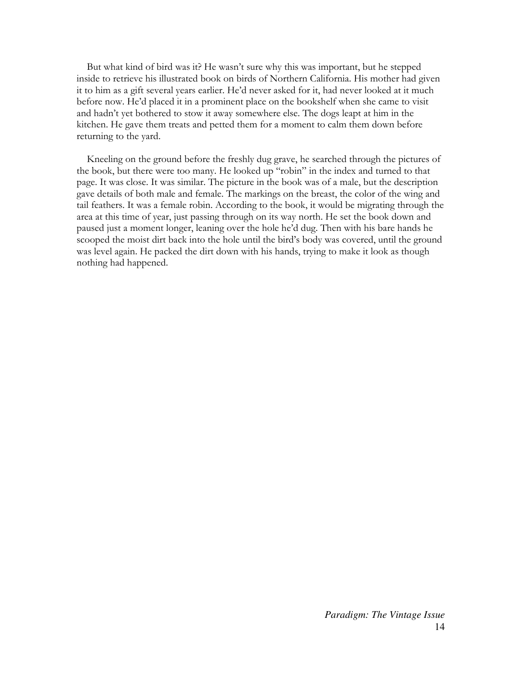But what kind of bird was it? He wasn't sure why this was important, but he stepped inside to retrieve his illustrated book on birds of Northern California. His mother had given it to him as a gift several years earlier. He'd never asked for it, had never looked at it much before now. He'd placed it in a prominent place on the bookshelf when she came to visit and hadn't yet bothered to stow it away somewhere else. The dogs leapt at him in the kitchen. He gave them treats and petted them for a moment to calm them down before returning to the yard.

 Kneeling on the ground before the freshly dug grave, he searched through the pictures of the book, but there were too many. He looked up "robin" in the index and turned to that page. It was close. It was similar. The picture in the book was of a male, but the description gave details of both male and female. The markings on the breast, the color of the wing and tail feathers. It was a female robin. According to the book, it would be migrating through the area at this time of year, just passing through on its way north. He set the book down and paused just a moment longer, leaning over the hole he'd dug. Then with his bare hands he scooped the moist dirt back into the hole until the bird's body was covered, until the ground was level again. He packed the dirt down with his hands, trying to make it look as though nothing had happened.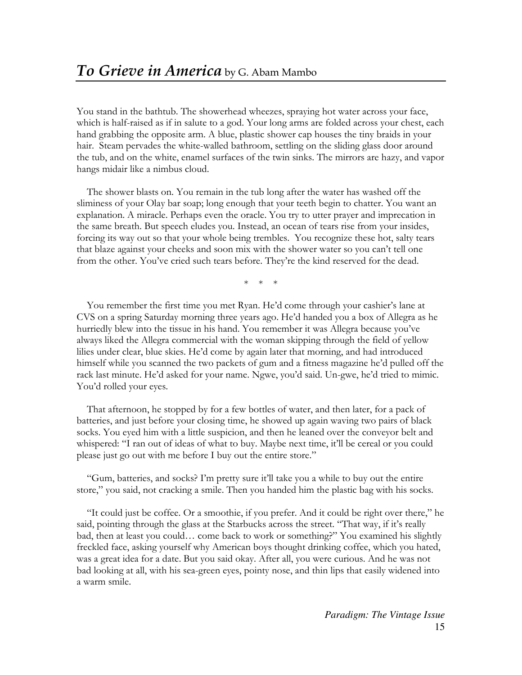You stand in the bathtub. The showerhead wheezes, spraying hot water across your face, which is half-raised as if in salute to a god. Your long arms are folded across your chest, each hand grabbing the opposite arm. A blue, plastic shower cap houses the tiny braids in your hair. Steam pervades the white-walled bathroom, settling on the sliding glass door around the tub, and on the white, enamel surfaces of the twin sinks. The mirrors are hazy, and vapor hangs midair like a nimbus cloud.

 The shower blasts on. You remain in the tub long after the water has washed off the sliminess of your Olay bar soap; long enough that your teeth begin to chatter. You want an explanation. A miracle. Perhaps even the oracle. You try to utter prayer and imprecation in the same breath. But speech eludes you. Instead, an ocean of tears rise from your insides, forcing its way out so that your whole being trembles. You recognize these hot, salty tears that blaze against your cheeks and soon mix with the shower water so you can't tell one from the other. You've cried such tears before. They're the kind reserved for the dead.

\* \* \*

 You remember the first time you met Ryan. He'd come through your cashier's lane at CVS on a spring Saturday morning three years ago. He'd handed you a box of Allegra as he hurriedly blew into the tissue in his hand. You remember it was Allegra because you've always liked the Allegra commercial with the woman skipping through the field of yellow lilies under clear, blue skies. He'd come by again later that morning, and had introduced himself while you scanned the two packets of gum and a fitness magazine he'd pulled off the rack last minute. He'd asked for your name. Ngwe, you'd said. Un-gwe, he'd tried to mimic. You'd rolled your eyes.

 That afternoon, he stopped by for a few bottles of water, and then later, for a pack of batteries, and just before your closing time, he showed up again waving two pairs of black socks. You eyed him with a little suspicion, and then he leaned over the conveyor belt and whispered: "I ran out of ideas of what to buy. Maybe next time, it'll be cereal or you could please just go out with me before I buy out the entire store."

 "Gum, batteries, and socks? I'm pretty sure it'll take you a while to buy out the entire store," you said, not cracking a smile. Then you handed him the plastic bag with his socks.

 "It could just be coffee. Or a smoothie, if you prefer. And it could be right over there," he said, pointing through the glass at the Starbucks across the street. "That way, if it's really bad, then at least you could… come back to work or something?" You examined his slightly freckled face, asking yourself why American boys thought drinking coffee, which you hated, was a great idea for a date. But you said okay. After all, you were curious. And he was not bad looking at all, with his sea-green eyes, pointy nose, and thin lips that easily widened into a warm smile.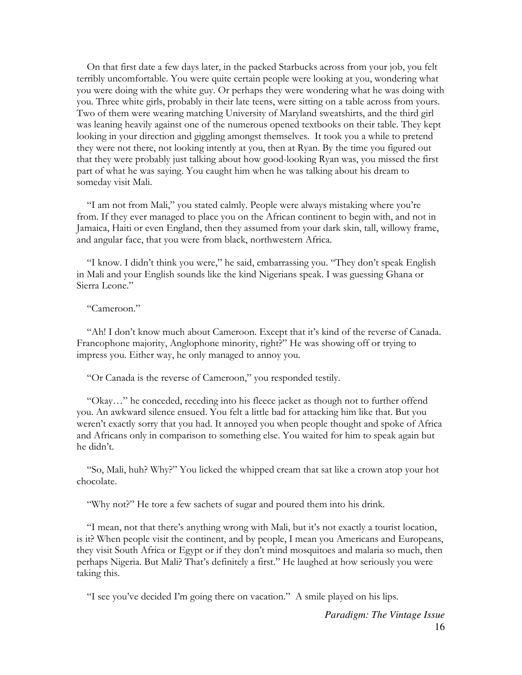On that first date a few days later, in the packed Starbucks across from your job, you felt terribly uncomfortable. You were quite certain people were looking at you, wondering what you were doing with the white guy. Or perhaps they were wondering what he was doing with you. Three white girls, probably in their late teens, were sitting on a table across from yours. Two of them were wearing matching University of Maryland sweatshirts, and the third girl was leaning heavily against one of the numerous opened textbooks on their table. They kept looking in your direction and giggling amongst themselves. It took you a while to pretend they were not there, not looking intently at you, then at Ryan. By the time you figured out that they were probably just talking about how good-looking Ryan was, you missed the first part of what he was saying. You caught him when he was talking about his dream to someday visit Mali.

 "I am not from Mali," you stated calmly. People were always mistaking where you're from. If they ever managed to place you on the African continent to begin with, and not in Jamaica, Haiti or even England, then they assumed from your dark skin, tall, willowy frame, and angular face, that you were from black, northwestern Africa.

 "I know. I didn't think you were," he said, embarrassing you. "They don't speak English in Mali and your English sounds like the kind Nigerians speak. I was guessing Ghana or Sierra Leone."

#### "Cameroon."

 "Ah! I don't know much about Cameroon. Except that it's kind of the reverse of Canada. Francophone majority, Anglophone minority, right?" He was showing off or trying to impress you. Either way, he only managed to annoy you.

"Or Canada is the reverse of Cameroon," you responded testily.

 "Okay…" he conceded, receding into his fleece jacket as though not to further offend you. An awkward silence ensued. You felt a little bad for attacking him like that. But you weren't exactly sorry that you had. It annoyed you when people thought and spoke of Africa and Africans only in comparison to something else. You waited for him to speak again but he didn't.

 "So, Mali, huh? Why?" You licked the whipped cream that sat like a crown atop your hot chocolate.

"Why not?" He tore a few sachets of sugar and poured them into his drink.

 "I mean, not that there's anything wrong with Mali, but it's not exactly a tourist location, is it? When people visit the continent, and by people, I mean you Americans and Europeans, they visit South Africa or Egypt or if they don't mind mosquitoes and malaria so much, then perhaps Nigeria. But Mali? That's definitely a first." He laughed at how seriously you were taking this.

"I see you've decided I'm going there on vacation." A smile played on his lips.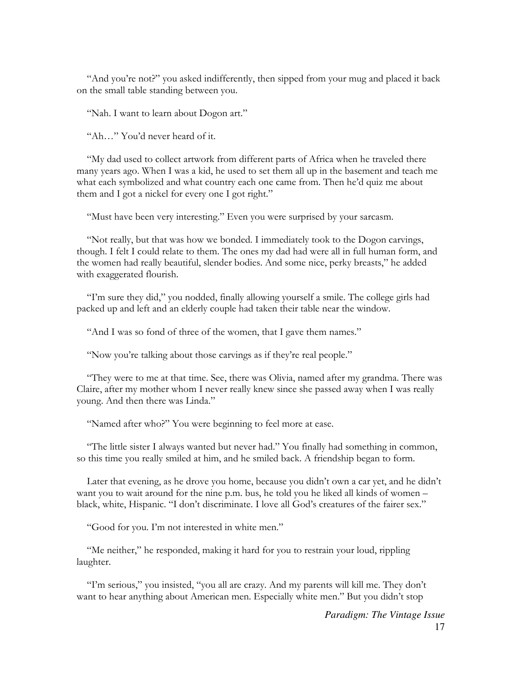"And you're not?" you asked indifferently, then sipped from your mug and placed it back on the small table standing between you.

"Nah. I want to learn about Dogon art."

"Ah…" You'd never heard of it.

 "My dad used to collect artwork from different parts of Africa when he traveled there many years ago. When I was a kid, he used to set them all up in the basement and teach me what each symbolized and what country each one came from. Then he'd quiz me about them and I got a nickel for every one I got right."

"Must have been very interesting." Even you were surprised by your sarcasm.

 "Not really, but that was how we bonded. I immediately took to the Dogon carvings, though. I felt I could relate to them. The ones my dad had were all in full human form, and the women had really beautiful, slender bodies. And some nice, perky breasts," he added with exaggerated flourish.

 "I'm sure they did," you nodded, finally allowing yourself a smile. The college girls had packed up and left and an elderly couple had taken their table near the window.

"And I was so fond of three of the women, that I gave them names."

"Now you're talking about those carvings as if they're real people."

 "They were to me at that time. See, there was Olivia, named after my grandma. There was Claire, after my mother whom I never really knew since she passed away when I was really young. And then there was Linda."

"Named after who?" You were beginning to feel more at ease.

 "The little sister I always wanted but never had." You finally had something in common, so this time you really smiled at him, and he smiled back. A friendship began to form.

 Later that evening, as he drove you home, because you didn't own a car yet, and he didn't want you to wait around for the nine p.m. bus, he told you he liked all kinds of women – black, white, Hispanic. "I don't discriminate. I love all God's creatures of the fairer sex."

"Good for you. I'm not interested in white men."

 "Me neither," he responded, making it hard for you to restrain your loud, rippling laughter.

 "I'm serious," you insisted, "you all are crazy. And my parents will kill me. They don't want to hear anything about American men. Especially white men." But you didn't stop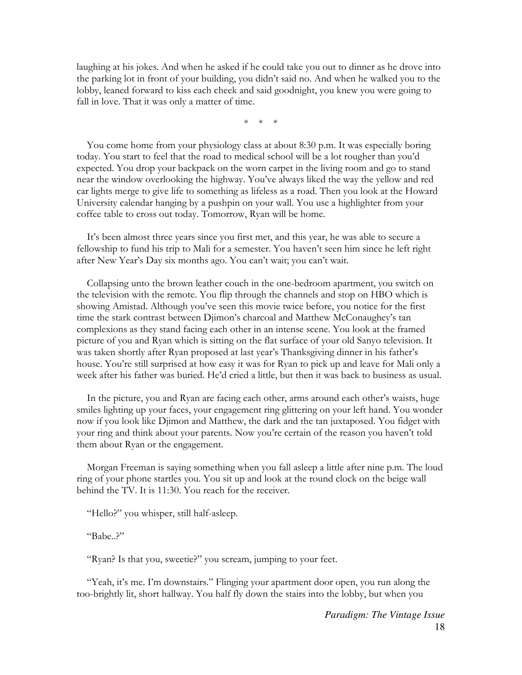laughing at his jokes. And when he asked if he could take you out to dinner as he drove into the parking lot in front of your building, you didn't said no. And when he walked you to the lobby, leaned forward to kiss each cheek and said goodnight, you knew you were going to fall in love. That it was only a matter of time.

\* \* \*

 You come home from your physiology class at about 8:30 p.m. It was especially boring today. You start to feel that the road to medical school will be a lot rougher than you'd expected. You drop your backpack on the worn carpet in the living room and go to stand near the window overlooking the highway. You've always liked the way the yellow and red car lights merge to give life to something as lifeless as a road. Then you look at the Howard University calendar hanging by a pushpin on your wall. You use a highlighter from your coffee table to cross out today. Tomorrow, Ryan will be home.

 It's been almost three years since you first met, and this year, he was able to secure a fellowship to fund his trip to Mali for a semester. You haven't seen him since he left right after New Year's Day six months ago. You can't wait; you can't wait.

 Collapsing unto the brown leather couch in the one-bedroom apartment, you switch on the television with the remote. You flip through the channels and stop on HBO which is showing Amistad. Although you've seen this movie twice before, you notice for the first time the stark contrast between Djimon's charcoal and Matthew McConaughey's tan complexions as they stand facing each other in an intense scene. You look at the framed picture of you and Ryan which is sitting on the flat surface of your old Sanyo television. It was taken shortly after Ryan proposed at last year's Thanksgiving dinner in his father's house. You're still surprised at how easy it was for Ryan to pick up and leave for Mali only a week after his father was buried. He'd cried a little, but then it was back to business as usual.

 In the picture, you and Ryan are facing each other, arms around each other's waists, huge smiles lighting up your faces, your engagement ring glittering on your left hand. You wonder now if you look like Djimon and Matthew, the dark and the tan juxtaposed. You fidget with your ring and think about your parents. Now you're certain of the reason you haven't told them about Ryan or the engagement.

 Morgan Freeman is saying something when you fall asleep a little after nine p.m. The loud ring of your phone startles you. You sit up and look at the round clock on the beige wall behind the TV. It is 11:30. You reach for the receiver.

"Hello?" you whisper, still half-asleep.

"Babe..?"

"Ryan? Is that you, sweetie?" you scream, jumping to your feet.

 "Yeah, it's me. I'm downstairs." Flinging your apartment door open, you run along the too-brightly lit, short hallway. You half fly down the stairs into the lobby, but when you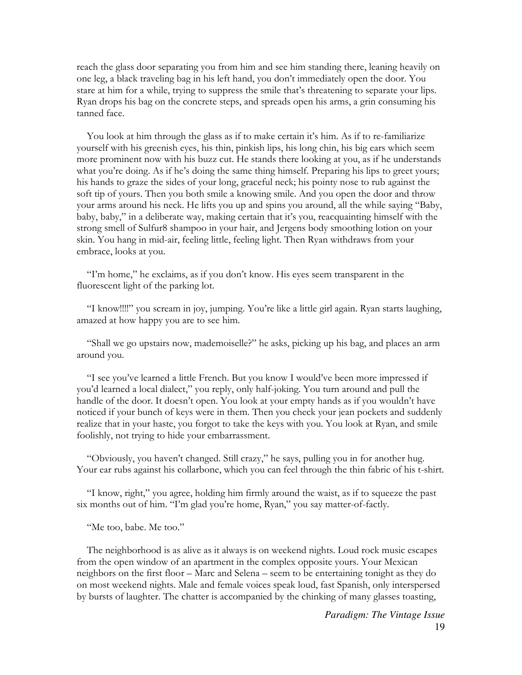reach the glass door separating you from him and see him standing there, leaning heavily on one leg, a black traveling bag in his left hand, you don't immediately open the door. You stare at him for a while, trying to suppress the smile that's threatening to separate your lips. Ryan drops his bag on the concrete steps, and spreads open his arms, a grin consuming his tanned face.

 You look at him through the glass as if to make certain it's him. As if to re-familiarize yourself with his greenish eyes, his thin, pinkish lips, his long chin, his big ears which seem more prominent now with his buzz cut. He stands there looking at you, as if he understands what you're doing. As if he's doing the same thing himself. Preparing his lips to greet yours; his hands to graze the sides of your long, graceful neck; his pointy nose to rub against the soft tip of yours. Then you both smile a knowing smile. And you open the door and throw your arms around his neck. He lifts you up and spins you around, all the while saying "Baby, baby, baby," in a deliberate way, making certain that it's you, reacquainting himself with the strong smell of Sulfur8 shampoo in your hair, and Jergens body smoothing lotion on your skin. You hang in mid-air, feeling little, feeling light. Then Ryan withdraws from your embrace, looks at you.

 "I'm home," he exclaims, as if you don't know. His eyes seem transparent in the fluorescent light of the parking lot.

 "I know!!!!" you scream in joy, jumping. You're like a little girl again. Ryan starts laughing, amazed at how happy you are to see him.

 "Shall we go upstairs now, mademoiselle?" he asks, picking up his bag, and places an arm around you.

 "I see you've learned a little French. But you know I would've been more impressed if you'd learned a local dialect," you reply, only half-joking. You turn around and pull the handle of the door. It doesn't open. You look at your empty hands as if you wouldn't have noticed if your bunch of keys were in them. Then you check your jean pockets and suddenly realize that in your haste, you forgot to take the keys with you. You look at Ryan, and smile foolishly, not trying to hide your embarrassment.

 "Obviously, you haven't changed. Still crazy," he says, pulling you in for another hug. Your ear rubs against his collarbone, which you can feel through the thin fabric of his t-shirt.

 "I know, right," you agree, holding him firmly around the waist, as if to squeeze the past six months out of him. "I'm glad you're home, Ryan," you say matter-of-factly.

"Me too, babe. Me too."

 The neighborhood is as alive as it always is on weekend nights. Loud rock music escapes from the open window of an apartment in the complex opposite yours. Your Mexican neighbors on the first floor – Marc and Selena – seem to be entertaining tonight as they do on most weekend nights. Male and female voices speak loud, fast Spanish, only interspersed by bursts of laughter. The chatter is accompanied by the chinking of many glasses toasting,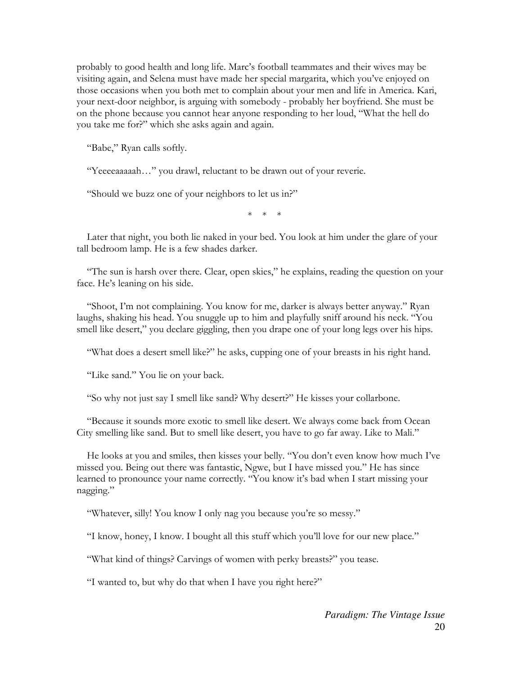probably to good health and long life. Marc's football teammates and their wives may be visiting again, and Selena must have made her special margarita, which you've enjoyed on those occasions when you both met to complain about your men and life in America. Kari, your next-door neighbor, is arguing with somebody - probably her boyfriend. She must be on the phone because you cannot hear anyone responding to her loud, "What the hell do you take me for?" which she asks again and again.

"Babe," Ryan calls softly.

"Yeeeeaaaaah…" you drawl, reluctant to be drawn out of your reverie.

"Should we buzz one of your neighbors to let us in?"

\* \* \*

 Later that night, you both lie naked in your bed. You look at him under the glare of your tall bedroom lamp. He is a few shades darker.

 "The sun is harsh over there. Clear, open skies," he explains, reading the question on your face. He's leaning on his side.

 "Shoot, I'm not complaining. You know for me, darker is always better anyway." Ryan laughs, shaking his head. You snuggle up to him and playfully sniff around his neck. "You smell like desert," you declare giggling, then you drape one of your long legs over his hips.

"What does a desert smell like?" he asks, cupping one of your breasts in his right hand.

"Like sand." You lie on your back.

"So why not just say I smell like sand? Why desert?" He kisses your collarbone.

 "Because it sounds more exotic to smell like desert. We always come back from Ocean City smelling like sand. But to smell like desert, you have to go far away. Like to Mali."

 He looks at you and smiles, then kisses your belly. "You don't even know how much I've missed you. Being out there was fantastic, Ngwe, but I have missed you." He has since learned to pronounce your name correctly. "You know it's bad when I start missing your nagging."

"Whatever, silly! You know I only nag you because you're so messy."

"I know, honey, I know. I bought all this stuff which you'll love for our new place."

"What kind of things? Carvings of women with perky breasts?" you tease.

"I wanted to, but why do that when I have you right here?"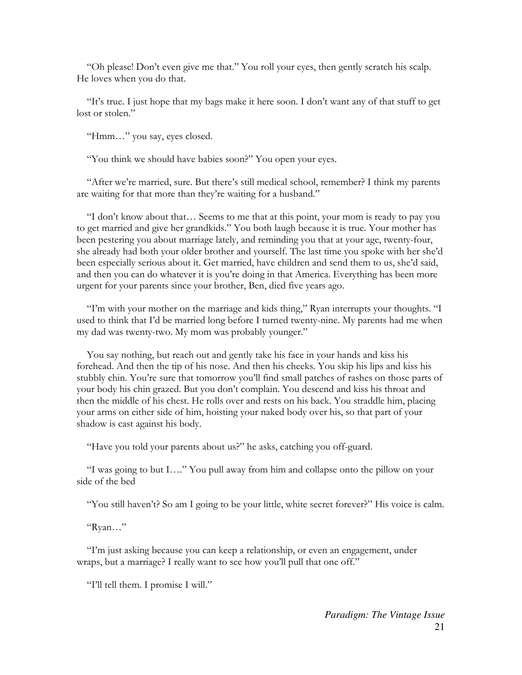"Oh please! Don't even give me that." You roll your eyes, then gently scratch his scalp. He loves when you do that.

 "It's true. I just hope that my bags make it here soon. I don't want any of that stuff to get lost or stolen."

"Hmm…" you say, eyes closed.

"You think we should have babies soon?" You open your eyes.

 "After we're married, sure. But there's still medical school, remember? I think my parents are waiting for that more than they're waiting for a husband."

 "I don't know about that… Seems to me that at this point, your mom is ready to pay you to get married and give her grandkids." You both laugh because it is true. Your mother has been pestering you about marriage lately, and reminding you that at your age, twenty-four, she already had both your older brother and yourself. The last time you spoke with her she'd been especially serious about it. Get married, have children and send them to us, she'd said, and then you can do whatever it is you're doing in that America. Everything has been more urgent for your parents since your brother, Ben, died five years ago.

 "I'm with your mother on the marriage and kids thing," Ryan interrupts your thoughts. "I used to think that I'd be married long before I turned twenty-nine. My parents had me when my dad was twenty-two. My mom was probably younger."

 You say nothing, but reach out and gently take his face in your hands and kiss his forehead. And then the tip of his nose. And then his cheeks. You skip his lips and kiss his stubbly chin. You're sure that tomorrow you'll find small patches of rashes on those parts of your body his chin grazed. But you don't complain. You descend and kiss his throat and then the middle of his chest. He rolls over and rests on his back. You straddle him, placing your arms on either side of him, hoisting your naked body over his, so that part of your shadow is cast against his body.

"Have you told your parents about us?" he asks, catching you off-guard.

 "I was going to but I…." You pull away from him and collapse onto the pillow on your side of the bed

"You still haven't? So am I going to be your little, white secret forever?" His voice is calm.

"Ryan…"

 "I'm just asking because you can keep a relationship, or even an engagement, under wraps, but a marriage? I really want to see how you'll pull that one off."

"I'll tell them. I promise I will."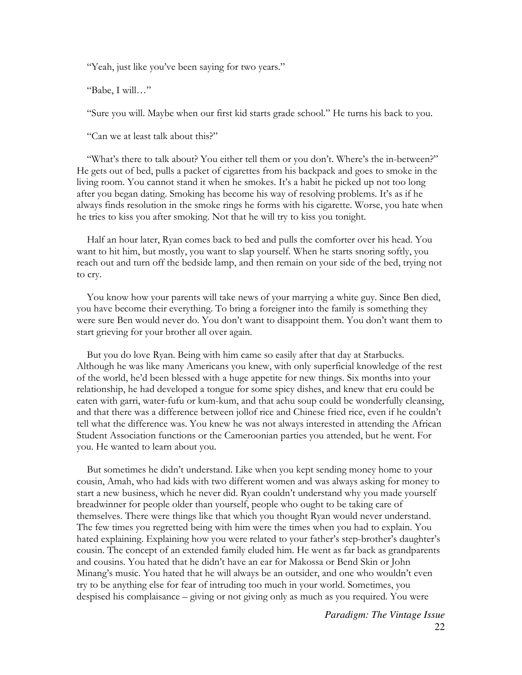"Yeah, just like you've been saying for two years."

"Babe, I will…"

"Sure you will. Maybe when our first kid starts grade school." He turns his back to you.

"Can we at least talk about this?"

 "What's there to talk about? You either tell them or you don't. Where's the in-between?" He gets out of bed, pulls a packet of cigarettes from his backpack and goes to smoke in the living room. You cannot stand it when he smokes. It's a habit he picked up not too long after you began dating. Smoking has become his way of resolving problems. It's as if he always finds resolution in the smoke rings he forms with his cigarette. Worse, you hate when he tries to kiss you after smoking. Not that he will try to kiss you tonight.

 Half an hour later, Ryan comes back to bed and pulls the comforter over his head. You want to hit him, but mostly, you want to slap yourself. When he starts snoring softly, you reach out and turn off the bedside lamp, and then remain on your side of the bed, trying not to cry.

 You know how your parents will take news of your marrying a white guy. Since Ben died, you have become their everything. To bring a foreigner into the family is something they were sure Ben would never do. You don't want to disappoint them. You don't want them to start grieving for your brother all over again.

 But you do love Ryan. Being with him came so easily after that day at Starbucks. Although he was like many Americans you knew, with only superficial knowledge of the rest of the world, he'd been blessed with a huge appetite for new things. Six months into your relationship, he had developed a tongue for some spicy dishes, and knew that eru could be eaten with garri, water-fufu or kum-kum, and that achu soup could be wonderfully cleansing, and that there was a difference between jollof rice and Chinese fried rice, even if he couldn't tell what the difference was. You knew he was not always interested in attending the African Student Association functions or the Cameroonian parties you attended, but he went. For you. He wanted to learn about you.

 But sometimes he didn't understand. Like when you kept sending money home to your cousin, Amah, who had kids with two different women and was always asking for money to start a new business, which he never did. Ryan couldn't understand why you made yourself breadwinner for people older than yourself, people who ought to be taking care of themselves. There were things like that which you thought Ryan would never understand. The few times you regretted being with him were the times when you had to explain. You hated explaining. Explaining how you were related to your father's step-brother's daughter's cousin. The concept of an extended family eluded him. He went as far back as grandparents and cousins. You hated that he didn't have an ear for Makossa or Bend Skin or John Minang's music. You hated that he will always be an outsider, and one who wouldn't even try to be anything else for fear of intruding too much in your world. Sometimes, you despised his complaisance – giving or not giving only as much as you required. You were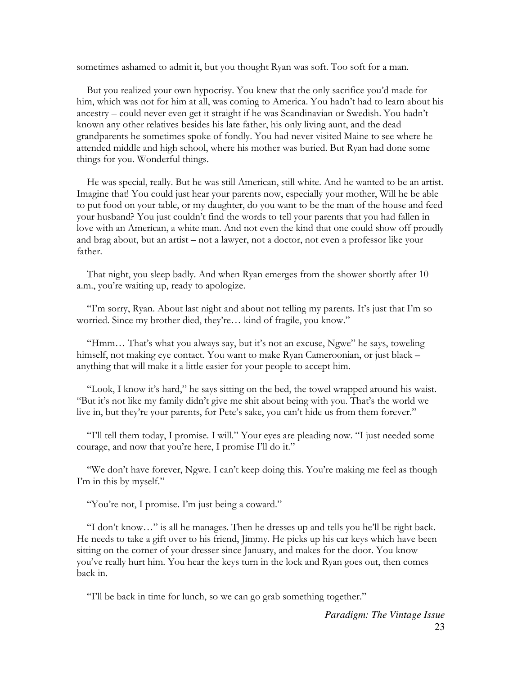sometimes ashamed to admit it, but you thought Ryan was soft. Too soft for a man.

 But you realized your own hypocrisy. You knew that the only sacrifice you'd made for him, which was not for him at all, was coming to America. You hadn't had to learn about his ancestry – could never even get it straight if he was Scandinavian or Swedish. You hadn't known any other relatives besides his late father, his only living aunt, and the dead grandparents he sometimes spoke of fondly. You had never visited Maine to see where he attended middle and high school, where his mother was buried. But Ryan had done some things for you. Wonderful things.

 He was special, really. But he was still American, still white. And he wanted to be an artist. Imagine that! You could just hear your parents now, especially your mother, Will he be able to put food on your table, or my daughter, do you want to be the man of the house and feed your husband? You just couldn't find the words to tell your parents that you had fallen in love with an American, a white man. And not even the kind that one could show off proudly and brag about, but an artist – not a lawyer, not a doctor, not even a professor like your father.

 That night, you sleep badly. And when Ryan emerges from the shower shortly after 10 a.m., you're waiting up, ready to apologize.

 "I'm sorry, Ryan. About last night and about not telling my parents. It's just that I'm so worried. Since my brother died, they're… kind of fragile, you know."

 "Hmm… That's what you always say, but it's not an excuse, Ngwe" he says, toweling himself, not making eye contact. You want to make Ryan Cameroonian, or just black – anything that will make it a little easier for your people to accept him.

 "Look, I know it's hard," he says sitting on the bed, the towel wrapped around his waist. "But it's not like my family didn't give me shit about being with you. That's the world we live in, but they're your parents, for Pete's sake, you can't hide us from them forever."

 "I'll tell them today, I promise. I will." Your eyes are pleading now. "I just needed some courage, and now that you're here, I promise I'll do it."

 "We don't have forever, Ngwe. I can't keep doing this. You're making me feel as though I'm in this by myself."

"You're not, I promise. I'm just being a coward."

 "I don't know…" is all he manages. Then he dresses up and tells you he'll be right back. He needs to take a gift over to his friend, Jimmy. He picks up his car keys which have been sitting on the corner of your dresser since January, and makes for the door. You know you've really hurt him. You hear the keys turn in the lock and Ryan goes out, then comes back in.

"I'll be back in time for lunch, so we can go grab something together."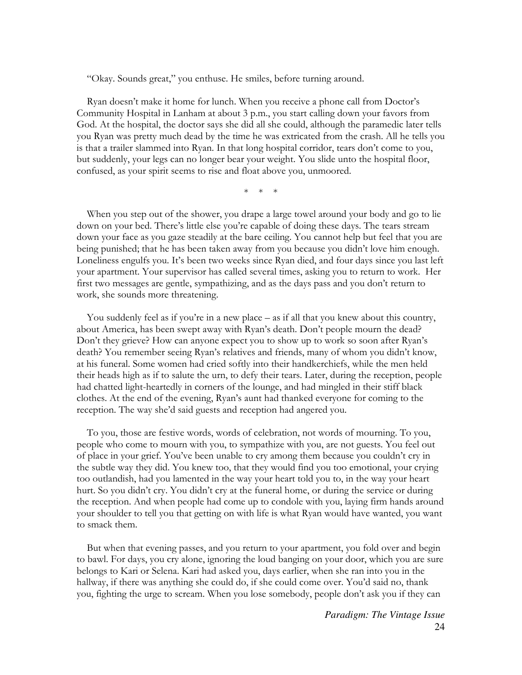"Okay. Sounds great," you enthuse. He smiles, before turning around.

 Ryan doesn't make it home for lunch. When you receive a phone call from Doctor's Community Hospital in Lanham at about 3 p.m., you start calling down your favors from God. At the hospital, the doctor says she did all she could, although the paramedic later tells you Ryan was pretty much dead by the time he was extricated from the crash. All he tells you is that a trailer slammed into Ryan. In that long hospital corridor, tears don't come to you, but suddenly, your legs can no longer bear your weight. You slide unto the hospital floor, confused, as your spirit seems to rise and float above you, unmoored.

\* \* \*

When you step out of the shower, you drape a large towel around your body and go to lie down on your bed. There's little else you're capable of doing these days. The tears stream down your face as you gaze steadily at the bare ceiling. You cannot help but feel that you are being punished; that he has been taken away from you because you didn't love him enough. Loneliness engulfs you. It's been two weeks since Ryan died, and four days since you last left your apartment. Your supervisor has called several times, asking you to return to work. Her first two messages are gentle, sympathizing, and as the days pass and you don't return to work, she sounds more threatening.

You suddenly feel as if you're in a new place – as if all that you knew about this country, about America, has been swept away with Ryan's death. Don't people mourn the dead? Don't they grieve? How can anyone expect you to show up to work so soon after Ryan's death? You remember seeing Ryan's relatives and friends, many of whom you didn't know, at his funeral. Some women had cried softly into their handkerchiefs, while the men held their heads high as if to salute the urn, to defy their tears. Later, during the reception, people had chatted light-heartedly in corners of the lounge, and had mingled in their stiff black clothes. At the end of the evening, Ryan's aunt had thanked everyone for coming to the reception. The way she'd said guests and reception had angered you.

 To you, those are festive words, words of celebration, not words of mourning. To you, people who come to mourn with you, to sympathize with you, are not guests. You feel out of place in your grief. You've been unable to cry among them because you couldn't cry in the subtle way they did. You knew too, that they would find you too emotional, your crying too outlandish, had you lamented in the way your heart told you to, in the way your heart hurt. So you didn't cry. You didn't cry at the funeral home, or during the service or during the reception. And when people had come up to condole with you, laying firm hands around your shoulder to tell you that getting on with life is what Ryan would have wanted, you want to smack them.

 But when that evening passes, and you return to your apartment, you fold over and begin to bawl. For days, you cry alone, ignoring the loud banging on your door, which you are sure belongs to Kari or Selena. Kari had asked you, days earlier, when she ran into you in the hallway, if there was anything she could do, if she could come over. You'd said no, thank you, fighting the urge to scream. When you lose somebody, people don't ask you if they can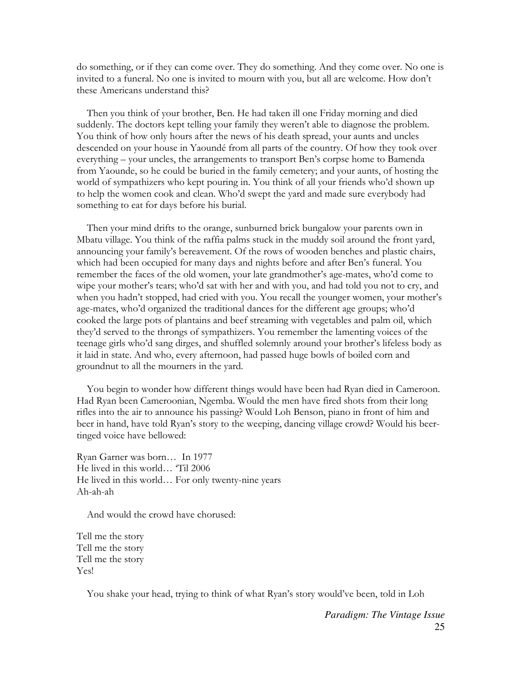do something, or if they can come over. They do something. And they come over. No one is invited to a funeral. No one is invited to mourn with you, but all are welcome. How don't these Americans understand this?

 Then you think of your brother, Ben. He had taken ill one Friday morning and died suddenly. The doctors kept telling your family they weren't able to diagnose the problem. You think of how only hours after the news of his death spread, your aunts and uncles descended on your house in Yaoundé from all parts of the country. Of how they took over everything – your uncles, the arrangements to transport Ben's corpse home to Bamenda from Yaounde, so he could be buried in the family cemetery; and your aunts, of hosting the world of sympathizers who kept pouring in. You think of all your friends who'd shown up to help the women cook and clean. Who'd swept the yard and made sure everybody had something to eat for days before his burial.

 Then your mind drifts to the orange, sunburned brick bungalow your parents own in Mbatu village. You think of the raffia palms stuck in the muddy soil around the front yard, announcing your family's bereavement. Of the rows of wooden benches and plastic chairs, which had been occupied for many days and nights before and after Ben's funeral. You remember the faces of the old women, your late grandmother's age-mates, who'd come to wipe your mother's tears; who'd sat with her and with you, and had told you not to cry, and when you hadn't stopped, had cried with you. You recall the younger women, your mother's age-mates, who'd organized the traditional dances for the different age groups; who'd cooked the large pots of plantains and beef streaming with vegetables and palm oil, which they'd served to the throngs of sympathizers. You remember the lamenting voices of the teenage girls who'd sang dirges, and shuffled solemnly around your brother's lifeless body as it laid in state. And who, every afternoon, had passed huge bowls of boiled corn and groundnut to all the mourners in the yard.

 You begin to wonder how different things would have been had Ryan died in Cameroon. Had Ryan been Cameroonian, Ngemba. Would the men have fired shots from their long rifles into the air to announce his passing? Would Loh Benson, piano in front of him and beer in hand, have told Ryan's story to the weeping, dancing village crowd? Would his beertinged voice have bellowed:

Ryan Garner was born… In 1977 He lived in this world… 'Til 2006 He lived in this world… For only twenty-nine years Ah-ah-ah

And would the crowd have chorused:

Tell me the story Tell me the story Tell me the story Yes!

You shake your head, trying to think of what Ryan's story would've been, told in Loh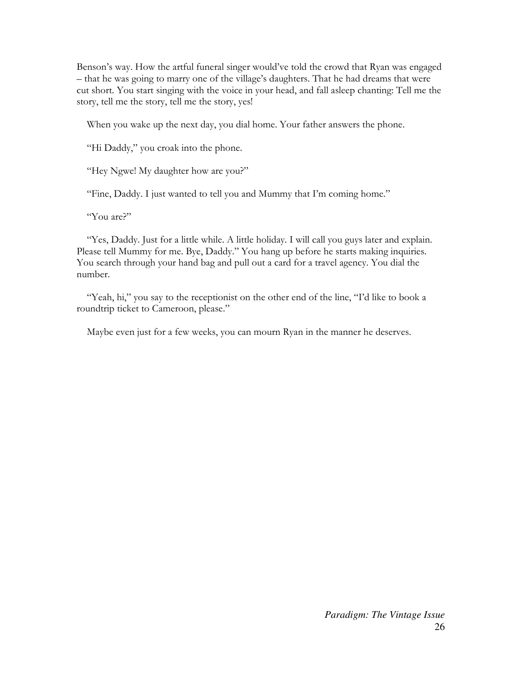Benson's way. How the artful funeral singer would've told the crowd that Ryan was engaged – that he was going to marry one of the village's daughters. That he had dreams that were cut short. You start singing with the voice in your head, and fall asleep chanting: Tell me the story, tell me the story, tell me the story, yes!

When you wake up the next day, you dial home. Your father answers the phone.

"Hi Daddy," you croak into the phone.

"Hey Ngwe! My daughter how are you?"

"Fine, Daddy. I just wanted to tell you and Mummy that I'm coming home."

"You are?"

 "Yes, Daddy. Just for a little while. A little holiday. I will call you guys later and explain. Please tell Mummy for me. Bye, Daddy." You hang up before he starts making inquiries. You search through your hand bag and pull out a card for a travel agency. You dial the number.

 "Yeah, hi," you say to the receptionist on the other end of the line, "I'd like to book a roundtrip ticket to Cameroon, please."

Maybe even just for a few weeks, you can mourn Ryan in the manner he deserves.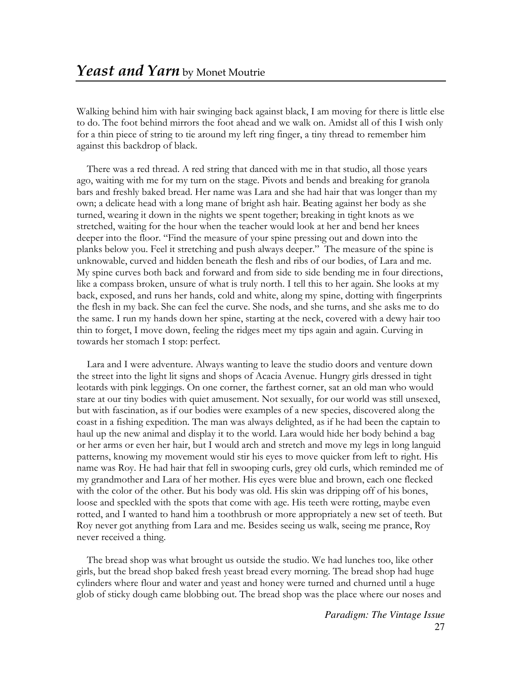Walking behind him with hair swinging back against black, I am moving for there is little else to do. The foot behind mirrors the foot ahead and we walk on. Amidst all of this I wish only for a thin piece of string to tie around my left ring finger, a tiny thread to remember him against this backdrop of black.

 There was a red thread. A red string that danced with me in that studio, all those years ago, waiting with me for my turn on the stage. Pivots and bends and breaking for granola bars and freshly baked bread. Her name was Lara and she had hair that was longer than my own; a delicate head with a long mane of bright ash hair. Beating against her body as she turned, wearing it down in the nights we spent together; breaking in tight knots as we stretched, waiting for the hour when the teacher would look at her and bend her knees deeper into the floor. "Find the measure of your spine pressing out and down into the planks below you. Feel it stretching and push always deeper." The measure of the spine is unknowable, curved and hidden beneath the flesh and ribs of our bodies, of Lara and me. My spine curves both back and forward and from side to side bending me in four directions, like a compass broken, unsure of what is truly north. I tell this to her again. She looks at my back, exposed, and runs her hands, cold and white, along my spine, dotting with fingerprints the flesh in my back. She can feel the curve. She nods, and she turns, and she asks me to do the same. I run my hands down her spine, starting at the neck, covered with a dewy hair too thin to forget, I move down, feeling the ridges meet my tips again and again. Curving in towards her stomach I stop: perfect.

 Lara and I were adventure. Always wanting to leave the studio doors and venture down the street into the light lit signs and shops of Acacia Avenue. Hungry girls dressed in tight leotards with pink leggings. On one corner, the farthest corner, sat an old man who would stare at our tiny bodies with quiet amusement. Not sexually, for our world was still unsexed, but with fascination, as if our bodies were examples of a new species, discovered along the coast in a fishing expedition. The man was always delighted, as if he had been the captain to haul up the new animal and display it to the world. Lara would hide her body behind a bag or her arms or even her hair, but I would arch and stretch and move my legs in long languid patterns, knowing my movement would stir his eyes to move quicker from left to right. His name was Roy. He had hair that fell in swooping curls, grey old curls, which reminded me of my grandmother and Lara of her mother. His eyes were blue and brown, each one flecked with the color of the other. But his body was old. His skin was dripping off of his bones, loose and speckled with the spots that come with age. His teeth were rotting, maybe even rotted, and I wanted to hand him a toothbrush or more appropriately a new set of teeth. But Roy never got anything from Lara and me. Besides seeing us walk, seeing me prance, Roy never received a thing.

 The bread shop was what brought us outside the studio. We had lunches too, like other girls, but the bread shop baked fresh yeast bread every morning. The bread shop had huge cylinders where flour and water and yeast and honey were turned and churned until a huge glob of sticky dough came blobbing out. The bread shop was the place where our noses and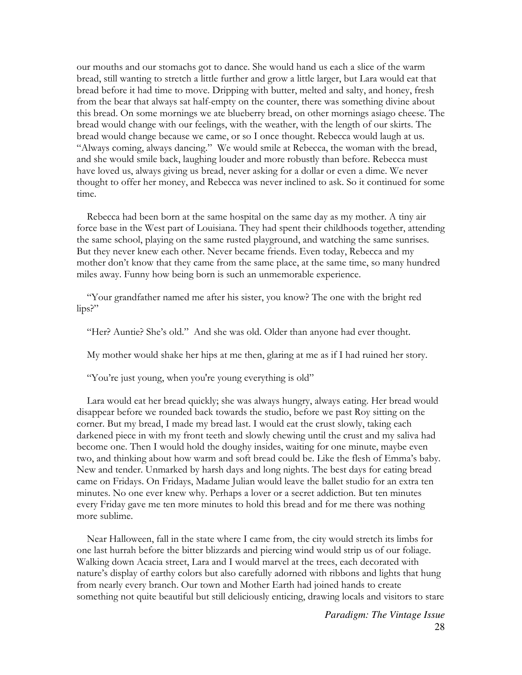our mouths and our stomachs got to dance. She would hand us each a slice of the warm bread, still wanting to stretch a little further and grow a little larger, but Lara would eat that bread before it had time to move. Dripping with butter, melted and salty, and honey, fresh from the bear that always sat half-empty on the counter, there was something divine about this bread. On some mornings we ate blueberry bread, on other mornings asiago cheese. The bread would change with our feelings, with the weather, with the length of our skirts. The bread would change because we came, or so I once thought. Rebecca would laugh at us. "Always coming, always dancing." We would smile at Rebecca, the woman with the bread, and she would smile back, laughing louder and more robustly than before. Rebecca must have loved us, always giving us bread, never asking for a dollar or even a dime. We never thought to offer her money, and Rebecca was never inclined to ask. So it continued for some time.

 Rebecca had been born at the same hospital on the same day as my mother. A tiny air force base in the West part of Louisiana. They had spent their childhoods together, attending the same school, playing on the same rusted playground, and watching the same sunrises. But they never knew each other. Never became friends. Even today, Rebecca and my mother don't know that they came from the same place, at the same time, so many hundred miles away. Funny how being born is such an unmemorable experience.

 "Your grandfather named me after his sister, you know? The one with the bright red lips?"

"Her? Auntie? She's old." And she was old. Older than anyone had ever thought.

My mother would shake her hips at me then, glaring at me as if I had ruined her story.

"You're just young, when you're young everything is old"

 Lara would eat her bread quickly; she was always hungry, always eating. Her bread would disappear before we rounded back towards the studio, before we past Roy sitting on the corner. But my bread, I made my bread last. I would eat the crust slowly, taking each darkened piece in with my front teeth and slowly chewing until the crust and my saliva had become one. Then I would hold the doughy insides, waiting for one minute, maybe even two, and thinking about how warm and soft bread could be. Like the flesh of Emma's baby. New and tender. Unmarked by harsh days and long nights. The best days for eating bread came on Fridays. On Fridays, Madame Julian would leave the ballet studio for an extra ten minutes. No one ever knew why. Perhaps a lover or a secret addiction. But ten minutes every Friday gave me ten more minutes to hold this bread and for me there was nothing more sublime.

 Near Halloween, fall in the state where I came from, the city would stretch its limbs for one last hurrah before the bitter blizzards and piercing wind would strip us of our foliage. Walking down Acacia street, Lara and I would marvel at the trees, each decorated with nature's display of earthy colors but also carefully adorned with ribbons and lights that hung from nearly every branch. Our town and Mother Earth had joined hands to create something not quite beautiful but still deliciously enticing, drawing locals and visitors to stare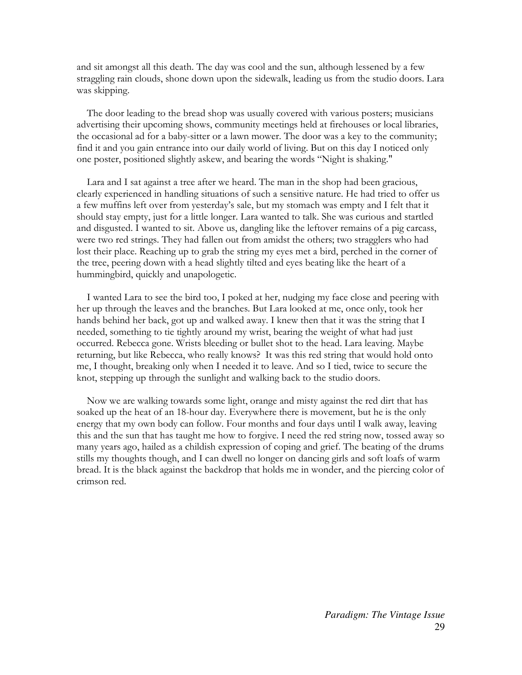and sit amongst all this death. The day was cool and the sun, although lessened by a few straggling rain clouds, shone down upon the sidewalk, leading us from the studio doors. Lara was skipping.

 The door leading to the bread shop was usually covered with various posters; musicians advertising their upcoming shows, community meetings held at firehouses or local libraries, the occasional ad for a baby-sitter or a lawn mower. The door was a key to the community; find it and you gain entrance into our daily world of living. But on this day I noticed only one poster, positioned slightly askew, and bearing the words "Night is shaking."

 Lara and I sat against a tree after we heard. The man in the shop had been gracious, clearly experienced in handling situations of such a sensitive nature. He had tried to offer us a few muffins left over from yesterday's sale, but my stomach was empty and I felt that it should stay empty, just for a little longer. Lara wanted to talk. She was curious and startled and disgusted. I wanted to sit. Above us, dangling like the leftover remains of a pig carcass, were two red strings. They had fallen out from amidst the others; two stragglers who had lost their place. Reaching up to grab the string my eyes met a bird, perched in the corner of the tree, peering down with a head slightly tilted and eyes beating like the heart of a hummingbird, quickly and unapologetic.

 I wanted Lara to see the bird too, I poked at her, nudging my face close and peering with her up through the leaves and the branches. But Lara looked at me, once only, took her hands behind her back, got up and walked away. I knew then that it was the string that I needed, something to tie tightly around my wrist, bearing the weight of what had just occurred. Rebecca gone. Wrists bleeding or bullet shot to the head. Lara leaving. Maybe returning, but like Rebecca, who really knows? It was this red string that would hold onto me, I thought, breaking only when I needed it to leave. And so I tied, twice to secure the knot, stepping up through the sunlight and walking back to the studio doors.

 Now we are walking towards some light, orange and misty against the red dirt that has soaked up the heat of an 18-hour day. Everywhere there is movement, but he is the only energy that my own body can follow. Four months and four days until I walk away, leaving this and the sun that has taught me how to forgive. I need the red string now, tossed away so many years ago, hailed as a childish expression of coping and grief. The beating of the drums stills my thoughts though, and I can dwell no longer on dancing girls and soft loafs of warm bread. It is the black against the backdrop that holds me in wonder, and the piercing color of crimson red.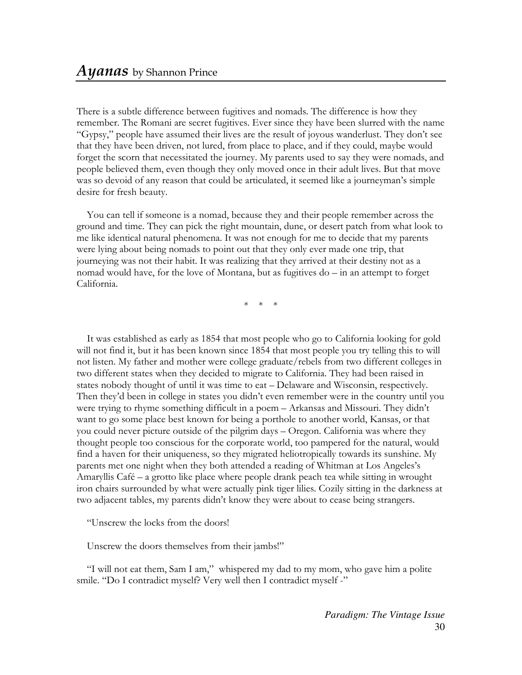There is a subtle difference between fugitives and nomads. The difference is how they remember. The Romani are secret fugitives. Ever since they have been slurred with the name "Gypsy," people have assumed their lives are the result of joyous wanderlust. They don't see that they have been driven, not lured, from place to place, and if they could, maybe would forget the scorn that necessitated the journey. My parents used to say they were nomads, and people believed them, even though they only moved once in their adult lives. But that move was so devoid of any reason that could be articulated, it seemed like a journeyman's simple desire for fresh beauty.

 You can tell if someone is a nomad, because they and their people remember across the ground and time. They can pick the right mountain, dune, or desert patch from what look to me like identical natural phenomena. It was not enough for me to decide that my parents were lying about being nomads to point out that they only ever made one trip, that journeying was not their habit. It was realizing that they arrived at their destiny not as a nomad would have, for the love of Montana, but as fugitives do – in an attempt to forget California.

\* \* \*

 It was established as early as 1854 that most people who go to California looking for gold will not find it, but it has been known since 1854 that most people you try telling this to will not listen. My father and mother were college graduate/rebels from two different colleges in two different states when they decided to migrate to California. They had been raised in states nobody thought of until it was time to eat – Delaware and Wisconsin, respectively. Then they'd been in college in states you didn't even remember were in the country until you were trying to rhyme something difficult in a poem – Arkansas and Missouri. They didn't want to go some place best known for being a porthole to another world, Kansas, or that you could never picture outside of the pilgrim days – Oregon. California was where they thought people too conscious for the corporate world, too pampered for the natural, would find a haven for their uniqueness, so they migrated heliotropically towards its sunshine. My parents met one night when they both attended a reading of Whitman at Los Angeles's Amaryllis Café – a grotto like place where people drank peach tea while sitting in wrought iron chairs surrounded by what were actually pink tiger lilies. Cozily sitting in the darkness at two adjacent tables, my parents didn't know they were about to cease being strangers.

"Unscrew the locks from the doors!

Unscrew the doors themselves from their jambs!"

 "I will not eat them, Sam I am," whispered my dad to my mom, who gave him a polite smile. "Do I contradict myself? Very well then I contradict myself -"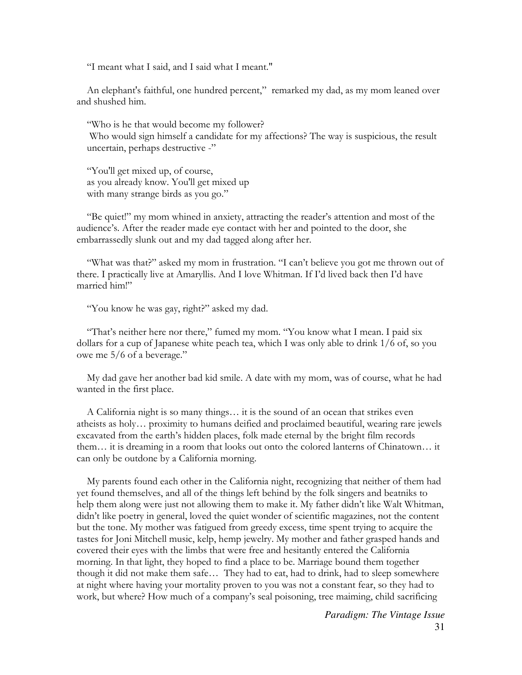"I meant what I said, and I said what I meant."

An elephant's faithful, one hundred percent," remarked my dad, as my mom leaned over and shushed him.

 "Who is he that would become my follower? Who would sign himself a candidate for my affections? The way is suspicious, the result uncertain, perhaps destructive -"

 "You'll get mixed up, of course, as you already know. You'll get mixed up with many strange birds as you go."

 "Be quiet!" my mom whined in anxiety, attracting the reader's attention and most of the audience's. After the reader made eye contact with her and pointed to the door, she embarrassedly slunk out and my dad tagged along after her.

 "What was that?" asked my mom in frustration. "I can't believe you got me thrown out of there. I practically live at Amaryllis. And I love Whitman. If I'd lived back then I'd have married him!"

"You know he was gay, right?" asked my dad.

 "That's neither here nor there," fumed my mom. "You know what I mean. I paid six dollars for a cup of Japanese white peach tea, which I was only able to drink 1/6 of, so you owe me 5/6 of a beverage."

 My dad gave her another bad kid smile. A date with my mom, was of course, what he had wanted in the first place.

 A California night is so many things… it is the sound of an ocean that strikes even atheists as holy… proximity to humans deified and proclaimed beautiful, wearing rare jewels excavated from the earth's hidden places, folk made eternal by the bright film records them… it is dreaming in a room that looks out onto the colored lanterns of Chinatown… it can only be outdone by a California morning.

 My parents found each other in the California night, recognizing that neither of them had yet found themselves, and all of the things left behind by the folk singers and beatniks to help them along were just not allowing them to make it. My father didn't like Walt Whitman, didn't like poetry in general, loved the quiet wonder of scientific magazines, not the content but the tone. My mother was fatigued from greedy excess, time spent trying to acquire the tastes for Joni Mitchell music, kelp, hemp jewelry. My mother and father grasped hands and covered their eyes with the limbs that were free and hesitantly entered the California morning. In that light, they hoped to find a place to be. Marriage bound them together though it did not make them safe… They had to eat, had to drink, had to sleep somewhere at night where having your mortality proven to you was not a constant fear, so they had to work, but where? How much of a company's seal poisoning, tree maiming, child sacrificing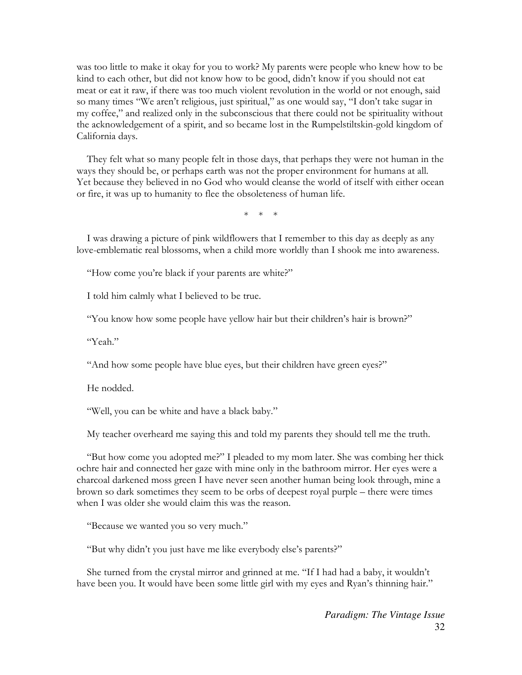was too little to make it okay for you to work? My parents were people who knew how to be kind to each other, but did not know how to be good, didn't know if you should not eat meat or eat it raw, if there was too much violent revolution in the world or not enough, said so many times "We aren't religious, just spiritual," as one would say, "I don't take sugar in my coffee," and realized only in the subconscious that there could not be spirituality without the acknowledgement of a spirit, and so became lost in the Rumpelstiltskin-gold kingdom of California days.

 They felt what so many people felt in those days, that perhaps they were not human in the ways they should be, or perhaps earth was not the proper environment for humans at all. Yet because they believed in no God who would cleanse the world of itself with either ocean or fire, it was up to humanity to flee the obsoleteness of human life.

\* \* \*

 I was drawing a picture of pink wildflowers that I remember to this day as deeply as any love-emblematic real blossoms, when a child more worldly than I shook me into awareness.

"How come you're black if your parents are white?"

I told him calmly what I believed to be true.

"You know how some people have yellow hair but their children's hair is brown?"

"Yeah."

"And how some people have blue eyes, but their children have green eyes?"

He nodded.

"Well, you can be white and have a black baby."

My teacher overheard me saying this and told my parents they should tell me the truth.

 "But how come you adopted me?" I pleaded to my mom later. She was combing her thick ochre hair and connected her gaze with mine only in the bathroom mirror. Her eyes were a charcoal darkened moss green I have never seen another human being look through, mine a brown so dark sometimes they seem to be orbs of deepest royal purple – there were times when I was older she would claim this was the reason.

"Because we wanted you so very much."

"But why didn't you just have me like everybody else's parents?"

 She turned from the crystal mirror and grinned at me. "If I had had a baby, it wouldn't have been you. It would have been some little girl with my eyes and Ryan's thinning hair."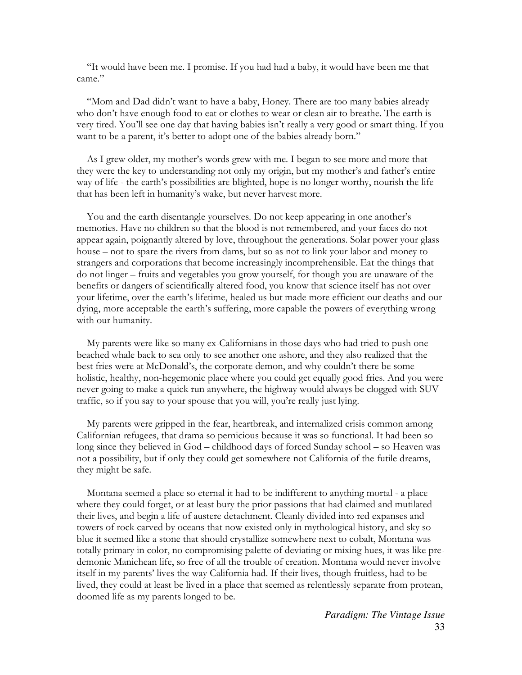"It would have been me. I promise. If you had had a baby, it would have been me that came."

 "Mom and Dad didn't want to have a baby, Honey. There are too many babies already who don't have enough food to eat or clothes to wear or clean air to breathe. The earth is very tired. You'll see one day that having babies isn't really a very good or smart thing. If you want to be a parent, it's better to adopt one of the babies already born."

 As I grew older, my mother's words grew with me. I began to see more and more that they were the key to understanding not only my origin, but my mother's and father's entire way of life - the earth's possibilities are blighted, hope is no longer worthy, nourish the life that has been left in humanity's wake, but never harvest more.

 You and the earth disentangle yourselves. Do not keep appearing in one another's memories. Have no children so that the blood is not remembered, and your faces do not appear again, poignantly altered by love, throughout the generations. Solar power your glass house – not to spare the rivers from dams, but so as not to link your labor and money to strangers and corporations that become increasingly incomprehensible. Eat the things that do not linger – fruits and vegetables you grow yourself, for though you are unaware of the benefits or dangers of scientifically altered food, you know that science itself has not over your lifetime, over the earth's lifetime, healed us but made more efficient our deaths and our dying, more acceptable the earth's suffering, more capable the powers of everything wrong with our humanity.

 My parents were like so many ex-Californians in those days who had tried to push one beached whale back to sea only to see another one ashore, and they also realized that the best fries were at McDonald's, the corporate demon, and why couldn't there be some holistic, healthy, non-hegemonic place where you could get equally good fries. And you were never going to make a quick run anywhere, the highway would always be clogged with SUV traffic, so if you say to your spouse that you will, you're really just lying.

 My parents were gripped in the fear, heartbreak, and internalized crisis common among Californian refugees, that drama so pernicious because it was so functional. It had been so long since they believed in God – childhood days of forced Sunday school – so Heaven was not a possibility, but if only they could get somewhere not California of the futile dreams, they might be safe.

 Montana seemed a place so eternal it had to be indifferent to anything mortal - a place where they could forget, or at least bury the prior passions that had claimed and mutilated their lives, and begin a life of austere detachment. Cleanly divided into red expanses and towers of rock carved by oceans that now existed only in mythological history, and sky so blue it seemed like a stone that should crystallize somewhere next to cobalt, Montana was totally primary in color, no compromising palette of deviating or mixing hues, it was like predemonic Manichean life, so free of all the trouble of creation. Montana would never involve itself in my parents' lives the way California had. If their lives, though fruitless, had to be lived, they could at least be lived in a place that seemed as relentlessly separate from protean, doomed life as my parents longed to be.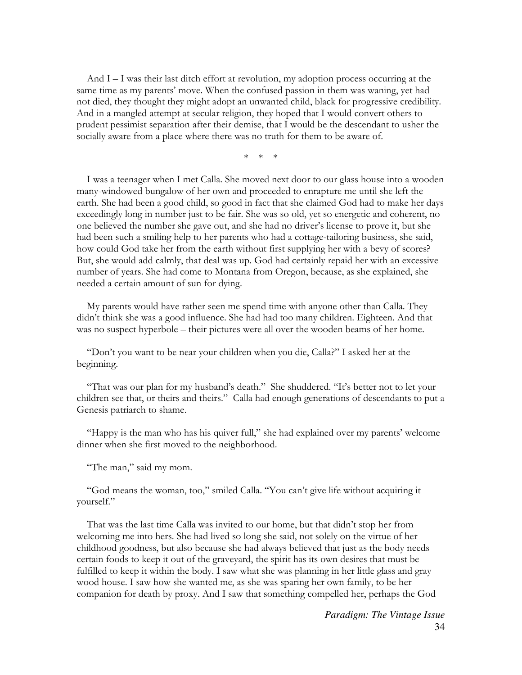And I – I was their last ditch effort at revolution, my adoption process occurring at the same time as my parents' move. When the confused passion in them was waning, yet had not died, they thought they might adopt an unwanted child, black for progressive credibility. And in a mangled attempt at secular religion, they hoped that I would convert others to prudent pessimist separation after their demise, that I would be the descendant to usher the socially aware from a place where there was no truth for them to be aware of.

\* \* \*

 I was a teenager when I met Calla. She moved next door to our glass house into a wooden many-windowed bungalow of her own and proceeded to enrapture me until she left the earth. She had been a good child, so good in fact that she claimed God had to make her days exceedingly long in number just to be fair. She was so old, yet so energetic and coherent, no one believed the number she gave out, and she had no driver's license to prove it, but she had been such a smiling help to her parents who had a cottage-tailoring business, she said, how could God take her from the earth without first supplying her with a bevy of scores? But, she would add calmly, that deal was up. God had certainly repaid her with an excessive number of years. She had come to Montana from Oregon, because, as she explained, she needed a certain amount of sun for dying.

 My parents would have rather seen me spend time with anyone other than Calla. They didn't think she was a good influence. She had had too many children. Eighteen. And that was no suspect hyperbole – their pictures were all over the wooden beams of her home.

 "Don't you want to be near your children when you die, Calla?" I asked her at the beginning.

 "That was our plan for my husband's death." She shuddered. "It's better not to let your children see that, or theirs and theirs." Calla had enough generations of descendants to put a Genesis patriarch to shame.

 "Happy is the man who has his quiver full," she had explained over my parents' welcome dinner when she first moved to the neighborhood.

"The man," said my mom.

 "God means the woman, too," smiled Calla. "You can't give life without acquiring it yourself."

 That was the last time Calla was invited to our home, but that didn't stop her from welcoming me into hers. She had lived so long she said, not solely on the virtue of her childhood goodness, but also because she had always believed that just as the body needs certain foods to keep it out of the graveyard, the spirit has its own desires that must be fulfilled to keep it within the body. I saw what she was planning in her little glass and gray wood house. I saw how she wanted me, as she was sparing her own family, to be her companion for death by proxy. And I saw that something compelled her, perhaps the God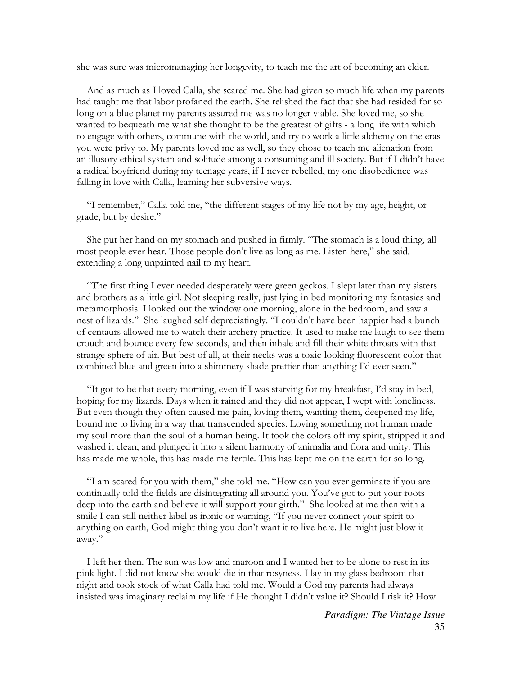she was sure was micromanaging her longevity, to teach me the art of becoming an elder.

 And as much as I loved Calla, she scared me. She had given so much life when my parents had taught me that labor profaned the earth. She relished the fact that she had resided for so long on a blue planet my parents assured me was no longer viable. She loved me, so she wanted to bequeath me what she thought to be the greatest of gifts - a long life with which to engage with others, commune with the world, and try to work a little alchemy on the eras you were privy to. My parents loved me as well, so they chose to teach me alienation from an illusory ethical system and solitude among a consuming and ill society. But if I didn't have a radical boyfriend during my teenage years, if I never rebelled, my one disobedience was falling in love with Calla, learning her subversive ways.

 "I remember," Calla told me, "the different stages of my life not by my age, height, or grade, but by desire."

 She put her hand on my stomach and pushed in firmly. "The stomach is a loud thing, all most people ever hear. Those people don't live as long as me. Listen here," she said, extending a long unpainted nail to my heart.

 "The first thing I ever needed desperately were green geckos. I slept later than my sisters and brothers as a little girl. Not sleeping really, just lying in bed monitoring my fantasies and metamorphosis. I looked out the window one morning, alone in the bedroom, and saw a nest of lizards." She laughed self-depreciatingly. "I couldn't have been happier had a bunch of centaurs allowed me to watch their archery practice. It used to make me laugh to see them crouch and bounce every few seconds, and then inhale and fill their white throats with that strange sphere of air. But best of all, at their necks was a toxic-looking fluorescent color that combined blue and green into a shimmery shade prettier than anything I'd ever seen."

 "It got to be that every morning, even if I was starving for my breakfast, I'd stay in bed, hoping for my lizards. Days when it rained and they did not appear, I wept with loneliness. But even though they often caused me pain, loving them, wanting them, deepened my life, bound me to living in a way that transcended species. Loving something not human made my soul more than the soul of a human being. It took the colors off my spirit, stripped it and washed it clean, and plunged it into a silent harmony of animalia and flora and unity. This has made me whole, this has made me fertile. This has kept me on the earth for so long.

 "I am scared for you with them," she told me. "How can you ever germinate if you are continually told the fields are disintegrating all around you. You've got to put your roots deep into the earth and believe it will support your girth." She looked at me then with a smile I can still neither label as ironic or warning, "If you never connect your spirit to anything on earth, God might thing you don't want it to live here. He might just blow it away."

 I left her then. The sun was low and maroon and I wanted her to be alone to rest in its pink light. I did not know she would die in that rosyness. I lay in my glass bedroom that night and took stock of what Calla had told me. Would a God my parents had always insisted was imaginary reclaim my life if He thought I didn't value it? Should I risk it? How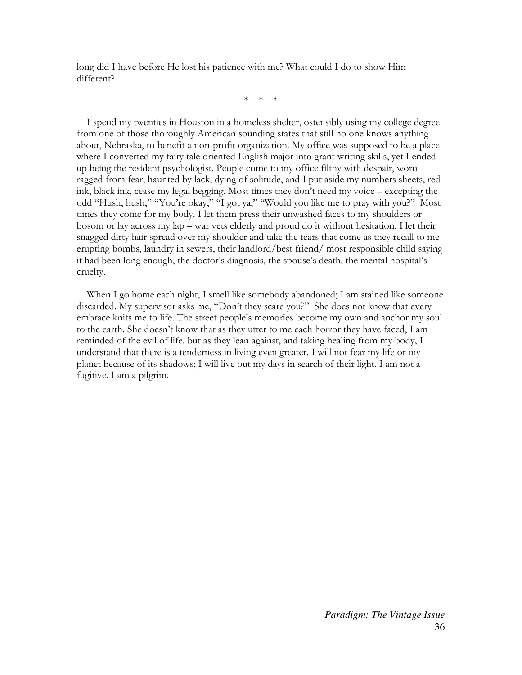long did I have before He lost his patience with me? What could I do to show Him different?

\* \* \*

 I spend my twenties in Houston in a homeless shelter, ostensibly using my college degree from one of those thoroughly American sounding states that still no one knows anything about, Nebraska, to benefit a non-profit organization. My office was supposed to be a place where I converted my fairy tale oriented English major into grant writing skills, yet I ended up being the resident psychologist. People come to my office filthy with despair, worn ragged from fear, haunted by lack, dying of solitude, and I put aside my numbers sheets, red ink, black ink, cease my legal begging. Most times they don't need my voice – excepting the odd "Hush, hush," "You're okay," "I got ya," "Would you like me to pray with you?" Most times they come for my body. I let them press their unwashed faces to my shoulders or bosom or lay across my lap – war vets elderly and proud do it without hesitation. I let their snagged dirty hair spread over my shoulder and take the tears that come as they recall to me erupting bombs, laundry in sewers, their landlord/best friend/ most responsible child saying it had been long enough, the doctor's diagnosis, the spouse's death, the mental hospital's cruelty.

When I go home each night, I smell like somebody abandoned; I am stained like someone discarded. My supervisor asks me, "Don't they scare you?" She does not know that every embrace knits me to life. The street people's memories become my own and anchor my soul to the earth. She doesn't know that as they utter to me each horror they have faced, I am reminded of the evil of life, but as they lean against, and taking healing from my body, I understand that there is a tenderness in living even greater. I will not fear my life or my planet because of its shadows; I will live out my days in search of their light. I am not a fugitive. I am a pilgrim.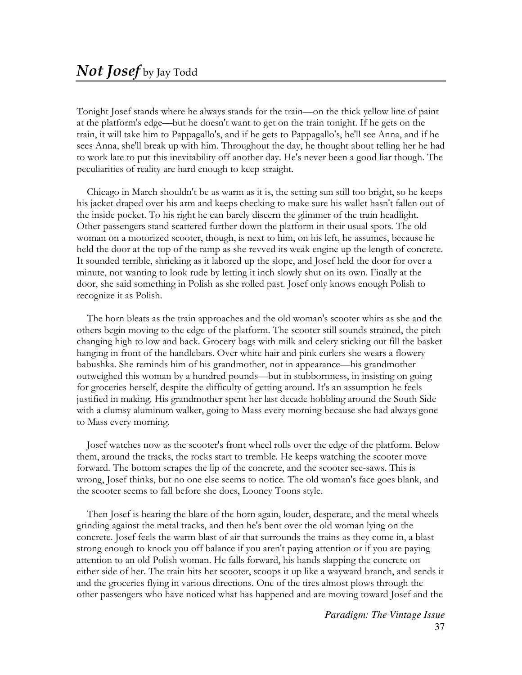Tonight Josef stands where he always stands for the train—on the thick yellow line of paint at the platform's edge—but he doesn't want to get on the train tonight. If he gets on the train, it will take him to Pappagallo's, and if he gets to Pappagallo's, he'll see Anna, and if he sees Anna, she'll break up with him. Throughout the day, he thought about telling her he had to work late to put this inevitability off another day. He's never been a good liar though. The peculiarities of reality are hard enough to keep straight.

 Chicago in March shouldn't be as warm as it is, the setting sun still too bright, so he keeps his jacket draped over his arm and keeps checking to make sure his wallet hasn't fallen out of the inside pocket. To his right he can barely discern the glimmer of the train headlight. Other passengers stand scattered further down the platform in their usual spots. The old woman on a motorized scooter, though, is next to him, on his left, he assumes, because he held the door at the top of the ramp as she revved its weak engine up the length of concrete. It sounded terrible, shrieking as it labored up the slope, and Josef held the door for over a minute, not wanting to look rude by letting it inch slowly shut on its own. Finally at the door, she said something in Polish as she rolled past. Josef only knows enough Polish to recognize it as Polish.

 The horn bleats as the train approaches and the old woman's scooter whirs as she and the others begin moving to the edge of the platform. The scooter still sounds strained, the pitch changing high to low and back. Grocery bags with milk and celery sticking out fill the basket hanging in front of the handlebars. Over white hair and pink curlers she wears a flowery babushka. She reminds him of his grandmother, not in appearance—his grandmother outweighed this woman by a hundred pounds—but in stubbornness, in insisting on going for groceries herself, despite the difficulty of getting around. It's an assumption he feels justified in making. His grandmother spent her last decade hobbling around the South Side with a clumsy aluminum walker, going to Mass every morning because she had always gone to Mass every morning.

 Josef watches now as the scooter's front wheel rolls over the edge of the platform. Below them, around the tracks, the rocks start to tremble. He keeps watching the scooter move forward. The bottom scrapes the lip of the concrete, and the scooter see-saws. This is wrong, Josef thinks, but no one else seems to notice. The old woman's face goes blank, and the scooter seems to fall before she does, Looney Toons style.

 Then Josef is hearing the blare of the horn again, louder, desperate, and the metal wheels grinding against the metal tracks, and then he's bent over the old woman lying on the concrete. Josef feels the warm blast of air that surrounds the trains as they come in, a blast strong enough to knock you off balance if you aren't paying attention or if you are paying attention to an old Polish woman. He falls forward, his hands slapping the concrete on either side of her. The train hits her scooter, scoops it up like a wayward branch, and sends it and the groceries flying in various directions. One of the tires almost plows through the other passengers who have noticed what has happened and are moving toward Josef and the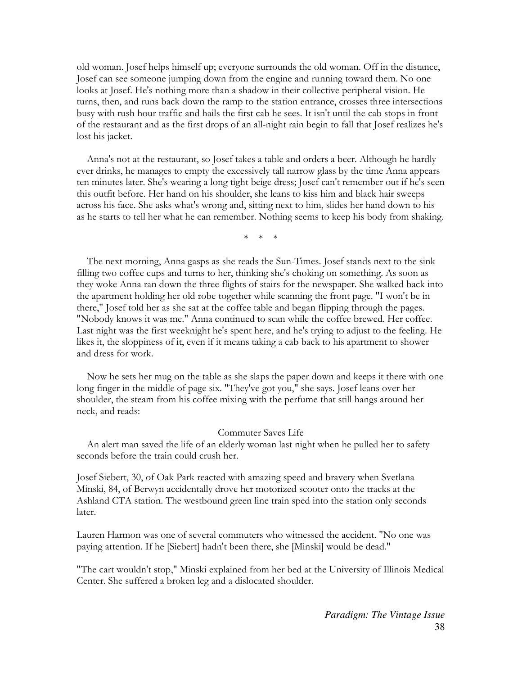old woman. Josef helps himself up; everyone surrounds the old woman. Off in the distance, Josef can see someone jumping down from the engine and running toward them. No one looks at Josef. He's nothing more than a shadow in their collective peripheral vision. He turns, then, and runs back down the ramp to the station entrance, crosses three intersections busy with rush hour traffic and hails the first cab he sees. It isn't until the cab stops in front of the restaurant and as the first drops of an all-night rain begin to fall that Josef realizes he's lost his jacket.

 Anna's not at the restaurant, so Josef takes a table and orders a beer. Although he hardly ever drinks, he manages to empty the excessively tall narrow glass by the time Anna appears ten minutes later. She's wearing a long tight beige dress; Josef can't remember out if he's seen this outfit before. Her hand on his shoulder, she leans to kiss him and black hair sweeps across his face. She asks what's wrong and, sitting next to him, slides her hand down to his as he starts to tell her what he can remember. Nothing seems to keep his body from shaking.

\* \* \*

 The next morning, Anna gasps as she reads the Sun-Times. Josef stands next to the sink filling two coffee cups and turns to her, thinking she's choking on something. As soon as they woke Anna ran down the three flights of stairs for the newspaper. She walked back into the apartment holding her old robe together while scanning the front page. "I won't be in there," Josef told her as she sat at the coffee table and began flipping through the pages. "Nobody knows it was me." Anna continued to scan while the coffee brewed. Her coffee. Last night was the first weeknight he's spent here, and he's trying to adjust to the feeling. He likes it, the sloppiness of it, even if it means taking a cab back to his apartment to shower and dress for work.

 Now he sets her mug on the table as she slaps the paper down and keeps it there with one long finger in the middle of page six. "They've got you," she says. Josef leans over her shoulder, the steam from his coffee mixing with the perfume that still hangs around her neck, and reads:

#### Commuter Saves Life

 An alert man saved the life of an elderly woman last night when he pulled her to safety seconds before the train could crush her.

Josef Siebert, 30, of Oak Park reacted with amazing speed and bravery when Svetlana Minski, 84, of Berwyn accidentally drove her motorized scooter onto the tracks at the Ashland CTA station. The westbound green line train sped into the station only seconds later.

Lauren Harmon was one of several commuters who witnessed the accident. "No one was paying attention. If he [Siebert] hadn't been there, she [Minski] would be dead."

"The cart wouldn't stop," Minski explained from her bed at the University of Illinois Medical Center. She suffered a broken leg and a dislocated shoulder.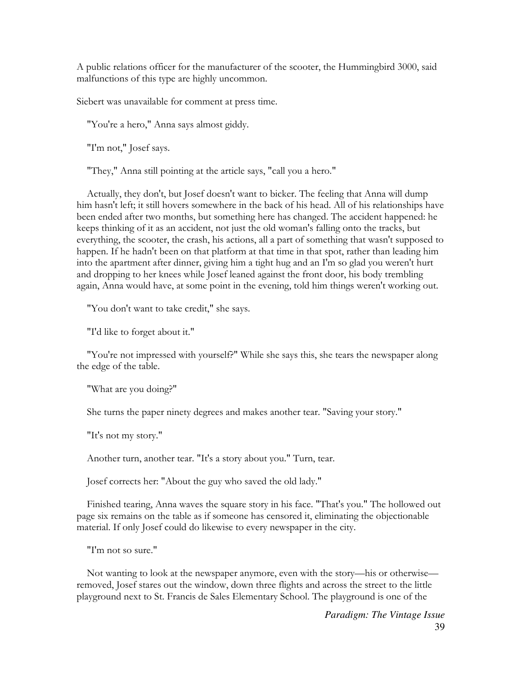A public relations officer for the manufacturer of the scooter, the Hummingbird 3000, said malfunctions of this type are highly uncommon.

Siebert was unavailable for comment at press time.

"You're a hero," Anna says almost giddy.

"I'm not," Josef says.

"They," Anna still pointing at the article says, "call you a hero."

 Actually, they don't, but Josef doesn't want to bicker. The feeling that Anna will dump him hasn't left; it still hovers somewhere in the back of his head. All of his relationships have been ended after two months, but something here has changed. The accident happened: he keeps thinking of it as an accident, not just the old woman's falling onto the tracks, but everything, the scooter, the crash, his actions, all a part of something that wasn't supposed to happen. If he hadn't been on that platform at that time in that spot, rather than leading him into the apartment after dinner, giving him a tight hug and an I'm so glad you weren't hurt and dropping to her knees while Josef leaned against the front door, his body trembling again, Anna would have, at some point in the evening, told him things weren't working out.

"You don't want to take credit," she says.

"I'd like to forget about it."

 "You're not impressed with yourself?" While she says this, she tears the newspaper along the edge of the table.

"What are you doing?"

She turns the paper ninety degrees and makes another tear. "Saving your story."

"It's not my story."

Another turn, another tear. "It's a story about you." Turn, tear.

Josef corrects her: "About the guy who saved the old lady."

 Finished tearing, Anna waves the square story in his face. "That's you." The hollowed out page six remains on the table as if someone has censored it, eliminating the objectionable material. If only Josef could do likewise to every newspaper in the city.

"I'm not so sure."

 Not wanting to look at the newspaper anymore, even with the story—his or otherwise removed, Josef stares out the window, down three flights and across the street to the little playground next to St. Francis de Sales Elementary School. The playground is one of the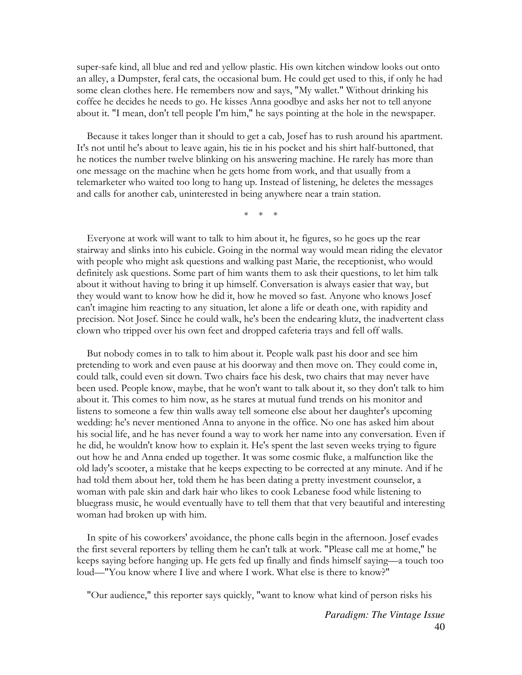super-safe kind, all blue and red and yellow plastic. His own kitchen window looks out onto an alley, a Dumpster, feral cats, the occasional bum. He could get used to this, if only he had some clean clothes here. He remembers now and says, "My wallet." Without drinking his coffee he decides he needs to go. He kisses Anna goodbye and asks her not to tell anyone about it. "I mean, don't tell people I'm him," he says pointing at the hole in the newspaper.

 Because it takes longer than it should to get a cab, Josef has to rush around his apartment. It's not until he's about to leave again, his tie in his pocket and his shirt half-buttoned, that he notices the number twelve blinking on his answering machine. He rarely has more than one message on the machine when he gets home from work, and that usually from a telemarketer who waited too long to hang up. Instead of listening, he deletes the messages and calls for another cab, uninterested in being anywhere near a train station.

\* \* \*

 Everyone at work will want to talk to him about it, he figures, so he goes up the rear stairway and slinks into his cubicle. Going in the normal way would mean riding the elevator with people who might ask questions and walking past Marie, the receptionist, who would definitely ask questions. Some part of him wants them to ask their questions, to let him talk about it without having to bring it up himself. Conversation is always easier that way, but they would want to know how he did it, how he moved so fast. Anyone who knows Josef can't imagine him reacting to any situation, let alone a life or death one, with rapidity and precision. Not Josef. Since he could walk, he's been the endearing klutz, the inadvertent class clown who tripped over his own feet and dropped cafeteria trays and fell off walls.

 But nobody comes in to talk to him about it. People walk past his door and see him pretending to work and even pause at his doorway and then move on. They could come in, could talk, could even sit down. Two chairs face his desk, two chairs that may never have been used. People know, maybe, that he won't want to talk about it, so they don't talk to him about it. This comes to him now, as he stares at mutual fund trends on his monitor and listens to someone a few thin walls away tell someone else about her daughter's upcoming wedding: he's never mentioned Anna to anyone in the office. No one has asked him about his social life, and he has never found a way to work her name into any conversation. Even if he did, he wouldn't know how to explain it. He's spent the last seven weeks trying to figure out how he and Anna ended up together. It was some cosmic fluke, a malfunction like the old lady's scooter, a mistake that he keeps expecting to be corrected at any minute. And if he had told them about her, told them he has been dating a pretty investment counselor, a woman with pale skin and dark hair who likes to cook Lebanese food while listening to bluegrass music, he would eventually have to tell them that that very beautiful and interesting woman had broken up with him.

 In spite of his coworkers' avoidance, the phone calls begin in the afternoon. Josef evades the first several reporters by telling them he can't talk at work. "Please call me at home," he keeps saying before hanging up. He gets fed up finally and finds himself saying—a touch too loud—"You know where I live and where I work. What else is there to know?"

"Our audience," this reporter says quickly, "want to know what kind of person risks his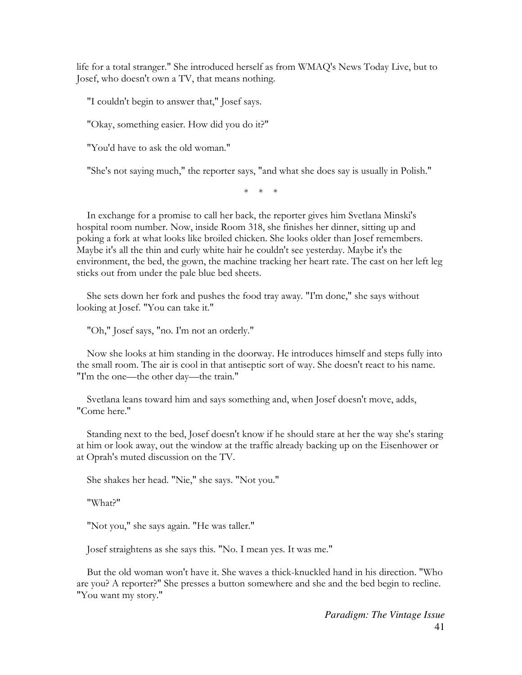life for a total stranger." She introduced herself as from WMAQ's News Today Live, but to Josef, who doesn't own a TV, that means nothing.

"I couldn't begin to answer that," Josef says.

"Okay, something easier. How did you do it?"

"You'd have to ask the old woman."

"She's not saying much," the reporter says, "and what she does say is usually in Polish."

\* \* \*

 In exchange for a promise to call her back, the reporter gives him Svetlana Minski's hospital room number. Now, inside Room 318, she finishes her dinner, sitting up and poking a fork at what looks like broiled chicken. She looks older than Josef remembers. Maybe it's all the thin and curly white hair he couldn't see yesterday. Maybe it's the environment, the bed, the gown, the machine tracking her heart rate. The cast on her left leg sticks out from under the pale blue bed sheets.

 She sets down her fork and pushes the food tray away. "I'm done," she says without looking at Josef. "You can take it."

"Oh," Josef says, "no. I'm not an orderly."

 Now she looks at him standing in the doorway. He introduces himself and steps fully into the small room. The air is cool in that antiseptic sort of way. She doesn't react to his name. "I'm the one—the other day—the train."

 Svetlana leans toward him and says something and, when Josef doesn't move, adds, "Come here."

 Standing next to the bed, Josef doesn't know if he should stare at her the way she's staring at him or look away, out the window at the traffic already backing up on the Eisenhower or at Oprah's muted discussion on the TV.

She shakes her head. "Nie," she says. "Not you."

"What?"

"Not you," she says again. "He was taller."

Josef straightens as she says this. "No. I mean yes. It was me."

 But the old woman won't have it. She waves a thick-knuckled hand in his direction. "Who are you? A reporter?" She presses a button somewhere and she and the bed begin to recline. "You want my story."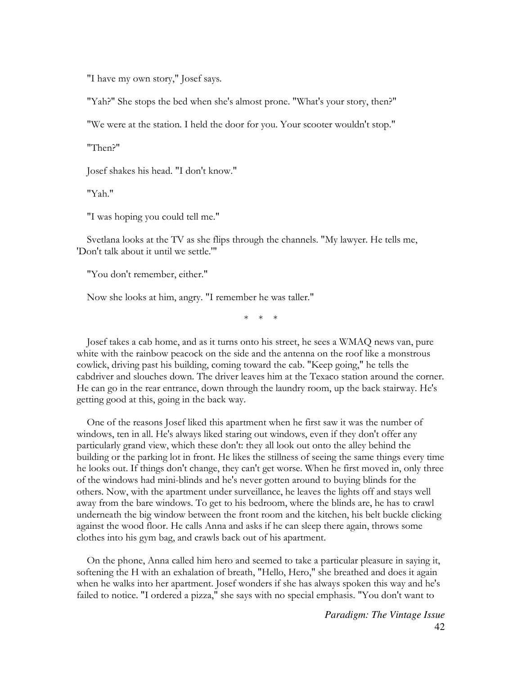"I have my own story," Josef says.

"Yah?" She stops the bed when she's almost prone. "What's your story, then?"

"We were at the station. I held the door for you. Your scooter wouldn't stop."

"Then?"

Josef shakes his head. "I don't know."

"Yah."

"I was hoping you could tell me."

 Svetlana looks at the TV as she flips through the channels. "My lawyer. He tells me, 'Don't talk about it until we settle.'"

"You don't remember, either."

Now she looks at him, angry. "I remember he was taller."

\* \* \*

 Josef takes a cab home, and as it turns onto his street, he sees a WMAQ news van, pure white with the rainbow peacock on the side and the antenna on the roof like a monstrous cowlick, driving past his building, coming toward the cab. "Keep going," he tells the cabdriver and slouches down. The driver leaves him at the Texaco station around the corner. He can go in the rear entrance, down through the laundry room, up the back stairway. He's getting good at this, going in the back way.

 One of the reasons Josef liked this apartment when he first saw it was the number of windows, ten in all. He's always liked staring out windows, even if they don't offer any particularly grand view, which these don't: they all look out onto the alley behind the building or the parking lot in front. He likes the stillness of seeing the same things every time he looks out. If things don't change, they can't get worse. When he first moved in, only three of the windows had mini-blinds and he's never gotten around to buying blinds for the others. Now, with the apartment under surveillance, he leaves the lights off and stays well away from the bare windows. To get to his bedroom, where the blinds are, he has to crawl underneath the big window between the front room and the kitchen, his belt buckle clicking against the wood floor. He calls Anna and asks if he can sleep there again, throws some clothes into his gym bag, and crawls back out of his apartment.

 On the phone, Anna called him hero and seemed to take a particular pleasure in saying it, softening the H with an exhalation of breath, "Hello, Hero," she breathed and does it again when he walks into her apartment. Josef wonders if she has always spoken this way and he's failed to notice. "I ordered a pizza," she says with no special emphasis. "You don't want to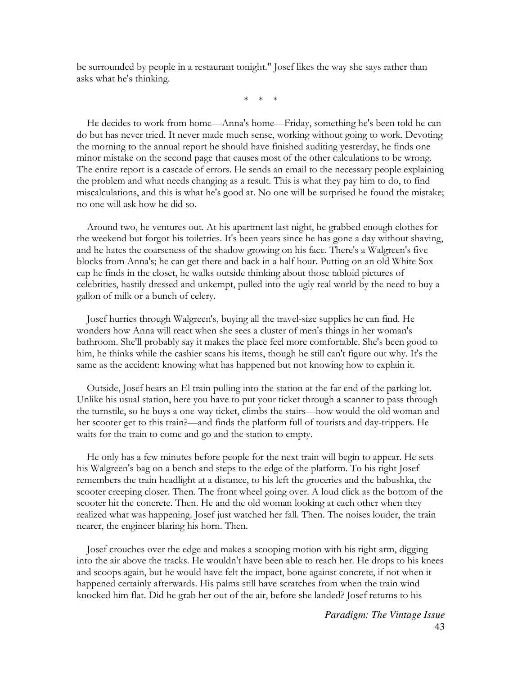be surrounded by people in a restaurant tonight." Josef likes the way she says rather than asks what he's thinking.

\* \* \*

 He decides to work from home—Anna's home—Friday, something he's been told he can do but has never tried. It never made much sense, working without going to work. Devoting the morning to the annual report he should have finished auditing yesterday, he finds one minor mistake on the second page that causes most of the other calculations to be wrong. The entire report is a cascade of errors. He sends an email to the necessary people explaining the problem and what needs changing as a result. This is what they pay him to do, to find miscalculations, and this is what he's good at. No one will be surprised he found the mistake; no one will ask how he did so.

 Around two, he ventures out. At his apartment last night, he grabbed enough clothes for the weekend but forgot his toiletries. It's been years since he has gone a day without shaving, and he hates the coarseness of the shadow growing on his face. There's a Walgreen's five blocks from Anna's; he can get there and back in a half hour. Putting on an old White Sox cap he finds in the closet, he walks outside thinking about those tabloid pictures of celebrities, hastily dressed and unkempt, pulled into the ugly real world by the need to buy a gallon of milk or a bunch of celery.

 Josef hurries through Walgreen's, buying all the travel-size supplies he can find. He wonders how Anna will react when she sees a cluster of men's things in her woman's bathroom. She'll probably say it makes the place feel more comfortable. She's been good to him, he thinks while the cashier scans his items, though he still can't figure out why. It's the same as the accident: knowing what has happened but not knowing how to explain it.

 Outside, Josef hears an El train pulling into the station at the far end of the parking lot. Unlike his usual station, here you have to put your ticket through a scanner to pass through the turnstile, so he buys a one-way ticket, climbs the stairs—how would the old woman and her scooter get to this train?—and finds the platform full of tourists and day-trippers. He waits for the train to come and go and the station to empty.

 He only has a few minutes before people for the next train will begin to appear. He sets his Walgreen's bag on a bench and steps to the edge of the platform. To his right Josef remembers the train headlight at a distance, to his left the groceries and the babushka, the scooter creeping closer. Then. The front wheel going over. A loud click as the bottom of the scooter hit the concrete. Then. He and the old woman looking at each other when they realized what was happening. Josef just watched her fall. Then. The noises louder, the train nearer, the engineer blaring his horn. Then.

 Josef crouches over the edge and makes a scooping motion with his right arm, digging into the air above the tracks. He wouldn't have been able to reach her. He drops to his knees and scoops again, but he would have felt the impact, bone against concrete, if not when it happened certainly afterwards. His palms still have scratches from when the train wind knocked him flat. Did he grab her out of the air, before she landed? Josef returns to his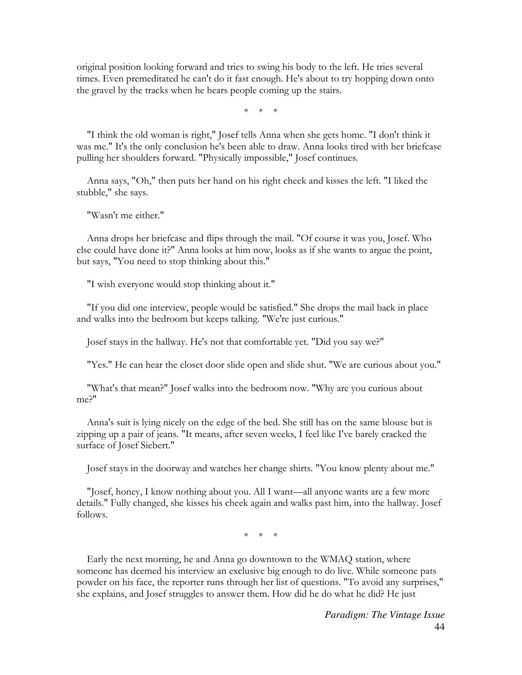original position looking forward and tries to swing his body to the left. He tries several times. Even premeditated he can't do it fast enough. He's about to try hopping down onto the gravel by the tracks when he hears people coming up the stairs.

\* \* \*

 "I think the old woman is right," Josef tells Anna when she gets home. "I don't think it was me." It's the only conclusion he's been able to draw. Anna looks tired with her briefcase pulling her shoulders forward. "Physically impossible," Josef continues.

 Anna says, "Oh," then puts her hand on his right cheek and kisses the left. "I liked the stubble," she says.

"Wasn't me either."

 Anna drops her briefcase and flips through the mail. "Of course it was you, Josef. Who else could have done it?" Anna looks at him now, looks as if she wants to argue the point, but says, "You need to stop thinking about this."

"I wish everyone would stop thinking about it."

 "If you did one interview, people would be satisfied." She drops the mail back in place and walks into the bedroom but keeps talking. "We're just curious."

Josef stays in the hallway. He's not that comfortable yet. "Did you say we?"

"Yes." He can hear the closet door slide open and slide shut. "We are curious about you."

 "What's that mean?" Josef walks into the bedroom now. "Why are you curious about me?"

 Anna's suit is lying nicely on the edge of the bed. She still has on the same blouse but is zipping up a pair of jeans. "It means, after seven weeks, I feel like I've barely cracked the surface of Josef Siebert."

Josef stays in the doorway and watches her change shirts. "You know plenty about me."

 "Josef, honey, I know nothing about you. All I want—all anyone wants are a few more details." Fully changed, she kisses his cheek again and walks past him, into the hallway. Josef follows.

\* \* \*

 Early the next morning, he and Anna go downtown to the WMAQ station, where someone has deemed his interview an exclusive big enough to do live. While someone pats powder on his face, the reporter runs through her list of questions. "To avoid any surprises," she explains, and Josef struggles to answer them. How did he do what he did? He just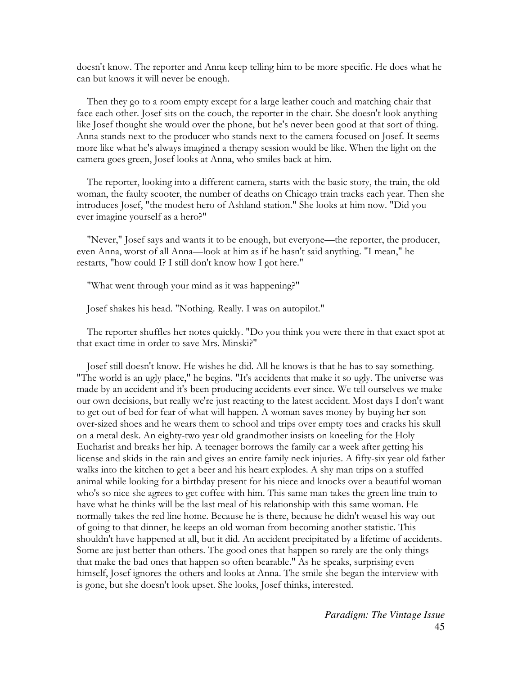doesn't know. The reporter and Anna keep telling him to be more specific. He does what he can but knows it will never be enough.

 Then they go to a room empty except for a large leather couch and matching chair that face each other. Josef sits on the couch, the reporter in the chair. She doesn't look anything like Josef thought she would over the phone, but he's never been good at that sort of thing. Anna stands next to the producer who stands next to the camera focused on Josef. It seems more like what he's always imagined a therapy session would be like. When the light on the camera goes green, Josef looks at Anna, who smiles back at him.

 The reporter, looking into a different camera, starts with the basic story, the train, the old woman, the faulty scooter, the number of deaths on Chicago train tracks each year. Then she introduces Josef, "the modest hero of Ashland station." She looks at him now. "Did you ever imagine yourself as a hero?"

 "Never," Josef says and wants it to be enough, but everyone—the reporter, the producer, even Anna, worst of all Anna—look at him as if he hasn't said anything. "I mean," he restarts, "how could I? I still don't know how I got here."

"What went through your mind as it was happening?"

Josef shakes his head. "Nothing. Really. I was on autopilot."

 The reporter shuffles her notes quickly. "Do you think you were there in that exact spot at that exact time in order to save Mrs. Minski?"

 Josef still doesn't know. He wishes he did. All he knows is that he has to say something. "The world is an ugly place," he begins. "It's accidents that make it so ugly. The universe was made by an accident and it's been producing accidents ever since. We tell ourselves we make our own decisions, but really we're just reacting to the latest accident. Most days I don't want to get out of bed for fear of what will happen. A woman saves money by buying her son over-sized shoes and he wears them to school and trips over empty toes and cracks his skull on a metal desk. An eighty-two year old grandmother insists on kneeling for the Holy Eucharist and breaks her hip. A teenager borrows the family car a week after getting his license and skids in the rain and gives an entire family neck injuries. A fifty-six year old father walks into the kitchen to get a beer and his heart explodes. A shy man trips on a stuffed animal while looking for a birthday present for his niece and knocks over a beautiful woman who's so nice she agrees to get coffee with him. This same man takes the green line train to have what he thinks will be the last meal of his relationship with this same woman. He normally takes the red line home. Because he is there, because he didn't weasel his way out of going to that dinner, he keeps an old woman from becoming another statistic. This shouldn't have happened at all, but it did. An accident precipitated by a lifetime of accidents. Some are just better than others. The good ones that happen so rarely are the only things that make the bad ones that happen so often bearable." As he speaks, surprising even himself, Josef ignores the others and looks at Anna. The smile she began the interview with is gone, but she doesn't look upset. She looks, Josef thinks, interested.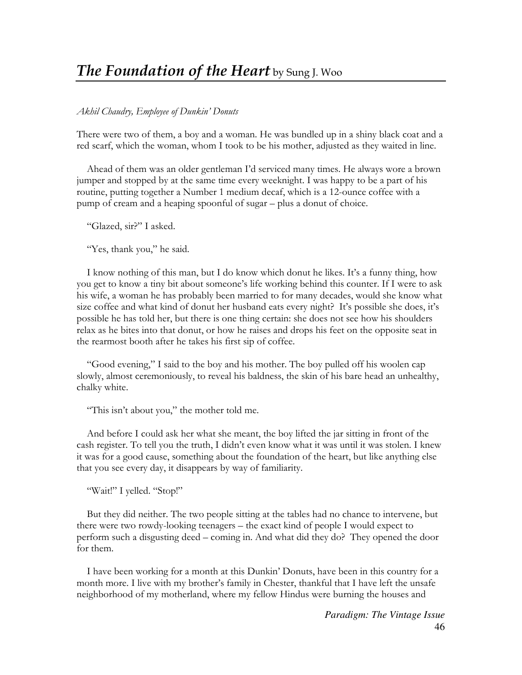# The Foundation of the Heart by Sung J. Woo

## Akhil Chaudry, Employee of Dunkin' Donuts

There were two of them, a boy and a woman. He was bundled up in a shiny black coat and a red scarf, which the woman, whom I took to be his mother, adjusted as they waited in line.

 Ahead of them was an older gentleman I'd serviced many times. He always wore a brown jumper and stopped by at the same time every weeknight. I was happy to be a part of his routine, putting together a Number 1 medium decaf, which is a 12-ounce coffee with a pump of cream and a heaping spoonful of sugar – plus a donut of choice.

"Glazed, sir?" I asked.

"Yes, thank you," he said.

 I know nothing of this man, but I do know which donut he likes. It's a funny thing, how you get to know a tiny bit about someone's life working behind this counter. If I were to ask his wife, a woman he has probably been married to for many decades, would she know what size coffee and what kind of donut her husband eats every night? It's possible she does, it's possible he has told her, but there is one thing certain: she does not see how his shoulders relax as he bites into that donut, or how he raises and drops his feet on the opposite seat in the rearmost booth after he takes his first sip of coffee.

 "Good evening," I said to the boy and his mother. The boy pulled off his woolen cap slowly, almost ceremoniously, to reveal his baldness, the skin of his bare head an unhealthy, chalky white.

"This isn't about you," the mother told me.

 And before I could ask her what she meant, the boy lifted the jar sitting in front of the cash register. To tell you the truth, I didn't even know what it was until it was stolen. I knew it was for a good cause, something about the foundation of the heart, but like anything else that you see every day, it disappears by way of familiarity.

"Wait!" I yelled. "Stop!"

 But they did neither. The two people sitting at the tables had no chance to intervene, but there were two rowdy-looking teenagers – the exact kind of people I would expect to perform such a disgusting deed – coming in. And what did they do? They opened the door for them.

 I have been working for a month at this Dunkin' Donuts, have been in this country for a month more. I live with my brother's family in Chester, thankful that I have left the unsafe neighborhood of my motherland, where my fellow Hindus were burning the houses and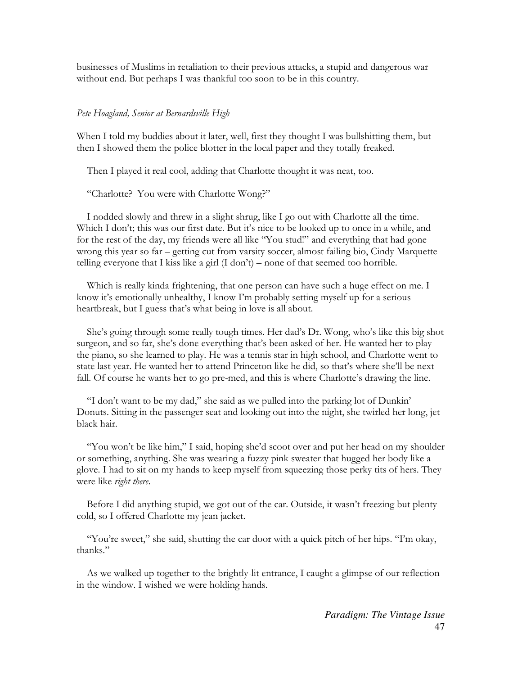businesses of Muslims in retaliation to their previous attacks, a stupid and dangerous war without end. But perhaps I was thankful too soon to be in this country.

#### Pete Hoagland, Senior at Bernardsville High

When I told my buddies about it later, well, first they thought I was bullshitting them, but then I showed them the police blotter in the local paper and they totally freaked.

Then I played it real cool, adding that Charlotte thought it was neat, too.

"Charlotte? You were with Charlotte Wong?"

 I nodded slowly and threw in a slight shrug, like I go out with Charlotte all the time. Which I don't; this was our first date. But it's nice to be looked up to once in a while, and for the rest of the day, my friends were all like "You stud!" and everything that had gone wrong this year so far – getting cut from varsity soccer, almost failing bio, Cindy Marquette telling everyone that I kiss like a girl (I don't) – none of that seemed too horrible.

Which is really kinda frightening, that one person can have such a huge effect on me. I know it's emotionally unhealthy, I know I'm probably setting myself up for a serious heartbreak, but I guess that's what being in love is all about.

 She's going through some really tough times. Her dad's Dr. Wong, who's like this big shot surgeon, and so far, she's done everything that's been asked of her. He wanted her to play the piano, so she learned to play. He was a tennis star in high school, and Charlotte went to state last year. He wanted her to attend Princeton like he did, so that's where she'll be next fall. Of course he wants her to go pre-med, and this is where Charlotte's drawing the line.

 "I don't want to be my dad," she said as we pulled into the parking lot of Dunkin' Donuts. Sitting in the passenger seat and looking out into the night, she twirled her long, jet black hair.

 "You won't be like him," I said, hoping she'd scoot over and put her head on my shoulder or something, anything. She was wearing a fuzzy pink sweater that hugged her body like a glove. I had to sit on my hands to keep myself from squeezing those perky tits of hers. They were like *right there*.

 Before I did anything stupid, we got out of the car. Outside, it wasn't freezing but plenty cold, so I offered Charlotte my jean jacket.

 "You're sweet," she said, shutting the car door with a quick pitch of her hips. "I'm okay, thanks."

 As we walked up together to the brightly-lit entrance, I caught a glimpse of our reflection in the window. I wished we were holding hands.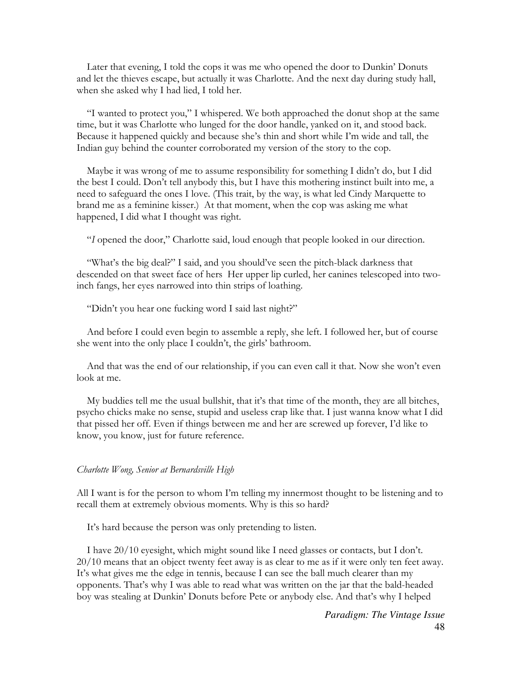Later that evening, I told the cops it was me who opened the door to Dunkin' Donuts and let the thieves escape, but actually it was Charlotte. And the next day during study hall, when she asked why I had lied, I told her.

 "I wanted to protect you," I whispered. We both approached the donut shop at the same time, but it was Charlotte who lunged for the door handle, yanked on it, and stood back. Because it happened quickly and because she's thin and short while I'm wide and tall, the Indian guy behind the counter corroborated my version of the story to the cop.

 Maybe it was wrong of me to assume responsibility for something I didn't do, but I did the best I could. Don't tell anybody this, but I have this mothering instinct built into me, a need to safeguard the ones I love. (This trait, by the way, is what led Cindy Marquette to brand me as a feminine kisser.) At that moment, when the cop was asking me what happened, I did what I thought was right.

"I opened the door," Charlotte said, loud enough that people looked in our direction.

 "What's the big deal?" I said, and you should've seen the pitch-black darkness that descended on that sweet face of hers Her upper lip curled, her canines telescoped into twoinch fangs, her eyes narrowed into thin strips of loathing.

"Didn't you hear one fucking word I said last night?"

 And before I could even begin to assemble a reply, she left. I followed her, but of course she went into the only place I couldn't, the girls' bathroom.

 And that was the end of our relationship, if you can even call it that. Now she won't even look at me.

 My buddies tell me the usual bullshit, that it's that time of the month, they are all bitches, psycho chicks make no sense, stupid and useless crap like that. I just wanna know what I did that pissed her off. Even if things between me and her are screwed up forever, I'd like to know, you know, just for future reference.

#### Charlotte Wong, Senior at Bernardsville High

All I want is for the person to whom I'm telling my innermost thought to be listening and to recall them at extremely obvious moments. Why is this so hard?

It's hard because the person was only pretending to listen.

 I have 20/10 eyesight, which might sound like I need glasses or contacts, but I don't. 20/10 means that an object twenty feet away is as clear to me as if it were only ten feet away. It's what gives me the edge in tennis, because I can see the ball much clearer than my opponents. That's why I was able to read what was written on the jar that the bald-headed boy was stealing at Dunkin' Donuts before Pete or anybody else. And that's why I helped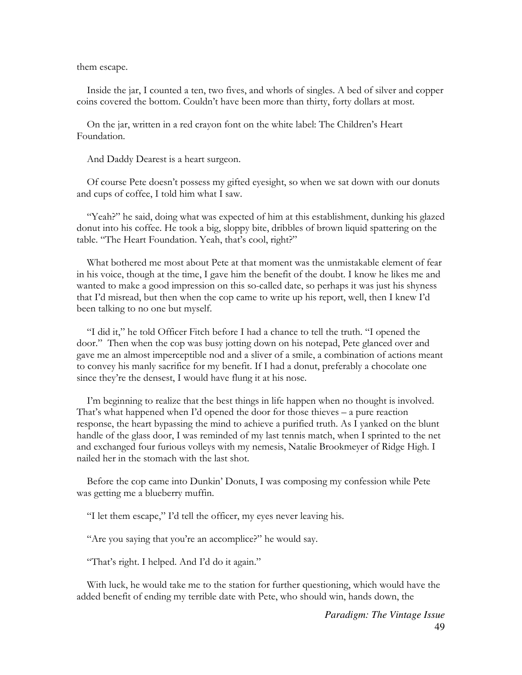them escape.

 Inside the jar, I counted a ten, two fives, and whorls of singles. A bed of silver and copper coins covered the bottom. Couldn't have been more than thirty, forty dollars at most.

 On the jar, written in a red crayon font on the white label: The Children's Heart Foundation.

And Daddy Dearest is a heart surgeon.

 Of course Pete doesn't possess my gifted eyesight, so when we sat down with our donuts and cups of coffee, I told him what I saw.

 "Yeah?" he said, doing what was expected of him at this establishment, dunking his glazed donut into his coffee. He took a big, sloppy bite, dribbles of brown liquid spattering on the table. "The Heart Foundation. Yeah, that's cool, right?"

 What bothered me most about Pete at that moment was the unmistakable element of fear in his voice, though at the time, I gave him the benefit of the doubt. I know he likes me and wanted to make a good impression on this so-called date, so perhaps it was just his shyness that I'd misread, but then when the cop came to write up his report, well, then I knew I'd been talking to no one but myself.

 "I did it," he told Officer Fitch before I had a chance to tell the truth. "I opened the door." Then when the cop was busy jotting down on his notepad, Pete glanced over and gave me an almost imperceptible nod and a sliver of a smile, a combination of actions meant to convey his manly sacrifice for my benefit. If I had a donut, preferably a chocolate one since they're the densest, I would have flung it at his nose.

 I'm beginning to realize that the best things in life happen when no thought is involved. That's what happened when I'd opened the door for those thieves – a pure reaction response, the heart bypassing the mind to achieve a purified truth. As I yanked on the blunt handle of the glass door, I was reminded of my last tennis match, when I sprinted to the net and exchanged four furious volleys with my nemesis, Natalie Brookmeyer of Ridge High. I nailed her in the stomach with the last shot.

 Before the cop came into Dunkin' Donuts, I was composing my confession while Pete was getting me a blueberry muffin.

"I let them escape," I'd tell the officer, my eyes never leaving his.

"Are you saying that you're an accomplice?" he would say.

"That's right. I helped. And I'd do it again."

 With luck, he would take me to the station for further questioning, which would have the added benefit of ending my terrible date with Pete, who should win, hands down, the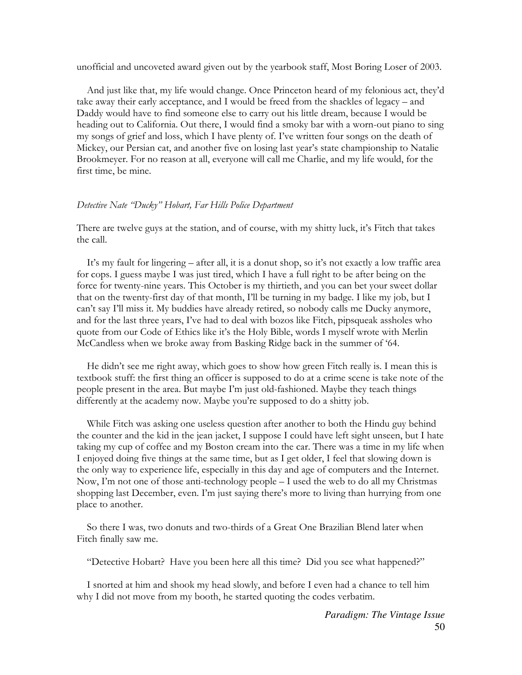unofficial and uncoveted award given out by the yearbook staff, Most Boring Loser of 2003.

 And just like that, my life would change. Once Princeton heard of my felonious act, they'd take away their early acceptance, and I would be freed from the shackles of legacy – and Daddy would have to find someone else to carry out his little dream, because I would be heading out to California. Out there, I would find a smoky bar with a worn-out piano to sing my songs of grief and loss, which I have plenty of. I've written four songs on the death of Mickey, our Persian cat, and another five on losing last year's state championship to Natalie Brookmeyer. For no reason at all, everyone will call me Charlie, and my life would, for the first time, be mine.

## Detective Nate "Ducky" Hobart, Far Hills Police Department

There are twelve guys at the station, and of course, with my shitty luck, it's Fitch that takes the call.

 It's my fault for lingering – after all, it is a donut shop, so it's not exactly a low traffic area for cops. I guess maybe I was just tired, which I have a full right to be after being on the force for twenty-nine years. This October is my thirtieth, and you can bet your sweet dollar that on the twenty-first day of that month, I'll be turning in my badge. I like my job, but I can't say I'll miss it. My buddies have already retired, so nobody calls me Ducky anymore, and for the last three years, I've had to deal with bozos like Fitch, pipsqueak assholes who quote from our Code of Ethics like it's the Holy Bible, words I myself wrote with Merlin McCandless when we broke away from Basking Ridge back in the summer of '64.

 He didn't see me right away, which goes to show how green Fitch really is. I mean this is textbook stuff: the first thing an officer is supposed to do at a crime scene is take note of the people present in the area. But maybe I'm just old-fashioned. Maybe they teach things differently at the academy now. Maybe you're supposed to do a shitty job.

 While Fitch was asking one useless question after another to both the Hindu guy behind the counter and the kid in the jean jacket, I suppose I could have left sight unseen, but I hate taking my cup of coffee and my Boston cream into the car. There was a time in my life when I enjoyed doing five things at the same time, but as I get older, I feel that slowing down is the only way to experience life, especially in this day and age of computers and the Internet. Now, I'm not one of those anti-technology people – I used the web to do all my Christmas shopping last December, even. I'm just saying there's more to living than hurrying from one place to another.

 So there I was, two donuts and two-thirds of a Great One Brazilian Blend later when Fitch finally saw me.

"Detective Hobart? Have you been here all this time? Did you see what happened?"

 I snorted at him and shook my head slowly, and before I even had a chance to tell him why I did not move from my booth, he started quoting the codes verbatim.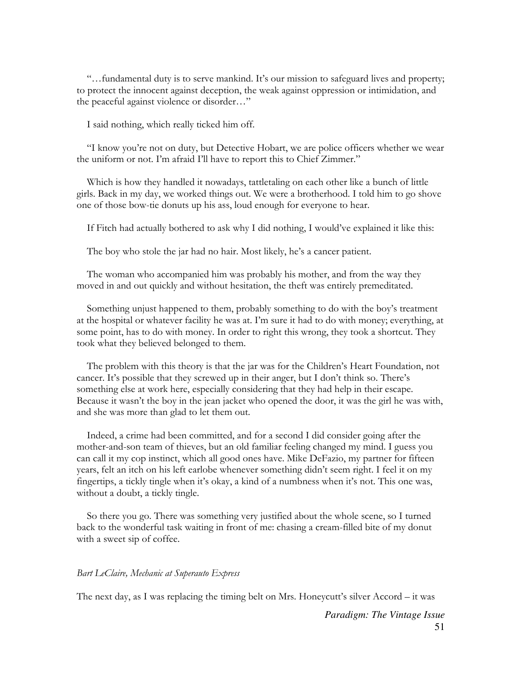"…fundamental duty is to serve mankind. It's our mission to safeguard lives and property; to protect the innocent against deception, the weak against oppression or intimidation, and the peaceful against violence or disorder…"

I said nothing, which really ticked him off.

 "I know you're not on duty, but Detective Hobart, we are police officers whether we wear the uniform or not. I'm afraid I'll have to report this to Chief Zimmer."

 Which is how they handled it nowadays, tattletaling on each other like a bunch of little girls. Back in my day, we worked things out. We were a brotherhood. I told him to go shove one of those bow-tie donuts up his ass, loud enough for everyone to hear.

If Fitch had actually bothered to ask why I did nothing, I would've explained it like this:

The boy who stole the jar had no hair. Most likely, he's a cancer patient.

 The woman who accompanied him was probably his mother, and from the way they moved in and out quickly and without hesitation, the theft was entirely premeditated.

 Something unjust happened to them, probably something to do with the boy's treatment at the hospital or whatever facility he was at. I'm sure it had to do with money; everything, at some point, has to do with money. In order to right this wrong, they took a shortcut. They took what they believed belonged to them.

 The problem with this theory is that the jar was for the Children's Heart Foundation, not cancer. It's possible that they screwed up in their anger, but I don't think so. There's something else at work here, especially considering that they had help in their escape. Because it wasn't the boy in the jean jacket who opened the door, it was the girl he was with, and she was more than glad to let them out.

 Indeed, a crime had been committed, and for a second I did consider going after the mother-and-son team of thieves, but an old familiar feeling changed my mind. I guess you can call it my cop instinct, which all good ones have. Mike DeFazio, my partner for fifteen years, felt an itch on his left earlobe whenever something didn't seem right. I feel it on my fingertips, a tickly tingle when it's okay, a kind of a numbness when it's not. This one was, without a doubt, a tickly tingle.

 So there you go. There was something very justified about the whole scene, so I turned back to the wonderful task waiting in front of me: chasing a cream-filled bite of my donut with a sweet sip of coffee.

#### Bart LeClaire, Mechanic at Superauto Express

The next day, as I was replacing the timing belt on Mrs. Honeycutt's silver Accord – it was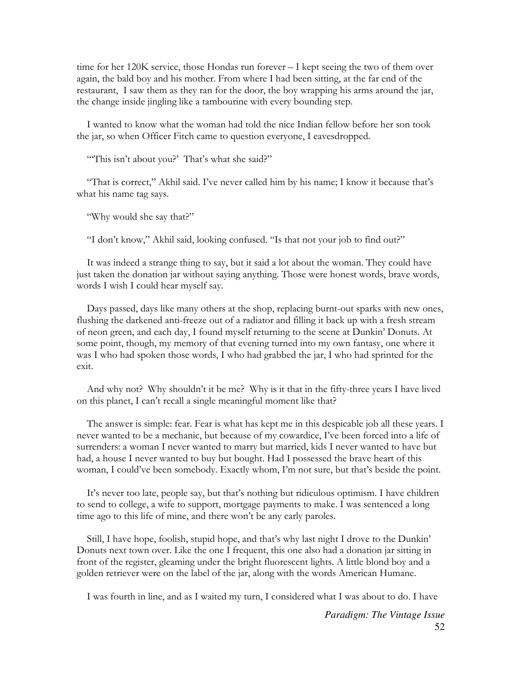time for her 120K service, those Hondas run forever – I kept seeing the two of them over again, the bald boy and his mother. From where I had been sitting, at the far end of the restaurant, I saw them as they ran for the door, the boy wrapping his arms around the jar, the change inside jingling like a tambourine with every bounding step.

 I wanted to know what the woman had told the nice Indian fellow before her son took the jar, so when Officer Fitch came to question everyone, I eavesdropped.

"This isn't about you?' That's what she said?"

 "That is correct," Akhil said. I've never called him by his name; I know it because that's what his name tag says.

"Why would she say that?"

"I don't know," Akhil said, looking confused. "Is that not your job to find out?"

 It was indeed a strange thing to say, but it said a lot about the woman. They could have just taken the donation jar without saying anything. Those were honest words, brave words, words I wish I could hear myself say.

 Days passed, days like many others at the shop, replacing burnt-out sparks with new ones, flushing the darkened anti-freeze out of a radiator and filling it back up with a fresh stream of neon green, and each day, I found myself returning to the scene at Dunkin' Donuts. At some point, though, my memory of that evening turned into my own fantasy, one where it was I who had spoken those words, I who had grabbed the jar, I who had sprinted for the exit.

 And why not? Why shouldn't it be me? Why is it that in the fifty-three years I have lived on this planet, I can't recall a single meaningful moment like that?

 The answer is simple: fear. Fear is what has kept me in this despicable job all these years. I never wanted to be a mechanic, but because of my cowardice, I've been forced into a life of surrenders: a woman I never wanted to marry but married, kids I never wanted to have but had, a house I never wanted to buy but bought. Had I possessed the brave heart of this woman, I could've been somebody. Exactly whom, I'm not sure, but that's beside the point.

 It's never too late, people say, but that's nothing but ridiculous optimism. I have children to send to college, a wife to support, mortgage payments to make. I was sentenced a long time ago to this life of mine, and there won't be any early paroles.

 Still, I have hope, foolish, stupid hope, and that's why last night I drove to the Dunkin' Donuts next town over. Like the one I frequent, this one also had a donation jar sitting in front of the register, gleaming under the bright fluorescent lights. A little blond boy and a golden retriever were on the label of the jar, along with the words American Humane.

I was fourth in line, and as I waited my turn, I considered what I was about to do. I have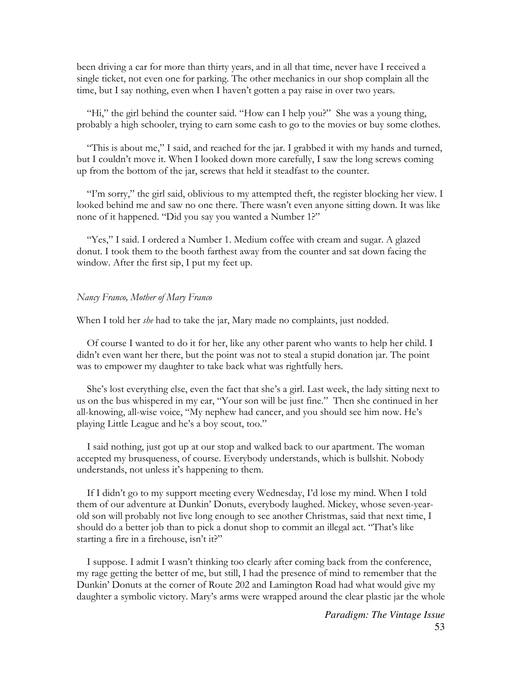been driving a car for more than thirty years, and in all that time, never have I received a single ticket, not even one for parking. The other mechanics in our shop complain all the time, but I say nothing, even when I haven't gotten a pay raise in over two years.

 "Hi," the girl behind the counter said. "How can I help you?" She was a young thing, probably a high schooler, trying to earn some cash to go to the movies or buy some clothes.

 "This is about me," I said, and reached for the jar. I grabbed it with my hands and turned, but I couldn't move it. When I looked down more carefully, I saw the long screws coming up from the bottom of the jar, screws that held it steadfast to the counter.

 "I'm sorry," the girl said, oblivious to my attempted theft, the register blocking her view. I looked behind me and saw no one there. There wasn't even anyone sitting down. It was like none of it happened. "Did you say you wanted a Number 1?"

 "Yes," I said. I ordered a Number 1. Medium coffee with cream and sugar. A glazed donut. I took them to the booth farthest away from the counter and sat down facing the window. After the first sip, I put my feet up.

#### Nancy Franco, Mother of Mary Franco

When I told her *she* had to take the jar, Mary made no complaints, just nodded.

 Of course I wanted to do it for her, like any other parent who wants to help her child. I didn't even want her there, but the point was not to steal a stupid donation jar. The point was to empower my daughter to take back what was rightfully hers.

 She's lost everything else, even the fact that she's a girl. Last week, the lady sitting next to us on the bus whispered in my ear, "Your son will be just fine." Then she continued in her all-knowing, all-wise voice, "My nephew had cancer, and you should see him now. He's playing Little League and he's a boy scout, too."

 I said nothing, just got up at our stop and walked back to our apartment. The woman accepted my brusqueness, of course. Everybody understands, which is bullshit. Nobody understands, not unless it's happening to them.

 If I didn't go to my support meeting every Wednesday, I'd lose my mind. When I told them of our adventure at Dunkin' Donuts, everybody laughed. Mickey, whose seven-yearold son will probably not live long enough to see another Christmas, said that next time, I should do a better job than to pick a donut shop to commit an illegal act. "That's like starting a fire in a firehouse, isn't it?"

 I suppose. I admit I wasn't thinking too clearly after coming back from the conference, my rage getting the better of me, but still, I had the presence of mind to remember that the Dunkin' Donuts at the corner of Route 202 and Lamington Road had what would give my daughter a symbolic victory. Mary's arms were wrapped around the clear plastic jar the whole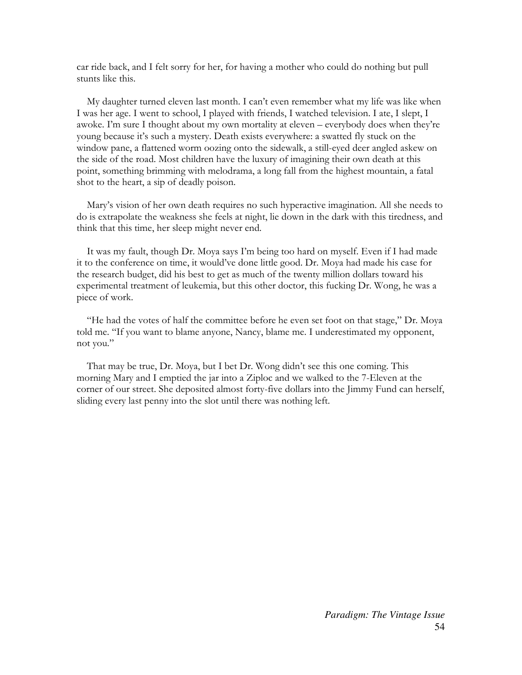car ride back, and I felt sorry for her, for having a mother who could do nothing but pull stunts like this.

 My daughter turned eleven last month. I can't even remember what my life was like when I was her age. I went to school, I played with friends, I watched television. I ate, I slept, I awoke. I'm sure I thought about my own mortality at eleven – everybody does when they're young because it's such a mystery. Death exists everywhere: a swatted fly stuck on the window pane, a flattened worm oozing onto the sidewalk, a still-eyed deer angled askew on the side of the road. Most children have the luxury of imagining their own death at this point, something brimming with melodrama, a long fall from the highest mountain, a fatal shot to the heart, a sip of deadly poison.

 Mary's vision of her own death requires no such hyperactive imagination. All she needs to do is extrapolate the weakness she feels at night, lie down in the dark with this tiredness, and think that this time, her sleep might never end.

 It was my fault, though Dr. Moya says I'm being too hard on myself. Even if I had made it to the conference on time, it would've done little good. Dr. Moya had made his case for the research budget, did his best to get as much of the twenty million dollars toward his experimental treatment of leukemia, but this other doctor, this fucking Dr. Wong, he was a piece of work.

 "He had the votes of half the committee before he even set foot on that stage," Dr. Moya told me. "If you want to blame anyone, Nancy, blame me. I underestimated my opponent, not you."

 That may be true, Dr. Moya, but I bet Dr. Wong didn't see this one coming. This morning Mary and I emptied the jar into a Ziploc and we walked to the 7-Eleven at the corner of our street. She deposited almost forty-five dollars into the Jimmy Fund can herself, sliding every last penny into the slot until there was nothing left.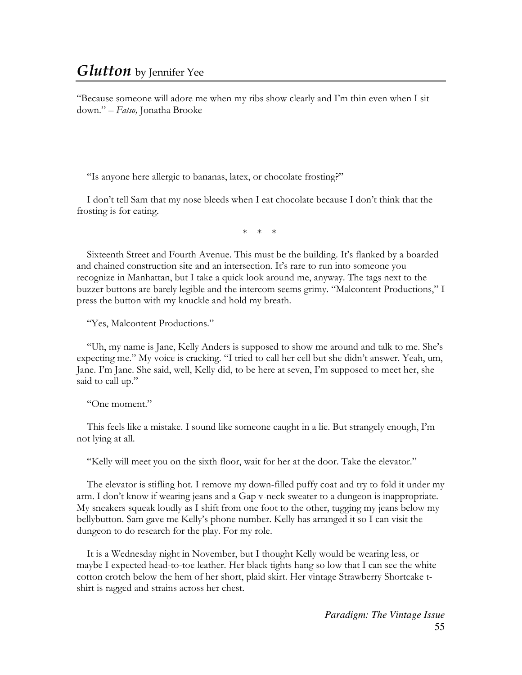"Because someone will adore me when my ribs show clearly and I'm thin even when I sit down." – Fatso, Jonatha Brooke

"Is anyone here allergic to bananas, latex, or chocolate frosting?"

 I don't tell Sam that my nose bleeds when I eat chocolate because I don't think that the frosting is for eating.

\* \* \*

 Sixteenth Street and Fourth Avenue. This must be the building. It's flanked by a boarded and chained construction site and an intersection. It's rare to run into someone you recognize in Manhattan, but I take a quick look around me, anyway. The tags next to the buzzer buttons are barely legible and the intercom seems grimy. "Malcontent Productions," I press the button with my knuckle and hold my breath.

"Yes, Malcontent Productions."

 "Uh, my name is Jane, Kelly Anders is supposed to show me around and talk to me. She's expecting me." My voice is cracking. "I tried to call her cell but she didn't answer. Yeah, um, Jane. I'm Jane. She said, well, Kelly did, to be here at seven, I'm supposed to meet her, she said to call up."

"One moment."

 This feels like a mistake. I sound like someone caught in a lie. But strangely enough, I'm not lying at all.

"Kelly will meet you on the sixth floor, wait for her at the door. Take the elevator."

 The elevator is stifling hot. I remove my down-filled puffy coat and try to fold it under my arm. I don't know if wearing jeans and a Gap v-neck sweater to a dungeon is inappropriate. My sneakers squeak loudly as I shift from one foot to the other, tugging my jeans below my bellybutton. Sam gave me Kelly's phone number. Kelly has arranged it so I can visit the dungeon to do research for the play. For my role.

 It is a Wednesday night in November, but I thought Kelly would be wearing less, or maybe I expected head-to-toe leather. Her black tights hang so low that I can see the white cotton crotch below the hem of her short, plaid skirt. Her vintage Strawberry Shortcake tshirt is ragged and strains across her chest.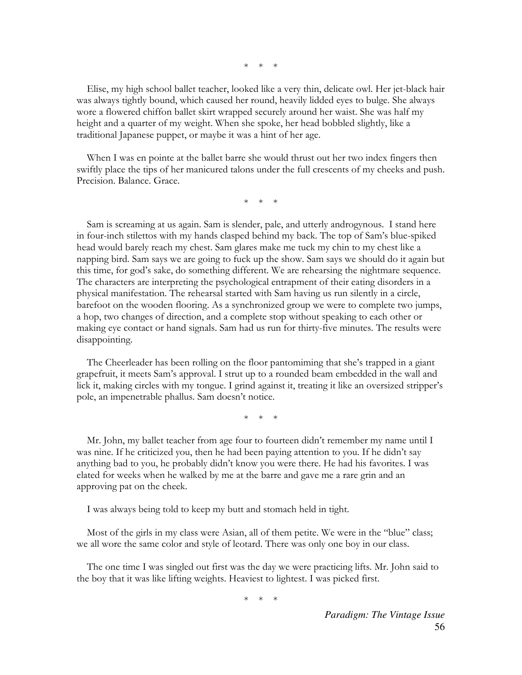\* \* \*

 Elise, my high school ballet teacher, looked like a very thin, delicate owl. Her jet-black hair was always tightly bound, which caused her round, heavily lidded eyes to bulge. She always wore a flowered chiffon ballet skirt wrapped securely around her waist. She was half my height and a quarter of my weight. When she spoke, her head bobbled slightly, like a traditional Japanese puppet, or maybe it was a hint of her age.

 When I was en pointe at the ballet barre she would thrust out her two index fingers then swiftly place the tips of her manicured talons under the full crescents of my cheeks and push. Precision. Balance. Grace.

\* \* \*

 Sam is screaming at us again. Sam is slender, pale, and utterly androgynous. I stand here in four-inch stilettos with my hands clasped behind my back. The top of Sam's blue-spiked head would barely reach my chest. Sam glares make me tuck my chin to my chest like a napping bird. Sam says we are going to fuck up the show. Sam says we should do it again but this time, for god's sake, do something different. We are rehearsing the nightmare sequence. The characters are interpreting the psychological entrapment of their eating disorders in a physical manifestation. The rehearsal started with Sam having us run silently in a circle, barefoot on the wooden flooring. As a synchronized group we were to complete two jumps, a hop, two changes of direction, and a complete stop without speaking to each other or making eye contact or hand signals. Sam had us run for thirty-five minutes. The results were disappointing.

 The Cheerleader has been rolling on the floor pantomiming that she's trapped in a giant grapefruit, it meets Sam's approval. I strut up to a rounded beam embedded in the wall and lick it, making circles with my tongue. I grind against it, treating it like an oversized stripper's pole, an impenetrable phallus. Sam doesn't notice.

\* \* \*

 Mr. John, my ballet teacher from age four to fourteen didn't remember my name until I was nine. If he criticized you, then he had been paying attention to you. If he didn't say anything bad to you, he probably didn't know you were there. He had his favorites. I was elated for weeks when he walked by me at the barre and gave me a rare grin and an approving pat on the cheek.

I was always being told to keep my butt and stomach held in tight.

 Most of the girls in my class were Asian, all of them petite. We were in the "blue" class; we all wore the same color and style of leotard. There was only one boy in our class.

 The one time I was singled out first was the day we were practicing lifts. Mr. John said to the boy that it was like lifting weights. Heaviest to lightest. I was picked first.

\* \* \*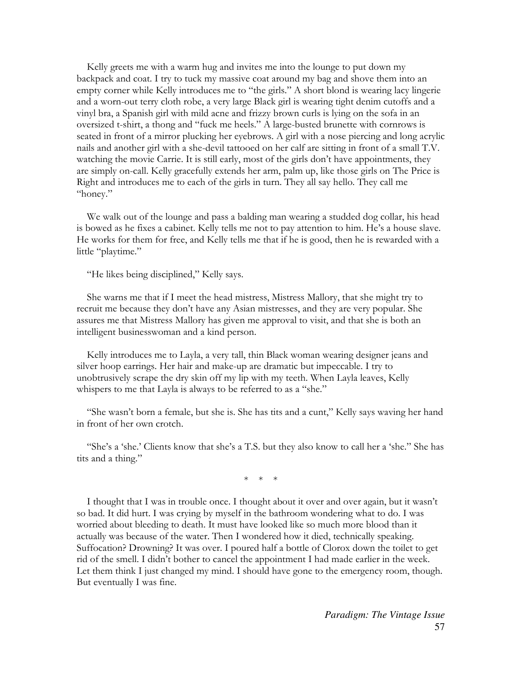Kelly greets me with a warm hug and invites me into the lounge to put down my backpack and coat. I try to tuck my massive coat around my bag and shove them into an empty corner while Kelly introduces me to "the girls." A short blond is wearing lacy lingerie and a worn-out terry cloth robe, a very large Black girl is wearing tight denim cutoffs and a vinyl bra, a Spanish girl with mild acne and frizzy brown curls is lying on the sofa in an oversized t-shirt, a thong and "fuck me heels." A large-busted brunette with cornrows is seated in front of a mirror plucking her eyebrows. A girl with a nose piercing and long acrylic nails and another girl with a she-devil tattooed on her calf are sitting in front of a small T.V. watching the movie Carrie. It is still early, most of the girls don't have appointments, they are simply on-call. Kelly gracefully extends her arm, palm up, like those girls on The Price is Right and introduces me to each of the girls in turn. They all say hello. They call me "honey."

 We walk out of the lounge and pass a balding man wearing a studded dog collar, his head is bowed as he fixes a cabinet. Kelly tells me not to pay attention to him. He's a house slave. He works for them for free, and Kelly tells me that if he is good, then he is rewarded with a little "playtime."

"He likes being disciplined," Kelly says.

 She warns me that if I meet the head mistress, Mistress Mallory, that she might try to recruit me because they don't have any Asian mistresses, and they are very popular. She assures me that Mistress Mallory has given me approval to visit, and that she is both an intelligent businesswoman and a kind person.

 Kelly introduces me to Layla, a very tall, thin Black woman wearing designer jeans and silver hoop earrings. Her hair and make-up are dramatic but impeccable. I try to unobtrusively scrape the dry skin off my lip with my teeth. When Layla leaves, Kelly whispers to me that Layla is always to be referred to as a "she."

 "She wasn't born a female, but she is. She has tits and a cunt," Kelly says waving her hand in front of her own crotch.

 "She's a 'she.' Clients know that she's a T.S. but they also know to call her a 'she." She has tits and a thing."

\* \* \*

 I thought that I was in trouble once. I thought about it over and over again, but it wasn't so bad. It did hurt. I was crying by myself in the bathroom wondering what to do. I was worried about bleeding to death. It must have looked like so much more blood than it actually was because of the water. Then I wondered how it died, technically speaking. Suffocation? Drowning? It was over. I poured half a bottle of Clorox down the toilet to get rid of the smell. I didn't bother to cancel the appointment I had made earlier in the week. Let them think I just changed my mind. I should have gone to the emergency room, though. But eventually I was fine.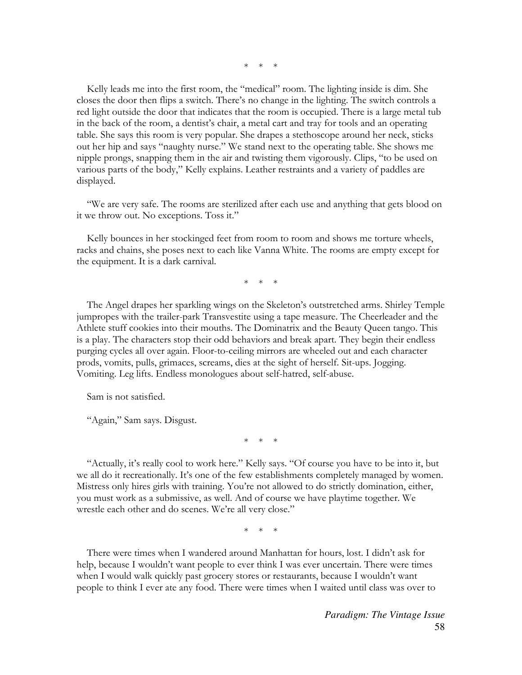\* \* \*

 Kelly leads me into the first room, the "medical" room. The lighting inside is dim. She closes the door then flips a switch. There's no change in the lighting. The switch controls a red light outside the door that indicates that the room is occupied. There is a large metal tub in the back of the room, a dentist's chair, a metal cart and tray for tools and an operating table. She says this room is very popular. She drapes a stethoscope around her neck, sticks out her hip and says "naughty nurse." We stand next to the operating table. She shows me nipple prongs, snapping them in the air and twisting them vigorously. Clips, "to be used on various parts of the body," Kelly explains. Leather restraints and a variety of paddles are displayed.

 "We are very safe. The rooms are sterilized after each use and anything that gets blood on it we throw out. No exceptions. Toss it."

 Kelly bounces in her stockinged feet from room to room and shows me torture wheels, racks and chains, she poses next to each like Vanna White. The rooms are empty except for the equipment. It is a dark carnival.

\* \* \*

 The Angel drapes her sparkling wings on the Skeleton's outstretched arms. Shirley Temple jumpropes with the trailer-park Transvestite using a tape measure. The Cheerleader and the Athlete stuff cookies into their mouths. The Dominatrix and the Beauty Queen tango. This is a play. The characters stop their odd behaviors and break apart. They begin their endless purging cycles all over again. Floor-to-ceiling mirrors are wheeled out and each character prods, vomits, pulls, grimaces, screams, dies at the sight of herself. Sit-ups. Jogging. Vomiting. Leg lifts. Endless monologues about self-hatred, self-abuse.

Sam is not satisfied.

"Again," Sam says. Disgust.

\* \* \*

 "Actually, it's really cool to work here." Kelly says. "Of course you have to be into it, but we all do it recreationally. It's one of the few establishments completely managed by women. Mistress only hires girls with training. You're not allowed to do strictly domination, either, you must work as a submissive, as well. And of course we have playtime together. We wrestle each other and do scenes. We're all very close."

\* \* \*

 There were times when I wandered around Manhattan for hours, lost. I didn't ask for help, because I wouldn't want people to ever think I was ever uncertain. There were times when I would walk quickly past grocery stores or restaurants, because I wouldn't want people to think I ever ate any food. There were times when I waited until class was over to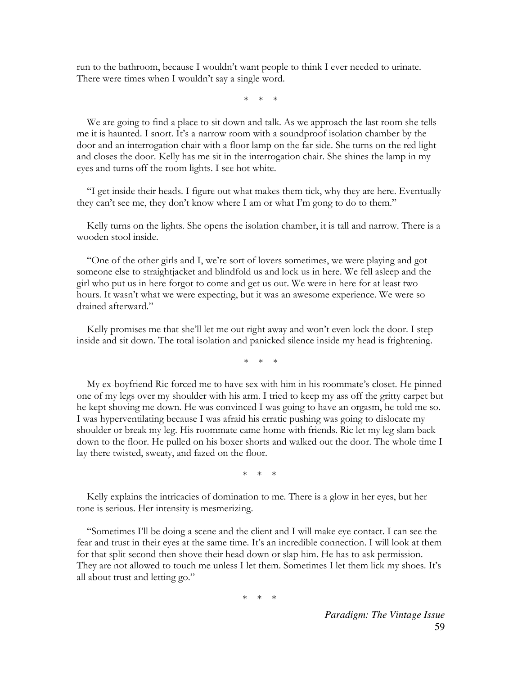run to the bathroom, because I wouldn't want people to think I ever needed to urinate. There were times when I wouldn't say a single word.

\* \* \*

 We are going to find a place to sit down and talk. As we approach the last room she tells me it is haunted. I snort. It's a narrow room with a soundproof isolation chamber by the door and an interrogation chair with a floor lamp on the far side. She turns on the red light and closes the door. Kelly has me sit in the interrogation chair. She shines the lamp in my eyes and turns off the room lights. I see hot white.

 "I get inside their heads. I figure out what makes them tick, why they are here. Eventually they can't see me, they don't know where I am or what I'm gong to do to them."

Kelly turns on the lights. She opens the isolation chamber, it is tall and narrow. There is a wooden stool inside.

 "One of the other girls and I, we're sort of lovers sometimes, we were playing and got someone else to straightjacket and blindfold us and lock us in here. We fell asleep and the girl who put us in here forgot to come and get us out. We were in here for at least two hours. It wasn't what we were expecting, but it was an awesome experience. We were so drained afterward."

Kelly promises me that she'll let me out right away and won't even lock the door. I step inside and sit down. The total isolation and panicked silence inside my head is frightening.

\* \* \*

 My ex-boyfriend Ric forced me to have sex with him in his roommate's closet. He pinned one of my legs over my shoulder with his arm. I tried to keep my ass off the gritty carpet but he kept shoving me down. He was convinced I was going to have an orgasm, he told me so. I was hyperventilating because I was afraid his erratic pushing was going to dislocate my shoulder or break my leg. His roommate came home with friends. Ric let my leg slam back down to the floor. He pulled on his boxer shorts and walked out the door. The whole time I lay there twisted, sweaty, and fazed on the floor.

\* \* \*

 Kelly explains the intricacies of domination to me. There is a glow in her eyes, but her tone is serious. Her intensity is mesmerizing.

 "Sometimes I'll be doing a scene and the client and I will make eye contact. I can see the fear and trust in their eyes at the same time. It's an incredible connection. I will look at them for that split second then shove their head down or slap him. He has to ask permission. They are not allowed to touch me unless I let them. Sometimes I let them lick my shoes. It's all about trust and letting go."

\* \* \*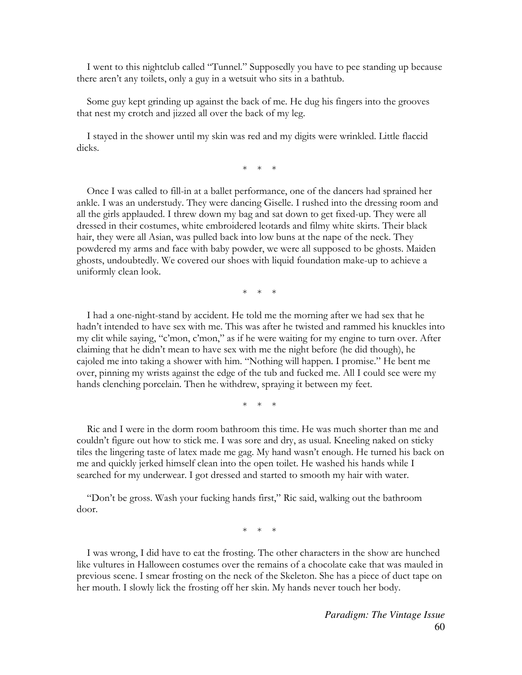I went to this nightclub called "Tunnel." Supposedly you have to pee standing up because there aren't any toilets, only a guy in a wetsuit who sits in a bathtub.

 Some guy kept grinding up against the back of me. He dug his fingers into the grooves that nest my crotch and jizzed all over the back of my leg.

 I stayed in the shower until my skin was red and my digits were wrinkled. Little flaccid dicks.

\* \* \*

 Once I was called to fill-in at a ballet performance, one of the dancers had sprained her ankle. I was an understudy. They were dancing Giselle. I rushed into the dressing room and all the girls applauded. I threw down my bag and sat down to get fixed-up. They were all dressed in their costumes, white embroidered leotards and filmy white skirts. Their black hair, they were all Asian, was pulled back into low buns at the nape of the neck. They powdered my arms and face with baby powder, we were all supposed to be ghosts. Maiden ghosts, undoubtedly. We covered our shoes with liquid foundation make-up to achieve a uniformly clean look.

\* \* \*

 I had a one-night-stand by accident. He told me the morning after we had sex that he hadn't intended to have sex with me. This was after he twisted and rammed his knuckles into my clit while saying, "c'mon, c'mon," as if he were waiting for my engine to turn over. After claiming that he didn't mean to have sex with me the night before (he did though), he cajoled me into taking a shower with him. "Nothing will happen. I promise." He bent me over, pinning my wrists against the edge of the tub and fucked me. All I could see were my hands clenching porcelain. Then he withdrew, spraying it between my feet.

\* \* \*

 Ric and I were in the dorm room bathroom this time. He was much shorter than me and couldn't figure out how to stick me. I was sore and dry, as usual. Kneeling naked on sticky tiles the lingering taste of latex made me gag. My hand wasn't enough. He turned his back on me and quickly jerked himself clean into the open toilet. He washed his hands while I searched for my underwear. I got dressed and started to smooth my hair with water.

 "Don't be gross. Wash your fucking hands first," Ric said, walking out the bathroom door.

\* \* \*

 I was wrong, I did have to eat the frosting. The other characters in the show are hunched like vultures in Halloween costumes over the remains of a chocolate cake that was mauled in previous scene. I smear frosting on the neck of the Skeleton. She has a piece of duct tape on her mouth. I slowly lick the frosting off her skin. My hands never touch her body.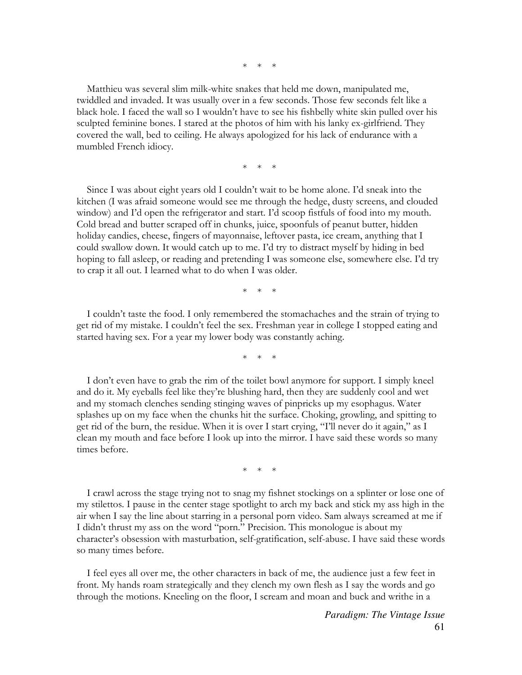\* \* \*

 Matthieu was several slim milk-white snakes that held me down, manipulated me, twiddled and invaded. It was usually over in a few seconds. Those few seconds felt like a black hole. I faced the wall so I wouldn't have to see his fishbelly white skin pulled over his sculpted feminine bones. I stared at the photos of him with his lanky ex-girlfriend. They covered the wall, bed to ceiling. He always apologized for his lack of endurance with a mumbled French idiocy.

\* \* \*

 Since I was about eight years old I couldn't wait to be home alone. I'd sneak into the kitchen (I was afraid someone would see me through the hedge, dusty screens, and clouded window) and I'd open the refrigerator and start. I'd scoop fistfuls of food into my mouth. Cold bread and butter scraped off in chunks, juice, spoonfuls of peanut butter, hidden holiday candies, cheese, fingers of mayonnaise, leftover pasta, ice cream, anything that I could swallow down. It would catch up to me. I'd try to distract myself by hiding in bed hoping to fall asleep, or reading and pretending I was someone else, somewhere else. I'd try to crap it all out. I learned what to do when I was older.

 $*$ 

 I couldn't taste the food. I only remembered the stomachaches and the strain of trying to get rid of my mistake. I couldn't feel the sex. Freshman year in college I stopped eating and started having sex. For a year my lower body was constantly aching.

\* \* \*

 I don't even have to grab the rim of the toilet bowl anymore for support. I simply kneel and do it. My eyeballs feel like they're blushing hard, then they are suddenly cool and wet and my stomach clenches sending stinging waves of pinpricks up my esophagus. Water splashes up on my face when the chunks hit the surface. Choking, growling, and spitting to get rid of the burn, the residue. When it is over I start crying, "I'll never do it again," as I clean my mouth and face before I look up into the mirror. I have said these words so many times before.

\* \* \*

 I crawl across the stage trying not to snag my fishnet stockings on a splinter or lose one of my stilettos. I pause in the center stage spotlight to arch my back and stick my ass high in the air when I say the line about starring in a personal porn video. Sam always screamed at me if I didn't thrust my ass on the word "porn." Precision. This monologue is about my character's obsession with masturbation, self-gratification, self-abuse. I have said these words so many times before.

 I feel eyes all over me, the other characters in back of me, the audience just a few feet in front. My hands roam strategically and they clench my own flesh as I say the words and go through the motions. Kneeling on the floor, I scream and moan and buck and writhe in a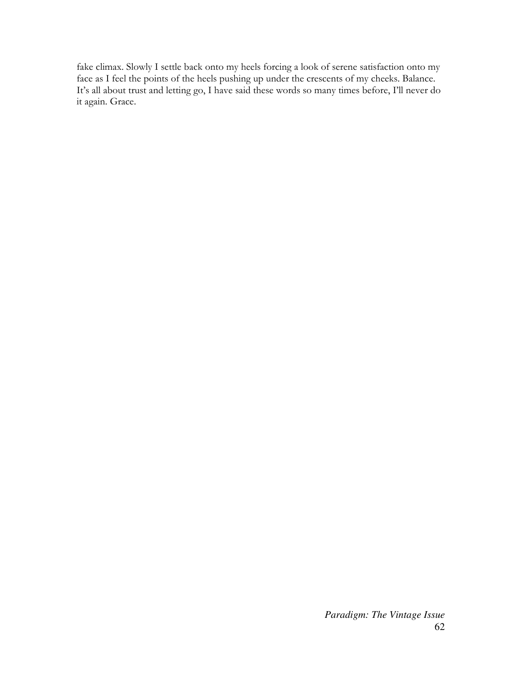fake climax. Slowly I settle back onto my heels forcing a look of serene satisfaction onto my face as I feel the points of the heels pushing up under the crescents of my cheeks. Balance. It's all about trust and letting go, I have said these words so many times before, I'll never do it again. Grace.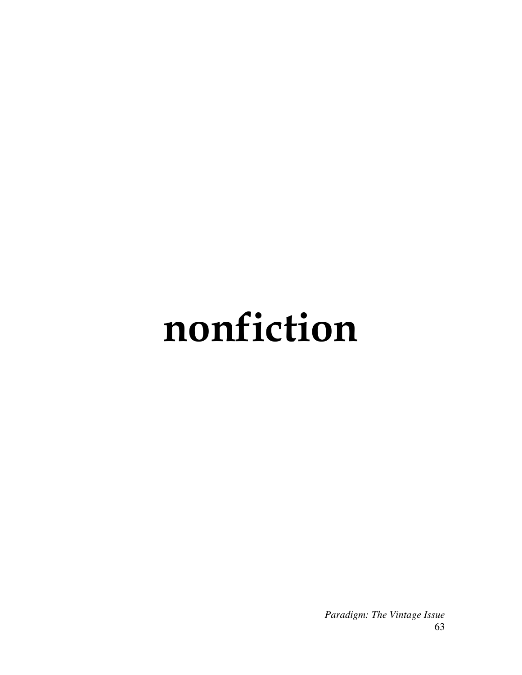# nonfiction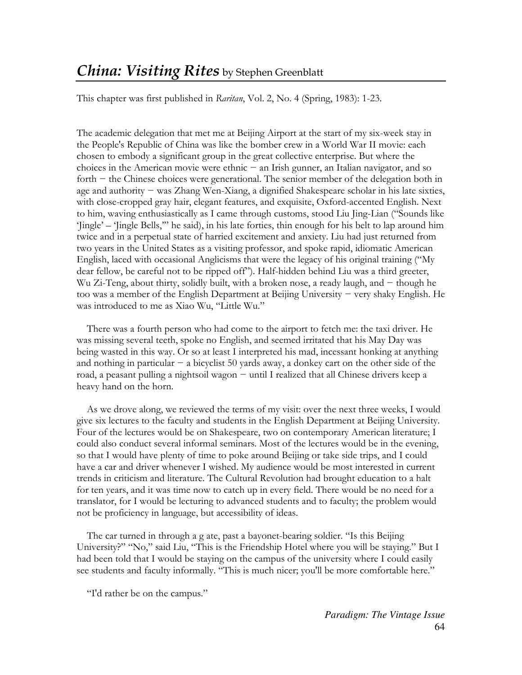This chapter was first published in Raritan, Vol. 2, No. 4 (Spring, 1983): 1-23.

The academic delegation that met me at Beijing Airport at the start of my six-week stay in the People's Republic of China was like the bomber crew in a World War II movie: each chosen to embody a significant group in the great collective enterprise. But where the choices in the American movie were ethnic − an Irish gunner, an Italian navigator, and so forth − the Chinese choices were generational. The senior member of the delegation both in age and authority − was Zhang Wen-Xiang, a dignified Shakespeare scholar in his late sixties, with close-cropped gray hair, elegant features, and exquisite, Oxford-accented English. Next to him, waving enthusiastically as I came through customs, stood Liu Jing-Lian ("Sounds like 'Jingle' – 'Jingle Bells,'" he said), in his late forties, thin enough for his belt to lap around him twice and in a perpetual state of harried excitement and anxiety. Liu had just returned from two years in the United States as a visiting professor, and spoke rapid, idiomatic American English, laced with occasional Anglicisms that were the legacy of his original training ("My dear fellow, be careful not to be ripped off"). Half-hidden behind Liu was a third greeter, Wu Zi-Teng, about thirty, solidly built, with a broken nose, a ready laugh, and − though he too was a member of the English Department at Beijing University − very shaky English. He was introduced to me as Xiao Wu, "Little Wu."

 There was a fourth person who had come to the airport to fetch me: the taxi driver. He was missing several teeth, spoke no English, and seemed irritated that his May Day was being wasted in this way. Or so at least I interpreted his mad, incessant honking at anything and nothing in particular − a bicyclist 50 yards away, a donkey cart on the other side of the road, a peasant pulling a nightsoil wagon − until I realized that all Chinese drivers keep a heavy hand on the horn.

 As we drove along, we reviewed the terms of my visit: over the next three weeks, I would give six lectures to the faculty and students in the English Department at Beijing University. Four of the lectures would be on Shakespeare, two on contemporary American literature; I could also conduct several informal seminars. Most of the lectures would be in the evening, so that I would have plenty of time to poke around Beijing or take side trips, and I could have a car and driver whenever I wished. My audience would be most interested in current trends in criticism and literature. The Cultural Revolution had brought education to a halt for ten years, and it was time now to catch up in every field. There would be no need for a translator, for I would be lecturing to advanced students and to faculty; the problem would not be proficiency in language, but accessibility of ideas.

 The car turned in through a g ate, past a bayonet-bearing soldier. "Is this Beijing University?" "No," said Liu, "This is the Friendship Hotel where you will be staying." But I had been told that I would be staying on the campus of the university where I could easily see students and faculty informally. "This is much nicer; you'll be more comfortable here."

"I'd rather be on the campus."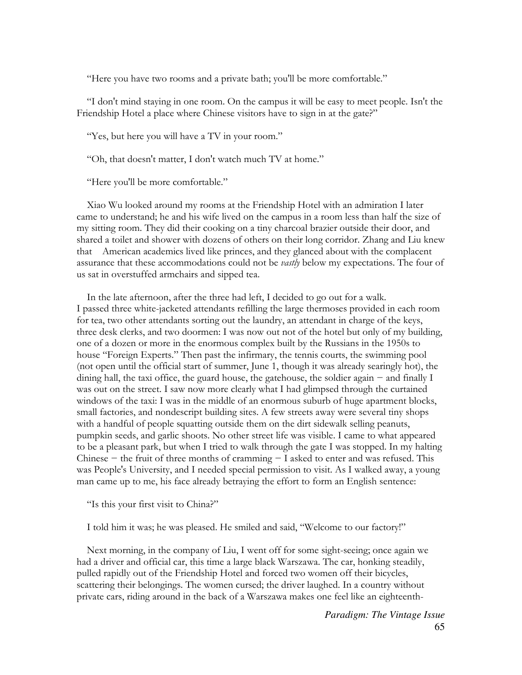"Here you have two rooms and a private bath; you'll be more comfortable."

 "I don't mind staying in one room. On the campus it will be easy to meet people. Isn't the Friendship Hotel a place where Chinese visitors have to sign in at the gate?"

"Yes, but here you will have a TV in your room."

"Oh, that doesn't matter, I don't watch much TV at home."

"Here you'll be more comfortable."

 Xiao Wu looked around my rooms at the Friendship Hotel with an admiration I later came to understand; he and his wife lived on the campus in a room less than half the size of my sitting room. They did their cooking on a tiny charcoal brazier outside their door, and shared a toilet and shower with dozens of others on their long corridor. Zhang and Liu knew that American academics lived like princes, and they glanced about with the complacent assurance that these accommodations could not be *vastly* below my expectations. The four of us sat in overstuffed armchairs and sipped tea.

 In the late afternoon, after the three had left, I decided to go out for a walk. I passed three white-jacketed attendants refilling the large thermoses provided in each room for tea, two other attendants sorting out the laundry, an attendant in charge of the keys, three desk clerks, and two doormen: I was now out not of the hotel but only of my building, one of a dozen or more in the enormous complex built by the Russians in the 1950s to house "Foreign Experts." Then past the infirmary, the tennis courts, the swimming pool (not open until the official start of summer, June 1, though it was already searingly hot), the dining hall, the taxi office, the guard house, the gatehouse, the soldier again − and finally I was out on the street. I saw now more clearly what I had glimpsed through the curtained windows of the taxi: I was in the middle of an enormous suburb of huge apartment blocks, small factories, and nondescript building sites. A few streets away were several tiny shops with a handful of people squatting outside them on the dirt sidewalk selling peanuts, pumpkin seeds, and garlic shoots. No other street life was visible. I came to what appeared to be a pleasant park, but when I tried to walk through the gate I was stopped. In my halting Chinese − the fruit of three months of cramming − I asked to enter and was refused. This was People's University, and I needed special permission to visit. As I walked away, a young man came up to me, his face already betraying the effort to form an English sentence:

"Is this your first visit to China?"

I told him it was; he was pleased. He smiled and said, "Welcome to our factory!"

 Next morning, in the company of Liu, I went off for some sight-seeing; once again we had a driver and official car, this time a large black Warszawa. The car, honking steadily, pulled rapidly out of the Friendship Hotel and forced two women off their bicycles, scattering their belongings. The women cursed; the driver laughed. In a country without private cars, riding around in the back of a Warszawa makes one feel like an eighteenth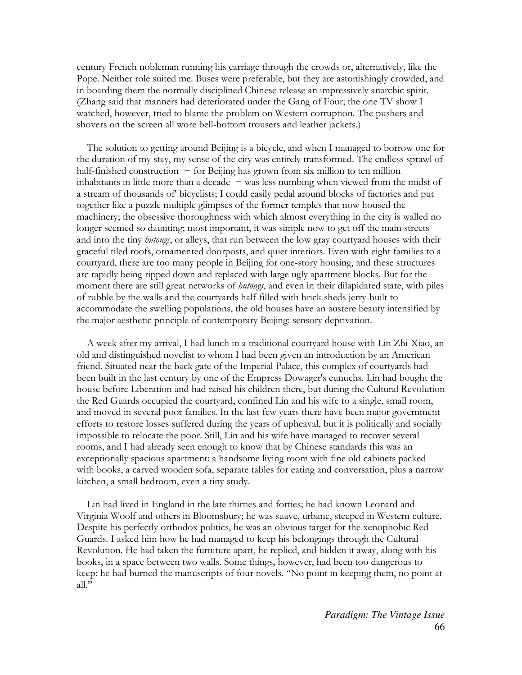century French nobleman running his carriage through the crowds or, alternatively, like the Pope. Neither role suited me. Buses were preferable, but they are astonishingly crowded, and in boarding them the normally disciplined Chinese release an impressively anarchic spirit. (Zhang said that manners had deteriorated under the Gang of Four; the one TV show I watched, however, tried to blame the problem on Western corruption. The pushers and shovers on the screen all wore bell-bottom trousers and leather jackets.)

 The solution to getting around Beijing is a bicycle, and when I managed to borrow one for the duration of my stay, my sense of the city was entirely transformed. The endless sprawl of half-finished construction − for Beijing has grown from six million to ten million inhabitants in little more than a decade − was less numbing when viewed from the midst of a stream of thousands of' bicyclists; I could easily pedal around blocks of factories and put together like a puzzle multiple glimpses of the former temples that now housed the machinery; the obsessive thoroughness with which almost everything in the city is walled no longer seemed so daunting; most important, it was simple now to get off the main streets and into the tiny *butongs*, or alleys, that run between the low gray courtyard houses with their graceful tiled roofs, ornamented doorposts, and quiet interiors. Even with eight families to a courtyard, there are too many people in Beijing for one-story housing, and these structures arc rapidly being ripped down and replaced with large ugly apartment blocks. But for the moment there are still great networks of *hutongs*, and even in their dilapidated state, with piles of rubble by the walls and the courtyards half-filled with brick sheds jerry-built to accommodate the swelling populations, the old houses have an austere beauty intensified by the major aesthetic principle of contemporary Beijing: sensory deprivation.

 A week after my arrival, I had lunch in a traditional courtyard house with Lin Zhi-Xiao, an old and distinguished novelist to whom I had been given an introduction by an American friend. Situated near the back gate of the Imperial Palace, this complex of courtyards had been built in the last century by one of the Empress Dowager's eunuchs. Lin had bought the house before Liberation and had raised his children there, but during the Cultural Revolution the Red Guards occupied the courtyard, confined Lin and his wife to a single, small room, and moved in several poor families. In the last few years there have been major government efforts to restore losses suffered during the years of upheaval, but it is politically and socially impossible to relocate the poor. Still, Lin and his wife have managed to recover several rooms, and I had already seen enough to know that by Chinese standards this was an exceptionally spacious apartment: a handsome living room with fine old cabinets packed with books, a carved wooden sofa, separate tables for eating and conversation, plus a narrow kitchen, a small bedroom, even a tiny study.

 Lin had lived in England in the late thirties and forties; he had known Leonard and Virginia Woolf and others in Bloomsbury; he was suave, urbane, steeped in Western culture. Despite his perfectly orthodox politics, he was an obvious target for the xenophobic Red Guards. I asked him how he had managed to keep his belongings through the Cultural Revolution. He had taken the furniture apart, he replied, and hidden it away, along with his books, in a space between two walls. Some things, however, had been too dangerous to keep: he had burned the manuscripts of four novels. "No point in keeping them, no point at all."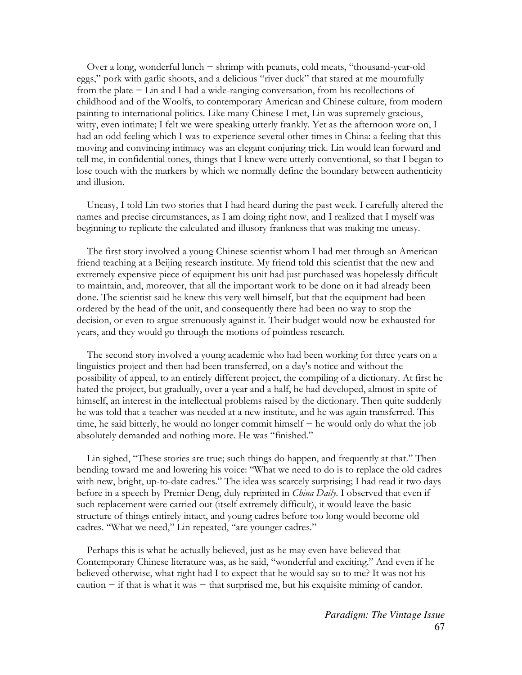Over a long, wonderful lunch − shrimp with peanuts, cold meats, "thousand-year-old eggs," pork with garlic shoots, and a delicious "river duck" that stared at me mournfully from the plate − Lin and I had a wide-ranging conversation, from his recollections of childhood and of the Woolfs, to contemporary American and Chinese culture, from modern painting to international politics. Like many Chinese I met, Lin was supremely gracious, witty, even intimate; I felt we were speaking utterly frankly. Yet as the afternoon wore on, I had an odd feeling which I was to experience several other times in China: a feeling that this moving and convincing intimacy was an elegant conjuring trick. Lin would lean forward and tell me, in confidential tones, things that I knew were utterly conventional, so that I began to lose touch with the markers by which we normally define the boundary between authenticity and illusion.

 Uneasy, I told Lin two stories that I had heard during the past week. I carefully altered the names and precise circumstances, as I am doing right now, and I realized that I myself was beginning to replicate the calculated and illusory frankness that was making me uneasy.

 The first story involved a young Chinese scientist whom I had met through an American friend teaching at a Beijing research institute. My friend told this scientist that the new and extremely expensive piece of equipment his unit had just purchased was hopelessly difficult to maintain, and, moreover, that all the important work to be done on it had already been done. The scientist said he knew this very well himself, but that the equipment had been ordered by the head of the unit, and consequently there had been no way to stop the decision, or even to argue strenuously against it. Their budget would now be exhausted for years, and they would go through the motions of pointless research.

 The second story involved a young academic who had been working for three years on a linguistics project and then had been transferred, on a day's notice and without the possibility of appeal, to an entirely different project, the compiling of a dictionary. At first he hated the project, but gradually, over a year and a half, he had developed, almost in spite of himself, an interest in the intellectual problems raised by the dictionary. Then quite suddenly he was told that a teacher was needed at a new institute, and he was again transferred. This time, he said bitterly, he would no longer commit himself − he would only do what the job absolutely demanded and nothing more. He was "finished."

 Lin sighed, "These stories are true; such things do happen, and frequently at that." Then bending toward me and lowering his voice: "What we need to do is to replace the old cadres with new, bright, up-to-date cadres." The idea was scarcely surprising; I had read it two days before in a speech by Premier Deng, duly reprinted in *China Daily*. I observed that even if such replacement were carried out (itself extremely difficult), it would leave the basic structure of things entirely intact, and young cadres before too long would become old cadres. "What we need," Lin repeated, "are younger cadres."

 Perhaps this is what he actually believed, just as he may even have believed that Contemporary Chinese literature was, as he said, "wonderful and exciting." And even if he believed otherwise, what right had I to expect that he would say so to me? It was not his caution  $-$  if that is what it was  $-$  that surprised me, but his exquisite miming of candor.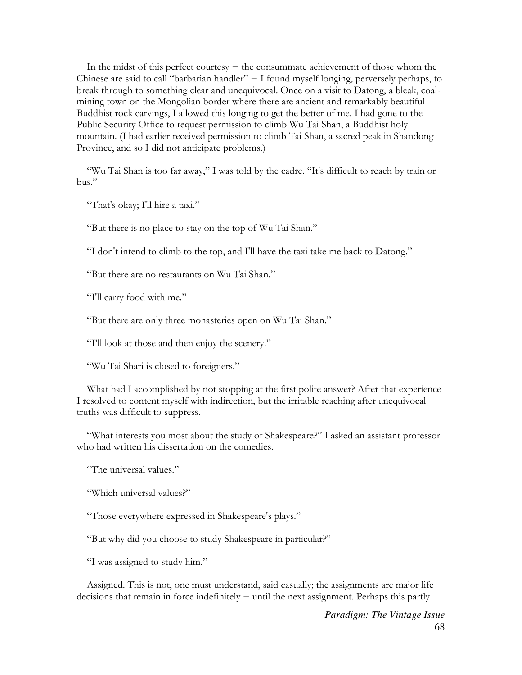In the midst of this perfect courtesy − the consummate achievement of those whom the Chinese are said to call "barbarian handler" − I found myself longing, perversely perhaps, to break through to something clear and unequivocal. Once on a visit to Datong, a bleak, coalmining town on the Mongolian border where there are ancient and remarkably beautiful Buddhist rock carvings, I allowed this longing to get the better of me. I had gone to the Public Security Office to request permission to climb Wu Tai Shan, a Buddhist holy mountain. (I had earlier received permission to climb Tai Shan, a sacred peak in Shandong Province, and so I did not anticipate problems.)

 "Wu Tai Shan is too far away," I was told by the cadre. "It's difficult to reach by train or bus."

"That's okay; I'll hire a taxi."

"But there is no place to stay on the top of Wu Tai Shan."

"I don't intend to climb to the top, and I'll have the taxi take me back to Datong."

"But there are no restaurants on Wu Tai Shan."

"I'll carry food with me."

"But there are only three monasteries open on Wu Tai Shan."

"I'll look at those and then enjoy the scenery."

"Wu Tai Shari is closed to foreigners."

 What had I accomplished by not stopping at the first polite answer? After that experience I resolved to content myself with indirection, but the irritable reaching after unequivocal truths was difficult to suppress.

 "What interests you most about the study of Shakespeare?" I asked an assistant professor who had written his dissertation on the comedies.

"The universal values."

"Which universal values?"

"Those everywhere expressed in Shakespeare's plays."

"But why did you choose to study Shakespeare in particular?"

"I was assigned to study him."

 Assigned. This is not, one must understand, said casually; the assignments are major life decisions that remain in force indefinitely − until the next assignment. Perhaps this partly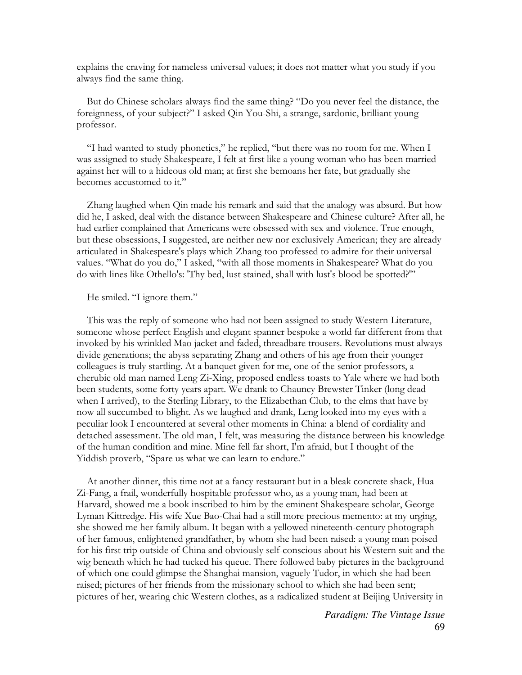explains the craving for nameless universal values; it does not matter what you study if you always find the same thing.

 But do Chinese scholars always find the same thing? "Do you never feel the distance, the foreignness, of your subject?" I asked Qin You-Shi, a strange, sardonic, brilliant young professor.

 "I had wanted to study phonetics," he replied, "but there was no room for me. When I was assigned to study Shakespeare, I felt at first like a young woman who has been married against her will to a hideous old man; at first she bemoans her fate, but gradually she becomes accustomed to it."

 Zhang laughed when Qin made his remark and said that the analogy was absurd. But how did he, I asked, deal with the distance between Shakespeare and Chinese culture? After all, he had earlier complained that Americans were obsessed with sex and violence. True enough, but these obsessions, I suggested, are neither new nor exclusively American; they are already articulated in Shakespeare's plays which Zhang too professed to admire for their universal values. "What do you do," I asked, "with all those moments in Shakespeare? What do you do with lines like Othello's: 'Thy bed, lust stained, shall with lust's blood be spotted?'"

He smiled. "I ignore them."

 This was the reply of someone who had not been assigned to study Western Literature, someone whose perfect English and elegant spanner bespoke a world far different from that invoked by his wrinkled Mao jacket and faded, threadbare trousers. Revolutions must always divide generations; the abyss separating Zhang and others of his age from their younger colleagues is truly startling. At a banquet given for me, one of the senior professors, a cherubic old man named Leng Zi-Xing, proposed endless toasts to Yale where we had both been students, some forty years apart. We drank to Chauncy Brewster Tinker (long dead when I arrived), to the Sterling Library, to the Elizabethan Club, to the elms that have by now all succumbed to blight. As we laughed and drank, Leng looked into my eyes with a peculiar look I encountered at several other moments in China: a blend of cordiality and detached assessment. The old man, I felt, was measuring the distance between his knowledge of the human condition and mine. Mine fell far short, I'm afraid, but I thought of the Yiddish proverb, "Spare us what we can learn to endure."

 At another dinner, this time not at a fancy restaurant but in a bleak concrete shack, Hua Zi-Fang, a frail, wonderfully hospitable professor who, as a young man, had been at Harvard, showed me a book inscribed to him by the eminent Shakespeare scholar, George Lyman Kittredge. His wife Xue Bao-Chai had a still more precious memento: at my urging, she showed me her family album. It began with a yellowed nineteenth-century photograph of her famous, enlightened grandfather, by whom she had been raised: a young man poised for his first trip outside of China and obviously self-conscious about his Western suit and the wig beneath which he had tucked his queue. There followed baby pictures in the background of which one could glimpse the Shanghai mansion, vaguely Tudor, in which she had been raised; pictures of her friends from the missionary school to which she had been sent; pictures of her, wearing chic Western clothes, as a radicalized student at Beijing University in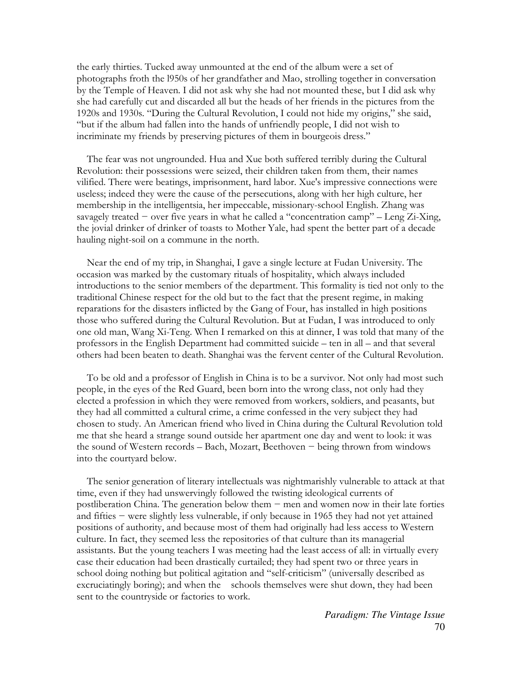the early thirties. Tucked away unmounted at the end of the album were a set of photographs froth the l950s of her grandfather and Mao, strolling together in conversation by the Temple of Heaven. I did not ask why she had not mounted these, but I did ask why she had carefully cut and discarded all but the heads of her friends in the pictures from the 1920s and 1930s. "During the Cultural Revolution, I could not hide my origins," she said, "but if the album had fallen into the hands of unfriendly people, I did not wish to incriminate my friends by preserving pictures of them in bourgeois dress."

 The fear was not ungrounded. Hua and Xue both suffered terribly during the Cultural Revolution: their possessions were seized, their children taken from them, their names vilified. There were beatings, imprisonment, hard labor. Xue's impressive connections were useless; indeed they were the cause of the persecutions, along with her high culture, her membership in the intelligentsia, her impeccable, missionary-school English. Zhang was savagely treated − over five years in what he called a "concentration camp" – Leng Zi-Xing, the jovial drinker of drinker of toasts to Mother Yale, had spent the better part of a decade hauling night-soil on a commune in the north.

 Near the end of my trip, in Shanghai, I gave a single lecture at Fudan University. The occasion was marked by the customary rituals of hospitality, which always included introductions to the senior members of the department. This formality is tied not only to the traditional Chinese respect for the old but to the fact that the present regime, in making reparations for the disasters inflicted by the Gang of Four, has installed in high positions those who suffered during the Cultural Revolution. But at Fudan, I was introduced to only one old man, Wang Xi-Teng. When I remarked on this at dinner, I was told that many of the professors in the English Department had committed suicide – ten in all – and that several others had been beaten to death. Shanghai was the fervent center of the Cultural Revolution.

 To be old and a professor of English in China is to be a survivor. Not only had most such people, in the eyes of the Red Guard, been born into the wrong class, not only had they elected a profession in which they were removed from workers, soldiers, and peasants, but they had all committed a cultural crime, a crime confessed in the very subject they had chosen to study. An American friend who lived in China during the Cultural Revolution told me that she heard a strange sound outside her apartment one day and went to look: it was the sound of Western records – Bach, Mozart, Beethoven − being thrown from windows into the courtyard below.

 The senior generation of literary intellectuals was nightmarishly vulnerable to attack at that time, even if they had unswervingly followed the twisting ideological currents of postliberation China. The generation below them − men and women now in their late forties and fifties − were slightly less vulnerable, if only because in 1965 they had not yet attained positions of authority, and because most of them had originally had less access to Western culture. In fact, they seemed less the repositories of that culture than its managerial assistants. But the young teachers I was meeting had the least access of all: in virtually every case their education had been drastically curtailed; they had spent two or three years in school doing nothing but political agitation and "self-criticism" (universally described as excruciatingly boring); and when the schools themselves were shut down, they had been sent to the countryside or factories to work.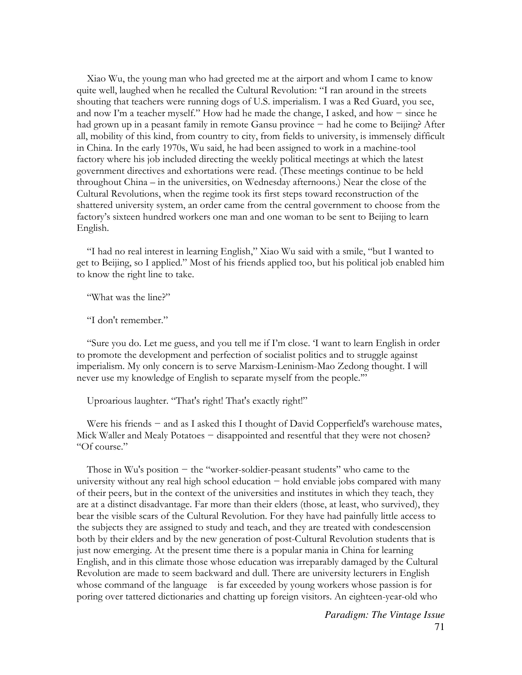Xiao Wu, the young man who had greeted me at the airport and whom I came to know quite well, laughed when he recalled the Cultural Revolution: "I ran around in the streets shouting that teachers were running dogs of U.S. imperialism. I was a Red Guard, you see, and now I'm a teacher myself." How had he made the change, I asked, and how − since he had grown up in a peasant family in remote Gansu province − had he come to Beijing? After all, mobility of this kind, from country to city, from fields to university, is immensely difficult in China. In the early 1970s, Wu said, he had been assigned to work in a machine-tool factory where his job included directing the weekly political meetings at which the latest government directives and exhortations were read. (These meetings continue to be held throughout China – in the universities, on Wednesday afternoons.) Near the close of the Cultural Revolutions, when the regime took its first steps toward reconstruction of the shattered university system, an order came from the central government to choose from the factory's sixteen hundred workers one man and one woman to be sent to Beijing to learn English.

 "I had no real interest in learning English," Xiao Wu said with a smile, "but I wanted to get to Beijing, so I applied." Most of his friends applied too, but his political job enabled him to know the right line to take.

"What was the line?"

"I don't remember."

 "Sure you do. Let me guess, and you tell me if I'm close. 'I want to learn English in order to promote the development and perfection of socialist politics and to struggle against imperialism. My only concern is to serve Marxism-Leninism-Mao Zedong thought. I will never use my knowledge of English to separate myself from the people.'"

Uproarious laughter. "That's right! That's exactly right!"

 Were his friends − and as I asked this I thought of David Copperfield's warehouse mates, Mick Waller and Mealy Potatoes – disappointed and resentful that they were not chosen? "Of course."

 Those in Wu's position − the "worker-soldier-peasant students" who came to the university without any real high school education − hold enviable jobs compared with many of their peers, but in the context of the universities and institutes in which they teach, they are at a distinct disadvantage. Far more than their elders (those, at least, who survived), they bear the visible scars of the Cultural Revolution. For they have had painfully little access to the subjects they are assigned to study and teach, and they are treated with condescension both by their elders and by the new generation of post-Cultural Revolution students that is just now emerging. At the present time there is a popular mania in China for learning English, and in this climate those whose education was irreparably damaged by the Cultural Revolution are made to seem backward and dull. There are university lecturers in English whose command of the language is far exceeded by young workers whose passion is for poring over tattered dictionaries and chatting up foreign visitors. An eighteen-year-old who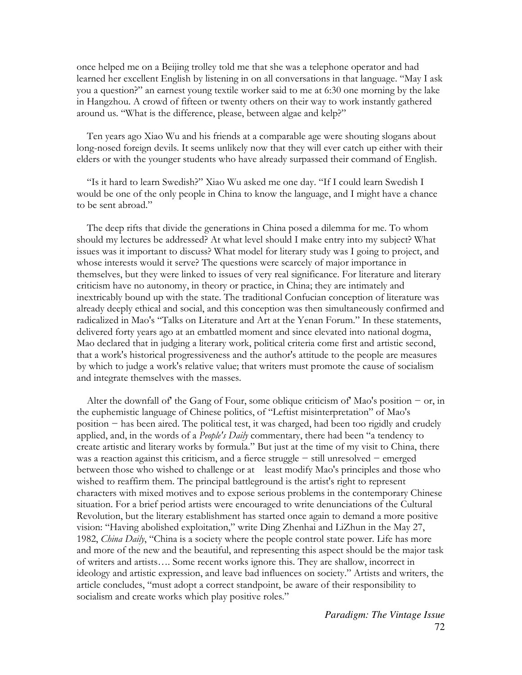once helped me on a Beijing trolley told me that she was a telephone operator and had learned her excellent English by listening in on all conversations in that language. "May I ask you a question?" an earnest young textile worker said to me at 6:30 one morning by the lake in Hangzhou. A crowd of fifteen or twenty others on their way to work instantly gathered around us. "What is the difference, please, between algae and kelp?"

 Ten years ago Xiao Wu and his friends at a comparable age were shouting slogans about long-nosed foreign devils. It seems unlikely now that they will ever catch up either with their elders or with the younger students who have already surpassed their command of English.

 "Is it hard to learn Swedish?" Xiao Wu asked me one day. "If I could learn Swedish I would be one of the only people in China to know the language, and I might have a chance to be sent abroad."

 The deep rifts that divide the generations in China posed a dilemma for me. To whom should my lectures be addressed? At what level should I make entry into my subject? What issues was it important to discuss? What model for literary study was I going to project, and whose interests would it serve? The questions were scarcely of major importance in themselves, but they were linked to issues of very real significance. For literature and literary criticism have no autonomy, in theory or practice, in China; they are intimately and inextricably bound up with the state. The traditional Confucian conception of literature was already deeply ethical and social, and this conception was then simultaneously confirmed and radicalized in Mao's "Talks on Literature and Art at the Yenan Forum." In these statements, delivered forty years ago at an embattled moment and since elevated into national dogma, Mao declared that in judging a literary work, political criteria come first and artistic second, that a work's historical progressiveness and the author's attitude to the people are measures by which to judge a work's relative value; that writers must promote the cause of socialism and integrate themselves with the masses.

 Alter the downfall of' the Gang of Four, some oblique criticism of' Mao's position − or, in the euphemistic language of Chinese politics, of "Leftist misinterpretation" of Mao's position − has been aired. The political test, it was charged, had been too rigidly and crudely applied, and, in the words of a *People's Daily* commentary, there had been "a tendency to create artistic and literary works by formula." But just at the time of my visit to China, there was a reaction against this criticism, and a fierce struggle − still unresolved − emerged between those who wished to challenge or at least modify Mao's principles and those who wished to reaffirm them. The principal battleground is the artist's right to represent characters with mixed motives and to expose serious problems in the contemporary Chinese situation. For a brief period artists were encouraged to write denunciations of the Cultural Revolution, but the literary establishment has started once again to demand a more positive vision: "Having abolished exploitation," write Ding Zhenhai and LiZhun in the May 27, 1982, *China Daily*, "China is a society where the people control state power. Life has more and more of the new and the beautiful, and representing this aspect should be the major task of writers and artists…. Some recent works ignore this. They are shallow, incorrect in ideology and artistic expression, and leave bad influences on society." Artists and writers, the article concludes, "must adopt a correct standpoint, be aware of their responsibility to socialism and create works which play positive roles."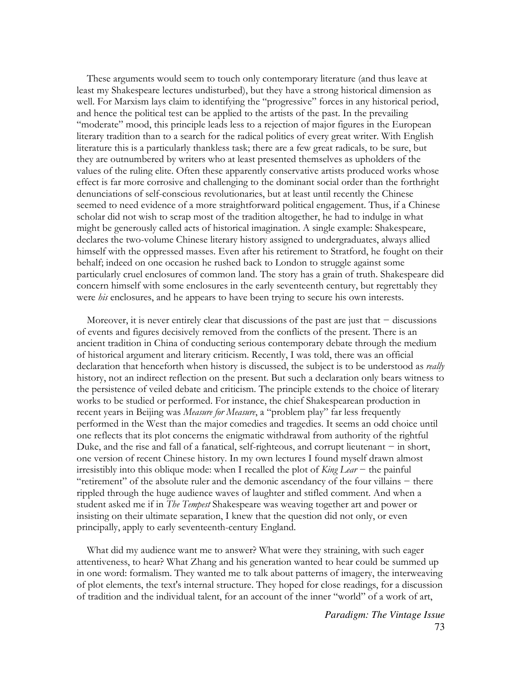These arguments would seem to touch only contemporary literature (and thus leave at least my Shakespeare lectures undisturbed), but they have a strong historical dimension as well. For Marxism lays claim to identifying the "progressive" forces in any historical period, and hence the political test can be applied to the artists of the past. In the prevailing "moderate" mood, this principle leads less to a rejection of major figures in the European literary tradition than to a search for the radical politics of every great writer. With English literature this is a particularly thankless task; there are a few great radicals, to be sure, but they are outnumbered by writers who at least presented themselves as upholders of the values of the ruling elite. Often these apparently conservative artists produced works whose effect is far more corrosive and challenging to the dominant social order than the forthright denunciations of self-conscious revolutionaries, but at least until recently the Chinese seemed to need evidence of a more straightforward political engagement. Thus, if a Chinese scholar did not wish to scrap most of the tradition altogether, he had to indulge in what might be generously called acts of historical imagination. A single example: Shakespeare, declares the two-volume Chinese literary history assigned to undergraduates, always allied himself with the oppressed masses. Even after his retirement to Stratford, he fought on their behalf; indeed on one occasion he rushed back to London to struggle against some particularly cruel enclosures of common land. The story has a grain of truth. Shakespeare did concern himself with some enclosures in the early seventeenth century, but regrettably they were *his* enclosures, and he appears to have been trying to secure his own interests.

Moreover, it is never entirely clear that discussions of the past are just that  $-$  discussions of events and figures decisively removed from the conflicts of the present. There is an ancient tradition in China of conducting serious contemporary debate through the medium of historical argument and literary criticism. Recently, I was told, there was an official declaration that henceforth when history is discussed, the subject is to be understood as *really* history, not an indirect reflection on the present. But such a declaration only bears witness to the persistence of veiled debate and criticism. The principle extends to the choice of literary works to be studied or performed. For instance, the chief Shakespearean production in recent years in Beijing was *Measure for Measure*, a "problem play" far less frequently performed in the West than the major comedies and tragedies. It seems an odd choice until one reflects that its plot concerns the enigmatic withdrawal from authority of the rightful Duke, and the rise and fall of a fanatical, self-righteous, and corrupt lieutenant − in short, one version of recent Chinese history. In my own lectures I found myself drawn almost irresistibly into this oblique mode: when I recalled the plot of King Lear − the painful "retirement" of the absolute ruler and the demonic ascendancy of the four villains − there rippled through the huge audience waves of laughter and stifled comment. And when a student asked me if in *The Tempest* Shakespeare was weaving together art and power or insisting on their ultimate separation, I knew that the question did not only, or even principally, apply to early seventeenth-century England.

 What did my audience want me to answer? What were they straining, with such eager attentiveness, to hear? What Zhang and his generation wanted to hear could be summed up in one word: formalism. They wanted me to talk about patterns of imagery, the interweaving of plot elements, the text's internal structure. They hoped for close readings, for a discussion of tradition and the individual talent, for an account of the inner "world" of a work of art,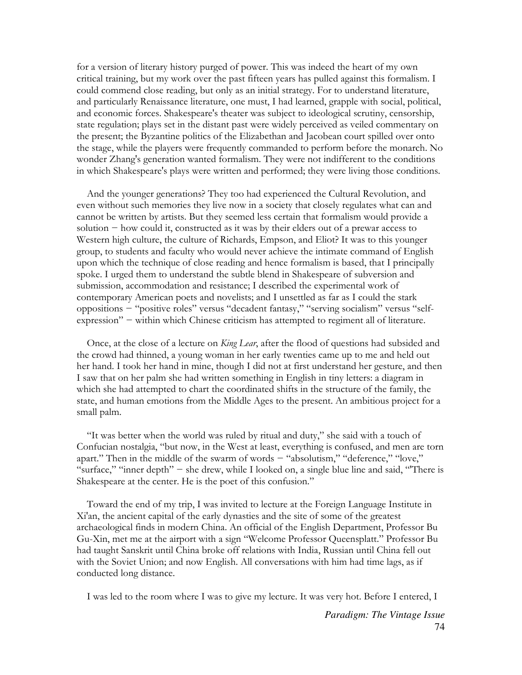for a version of literary history purged of power. This was indeed the heart of my own critical training, but my work over the past fifteen years has pulled against this formalism. I could commend close reading, but only as an initial strategy. For to understand literature, and particularly Renaissance literature, one must, I had learned, grapple with social, political, and economic forces. Shakespeare's theater was subject to ideological scrutiny, censorship, state regulation; plays set in the distant past were widely perceived as veiled commentary on the present; the Byzantine politics of the Elizabethan and Jacobean court spilled over onto the stage, while the players were frequently commanded to perform before the monarch. No wonder Zhang's generation wanted formalism. They were not indifferent to the conditions in which Shakespeare's plays were written and performed; they were living those conditions.

 And the younger generations? They too had experienced the Cultural Revolution, and even without such memories they live now in a society that closely regulates what can and cannot be written by artists. But they seemed less certain that formalism would provide a solution − how could it, constructed as it was by their elders out of a prewar access to Western high culture, the culture of Richards, Empson, and Eliot? It was to this younger group, to students and faculty who would never achieve the intimate command of English upon which the technique of close reading and hence formalism is based, that I principally spoke. I urged them to understand the subtle blend in Shakespeare of subversion and submission, accommodation and resistance; I described the experimental work of contemporary American poets and novelists; and I unsettled as far as I could the stark oppositions − "positive roles" versus "decadent fantasy," "serving socialism" versus "selfexpression" − within which Chinese criticism has attempted to regiment all of literature.

 Once, at the close of a lecture on King Lear, after the flood of questions had subsided and the crowd had thinned, a young woman in her early twenties came up to me and held out her hand. I took her hand in mine, though I did not at first understand her gesture, and then I saw that on her palm she had written something in English in tiny letters: a diagram in which she had attempted to chart the coordinated shifts in the structure of the family, the state, and human emotions from the Middle Ages to the present. An ambitious project for a small palm.

 "It was better when the world was ruled by ritual and duty," she said with a touch of Confucian nostalgia, "but now, in the West at least, everything is confused, and men are torn apart." Then in the middle of the swarm of words − "absolutism," "deference," "love," "surface," "inner depth" − she drew, while I looked on, a single blue line and said, "'There is Shakespeare at the center. He is the poet of this confusion."

 Toward the end of my trip, I was invited to lecture at the Foreign Language Institute in Xi'an, the ancient capital of the early dynasties and the site of some of the greatest archaeological finds in modern China. An official of the English Department, Professor Bu Gu-Xin, met me at the airport with a sign "Welcome Professor Queensplatt." Professor Bu had taught Sanskrit until China broke off relations with India, Russian until China fell out with the Soviet Union; and now English. All conversations with him had time lags, as if conducted long distance.

I was led to the room where I was to give my lecture. It was very hot. Before I entered, I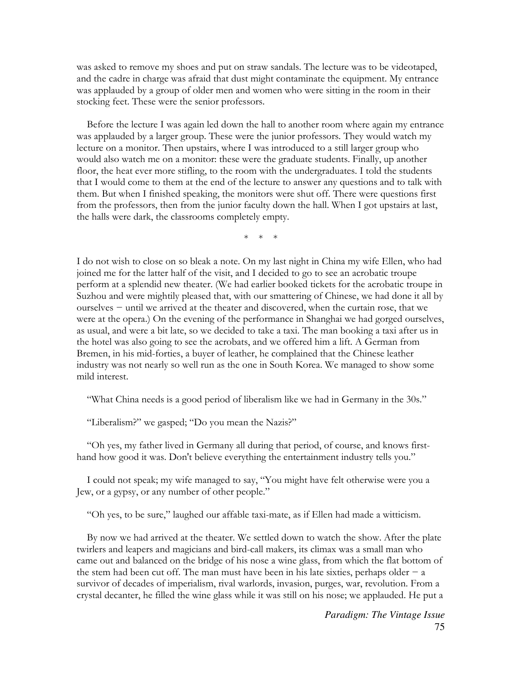was asked to remove my shoes and put on straw sandals. The lecture was to be videotaped, and the cadre in charge was afraid that dust might contaminate the equipment. My entrance was applauded by a group of older men and women who were sitting in the room in their stocking feet. These were the senior professors.

 Before the lecture I was again led down the hall to another room where again my entrance was applauded by a larger group. These were the junior professors. They would watch my lecture on a monitor. Then upstairs, where I was introduced to a still larger group who would also watch me on a monitor: these were the graduate students. Finally, up another floor, the heat ever more stifling, to the room with the undergraduates. I told the students that I would come to them at the end of the lecture to answer any questions and to talk with them. But when I finished speaking, the monitors were shut off. There were questions first from the professors, then from the junior faculty down the hall. When I got upstairs at last, the halls were dark, the classrooms completely empty.

\* \* \*

I do not wish to close on so bleak a note. On my last night in China my wife Ellen, who had joined me for the latter half of the visit, and I decided to go to see an acrobatic troupe perform at a splendid new theater. (We had earlier booked tickets for the acrobatic troupe in Suzhou and were mightily pleased that, with our smattering of Chinese, we had done it all by ourselves − until we arrived at the theater and discovered, when the curtain rose, that we were at the opera.) On the evening of the performance in Shanghai we had gorged ourselves, as usual, and were a bit late, so we decided to take a taxi. The man booking a taxi after us in the hotel was also going to see the acrobats, and we offered him a lift. A German from Bremen, in his mid-forties, a buyer of leather, he complained that the Chinese leather industry was not nearly so well run as the one in South Korea. We managed to show some mild interest.

"What China needs is a good period of liberalism like we had in Germany in the 30s."

"Liberalism?" we gasped; "Do you mean the Nazis?"

 "Oh yes, my father lived in Germany all during that period, of course, and knows firsthand how good it was. Don't believe everything the entertainment industry tells you."

 I could not speak; my wife managed to say, "You might have felt otherwise were you a Jew, or a gypsy, or any number of other people."

"Oh yes, to be sure," laughed our affable taxi-mate, as if Ellen had made a witticism.

 By now we had arrived at the theater. We settled down to watch the show. After the plate twirlers and leapers and magicians and bird-call makers, its climax was a small man who came out and balanced on the bridge of his nose a wine glass, from which the flat bottom of the stem had been cut off. The man must have been in his late sixties, perhaps older  $- a$ survivor of decades of imperialism, rival warlords, invasion, purges, war, revolution. From a crystal decanter, he filled the wine glass while it was still on his nose; we applauded. He put a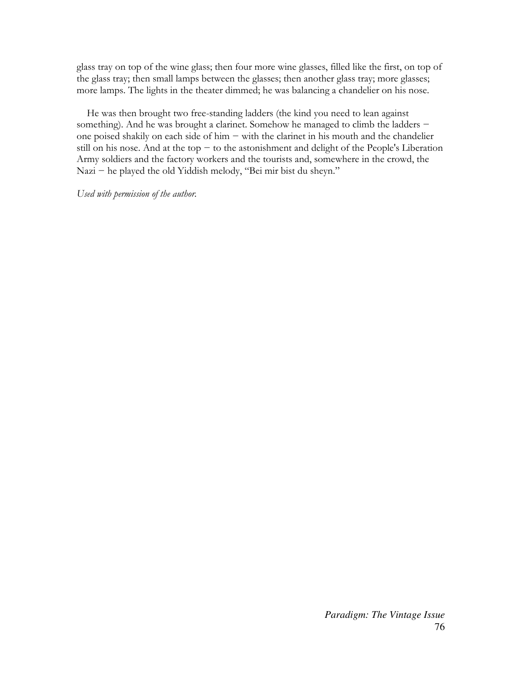glass tray on top of the wine glass; then four more wine glasses, filled like the first, on top of the glass tray; then small lamps between the glasses; then another glass tray; more glasses; more lamps. The lights in the theater dimmed; he was balancing a chandelier on his nose.

 He was then brought two free-standing ladders (the kind you need to lean against something). And he was brought a clarinet. Somehow he managed to climb the ladders − one poised shakily on each side of him − with the clarinet in his mouth and the chandelier still on his nose. And at the top − to the astonishment and delight of the People's Liberation Army soldiers and the factory workers and the tourists and, somewhere in the crowd, the Nazi − he played the old Yiddish melody, "Bei mir bist du sheyn."

Used with permission of the author.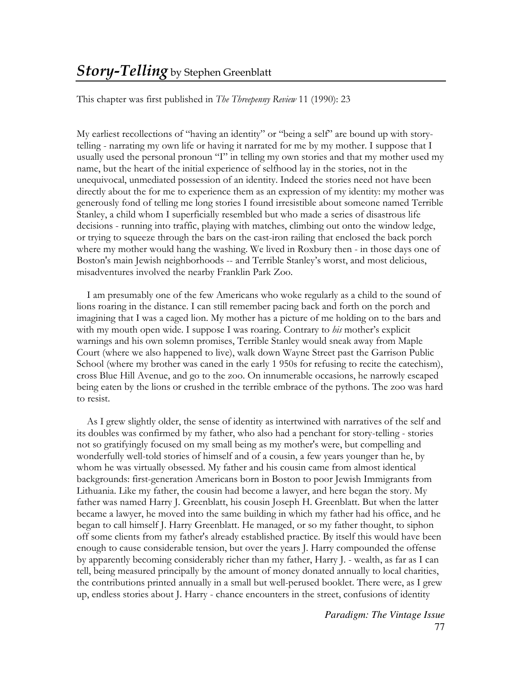This chapter was first published in *The Threepenny Review* 11 (1990): 23

My earliest recollections of "having an identity" or "being a self" are bound up with storytelling - narrating my own life or having it narrated for me by my mother. I suppose that I usually used the personal pronoun "I" in telling my own stories and that my mother used my name, but the heart of the initial experience of selfhood lay in the stories, not in the unequivocal, unmediated possession of an identity. Indeed the stories need not have been directly about the for me to experience them as an expression of my identity: my mother was generously fond of telling me long stories I found irresistible about someone named Terrible Stanley, a child whom I superficially resembled but who made a series of disastrous life decisions - running into traffic, playing with matches, climbing out onto the window ledge, or trying to squeeze through the bars on the cast-iron railing that enclosed the back porch where my mother would hang the washing. We lived in Roxbury then - in those days one of Boston's main Jewish neighborhoods -- and Terrible Stanley's worst, and most delicious, misadventures involved the nearby Franklin Park Zoo.

 I am presumably one of the few Americans who woke regularly as a child to the sound of lions roaring in the distance. I can still remember pacing back and forth on the porch and imagining that I was a caged lion. My mother has a picture of me holding on to the bars and with my mouth open wide. I suppose I was roaring. Contrary to *his* mother's explicit warnings and his own solemn promises, Terrible Stanley would sneak away from Maple Court (where we also happened to live), walk down Wayne Street past the Garrison Public School (where my brother was caned in the early 1 950s for refusing to recite the catechism), cross Blue Hill Avenue, and go to the zoo. On innumerable occasions, he narrowly escaped being eaten by the lions or crushed in the terrible embrace of the pythons. The zoo was hard to resist.

 As I grew slightly older, the sense of identity as intertwined with narratives of the self and its doubles was confirmed by my father, who also had a penchant for story-telling - stories not so gratifyingly focused on my small being as my mother's were, but compelling and wonderfully well-told stories of himself and of a cousin, a few years younger than he, by whom he was virtually obsessed. My father and his cousin came from almost identical backgrounds: first-generation Americans born in Boston to poor Jewish Immigrants from Lithuania. Like my father, the cousin had become a lawyer, and here began the story. My father was named Harry J. Greenblatt, his cousin Joseph H. Greenblatt. But when the latter became a lawyer, he moved into the same building in which my father had his office, and he began to call himself J. Harry Greenblatt. He managed, or so my father thought, to siphon off some clients from my father's already established practice. By itself this would have been enough to cause considerable tension, but over the years J. Harry compounded the offense by apparently becoming considerably richer than my father, Harry J. - wealth, as far as I can tell, being measured principally by the amount of money donated annually to local charities, the contributions printed annually in a small but well-perused booklet. There were, as I grew up, endless stories about J. Harry - chance encounters in the street, confusions of identity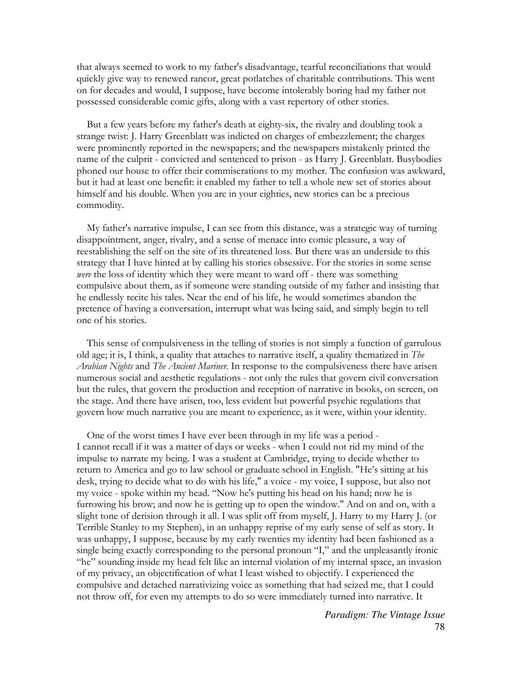that always seemed to work to my father's disadvantage, tearful reconciliations that would quickly give way to renewed rancor, great potlatches of charitable contributions. This went on for decades and would, I suppose, have become intolerably boring had my father not possessed considerable comic gifts, along with a vast repertory of other stories.

 But a few years before my father's death at eighty-six, the rivalry and doubling took a strange twist: J. Harry Greenblatt was indicted on charges of embezzlement; the charges were prominently reported in the newspapers; and the newspapers mistakenly printed the name of the culprit - convicted and sentenced to prison - as Harry J. Greenblatt. Busybodies phoned our house to offer their commiserations to my mother. The confusion was awkward, but it had at least one benefit: it enabled my father to tell a whole new set of stories about himself and his double. When you are in your eighties, new stories can be a precious commodity.

 My father's narrative impulse, I can see from this distance, was a strategic way of turning disappointment, anger, rivalry, and a sense of menace into comic pleasure, a way of reestablishing the self on the site of its threatened loss. But there was an underside to this strategy that I have hinted at by calling his stories obsessive. For the stories in some sense were the loss of identity which they were meant to ward off - there was something compulsive about them, as if someone were standing outside of my father and insisting that he endlessly recite his tales. Near the end of his life, he would sometimes abandon the pretence of having a conversation, interrupt what was being said, and simply begin to tell one of his stories.

 This sense of compulsiveness in the telling of stories is not simply a function of garrulous old age; it is, I think, a quality that attaches to narrative itself, a quality thematized in  $The$ Arabian Nights and The Ancient Mariner. In response to the compulsiveness there have arisen numerous social and aesthetic regulations - not only the rules that govern civil conversation but the rules, that govern the production and reception of narrative in books, on screen, on the stage. And there have arisen, too, less evident but powerful psychic regulations that govern how much narrative you are meant to experience, as it were, within your identity.

 One of the worst times I have ever been through in my life was a period - I cannot recall if it was a matter of days or weeks - when I could not rid my mind of the impulse to narrate my being. I was a student at Cambridge, trying to decide whether to return to America and go to law school or graduate school in English. "He's sitting at his desk, trying to decide what to do with his life," a voice - my voice, I suppose, but also not my voice - spoke within my head. "Now he's putting his head on his hand; now he is furrowing his brow; and now he is getting up to open the window." And on and on, with a slight tone of derision through it all. I was split off from myself, J. Harry to my Harry J. (or Terrible Stanley to my Stephen), in an unhappy reprise of my early sense of self as story. It was unhappy, I suppose, because by my early twenties my identity had been fashioned as a single being exactly corresponding to the personal pronoun "I," and the unpleasantly ironic "he" sounding inside my head felt like an internal violation of my internal space, an invasion of my privacy, an objectification of what I least wished to objectify. I experienced the compulsive and detached narrativizing voice as something that had seized me, that I could not throw off, for even my attempts to do so were immediately turned into narrative. It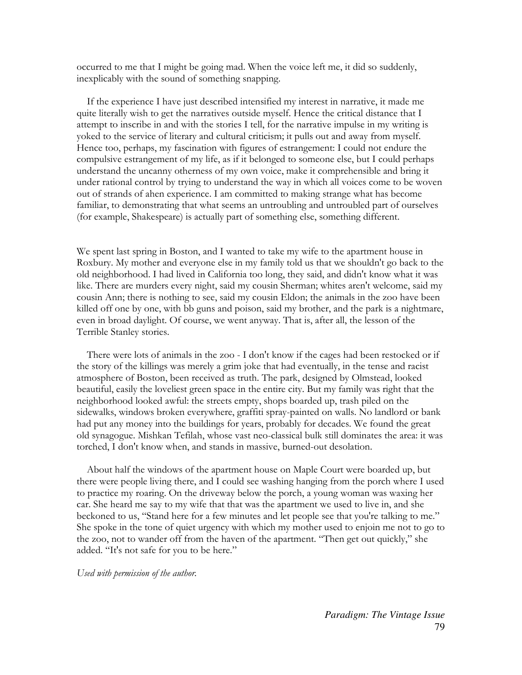occurred to me that I might be going mad. When the voice left me, it did so suddenly, inexplicably with the sound of something snapping.

 If the experience I have just described intensified my interest in narrative, it made me quite literally wish to get the narratives outside myself. Hence the critical distance that I attempt to inscribe in and with the stories I tell, for the narrative impulse in my writing is yoked to the service of literary and cultural criticism; it pulls out and away from myself. Hence too, perhaps, my fascination with figures of estrangement: I could not endure the compulsive estrangement of my life, as if it belonged to someone else, but I could perhaps understand the uncanny otherness of my own voice, make it comprehensible and bring it under rational control by trying to understand the way in which all voices come to be woven out of strands of ahen experience. I am committed to making strange what has become familiar, to demonstrating that what seems an untroubling and untroubled part of ourselves (for example, Shakespeare) is actually part of something else, something different.

We spent last spring in Boston, and I wanted to take my wife to the apartment house in Roxbury. My mother and everyone else in my family told us that we shouldn't go back to the old neighborhood. I had lived in California too long, they said, and didn't know what it was like. There are murders every night, said my cousin Sherman; whites aren't welcome, said my cousin Ann; there is nothing to see, said my cousin Eldon; the animals in the zoo have been killed off one by one, with bb guns and poison, said my brother, and the park is a nightmare, even in broad daylight. Of course, we went anyway. That is, after all, the lesson of the Terrible Stanley stories.

 There were lots of animals in the zoo - I don't know if the cages had been restocked or if the story of the killings was merely a grim joke that had eventually, in the tense and racist atmosphere of Boston, been received as truth. The park, designed by Olmstead, looked beautiful, easily the loveliest green space in the entire city. But my family was right that the neighborhood looked awful: the streets empty, shops boarded up, trash piled on the sidewalks, windows broken everywhere, graffiti spray-painted on walls. No landlord or bank had put any money into the buildings for years, probably for decades. We found the great old synagogue. Mishkan Tefilah, whose vast neo-classical bulk still dominates the area: it was torched, I don't know when, and stands in massive, burned-out desolation.

 About half the windows of the apartment house on Maple Court were boarded up, but there were people living there, and I could see washing hanging from the porch where I used to practice my roaring. On the driveway below the porch, a young woman was waxing her car. She heard me say to my wife that that was the apartment we used to live in, and she beckoned to us, "Stand here for a few minutes and let people see that you're talking to me." She spoke in the tone of quiet urgency with which my mother used to enjoin me not to go to the zoo, not to wander off from the haven of the apartment. "Then get out quickly," she added. "It's not safe for you to be here."

Used with permission of the author.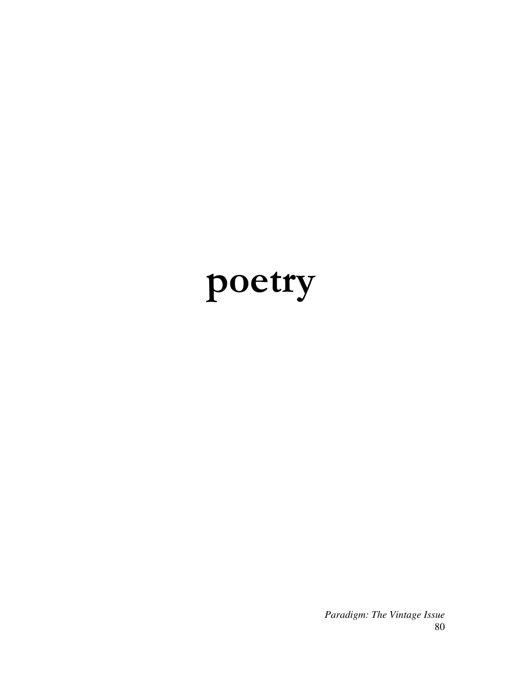## poetry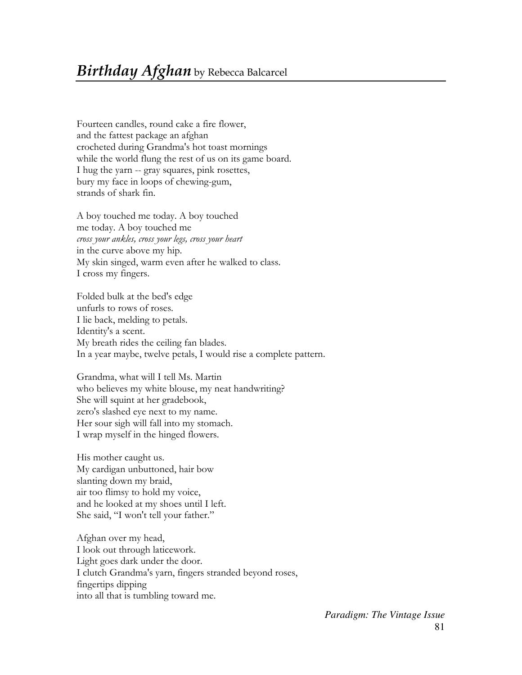## **Birthday Afghan** by Rebecca Balcarcel

Fourteen candles, round cake a fire flower, and the fattest package an afghan crocheted during Grandma's hot toast mornings while the world flung the rest of us on its game board. I hug the yarn -- gray squares, pink rosettes, bury my face in loops of chewing-gum, strands of shark fin.

A boy touched me today. A boy touched me today. A boy touched me cross your ankles, cross your legs, cross your heart in the curve above my hip. My skin singed, warm even after he walked to class. I cross my fingers.

Folded bulk at the bed's edge unfurls to rows of roses. I lie back, melding to petals. Identity's a scent. My breath rides the ceiling fan blades. In a year maybe, twelve petals, I would rise a complete pattern.

Grandma, what will I tell Ms. Martin who believes my white blouse, my neat handwriting? She will squint at her gradebook, zero's slashed eye next to my name. Her sour sigh will fall into my stomach. I wrap myself in the hinged flowers.

His mother caught us. My cardigan unbuttoned, hair bow slanting down my braid, air too flimsy to hold my voice, and he looked at my shoes until I left. She said, "I won't tell your father."

Afghan over my head, I look out through laticework. Light goes dark under the door. I clutch Grandma's yarn, fingers stranded beyond roses, fingertips dipping into all that is tumbling toward me.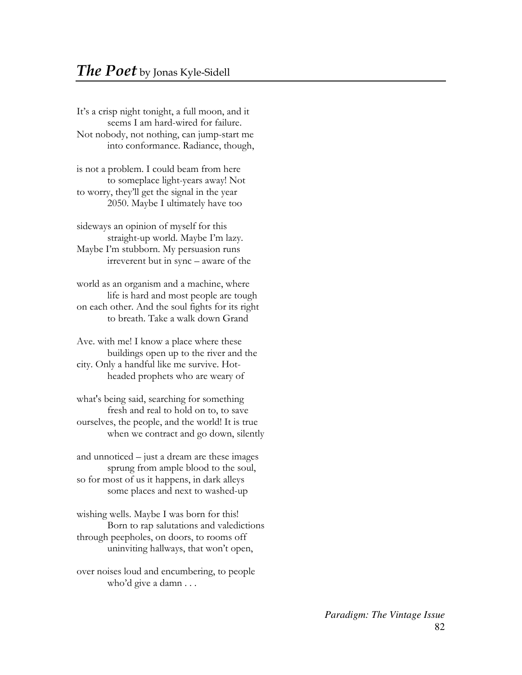It's a crisp night tonight, a full moon, and it seems I am hard-wired for failure. Not nobody, not nothing, can jump-start me into conformance. Radiance, though,

is not a problem. I could beam from here to someplace light-years away! Not to worry, they'll get the signal in the year 2050. Maybe I ultimately have too

sideways an opinion of myself for this straight-up world. Maybe I'm lazy. Maybe I'm stubborn. My persuasion runs irreverent but in sync – aware of the

world as an organism and a machine, where life is hard and most people are tough on each other. And the soul fights for its right to breath. Take a walk down Grand

Ave. with me! I know a place where these buildings open up to the river and the city. Only a handful like me survive. Hot headed prophets who are weary of

what's being said, searching for something fresh and real to hold on to, to save ourselves, the people, and the world! It is true when we contract and go down, silently

and unnoticed – just a dream are these images sprung from ample blood to the soul, so for most of us it happens, in dark alleys some places and next to washed-up

wishing wells. Maybe I was born for this! Born to rap salutations and valedictions through peepholes, on doors, to rooms off uninviting hallways, that won't open,

over noises loud and encumbering, to people who'd give a damn . . .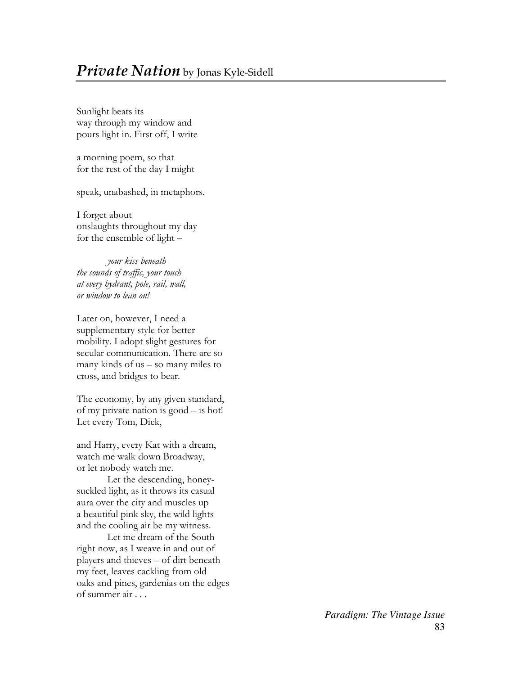Sunlight beats its way through my window and pours light in. First off, I write

a morning poem, so that for the rest of the day I might

speak, unabashed, in metaphors.

I forget about onslaughts throughout my day for the ensemble of light –

 your kiss beneath the sounds of traffic, your touch at every hydrant, pole, rail, wall, or window to lean on!

Later on, however, I need a supplementary style for better mobility. I adopt slight gestures for secular communication. There are so many kinds of us – so many miles to cross, and bridges to bear.

The economy, by any given standard, of my private nation is good – is hot! Let every Tom, Dick,

and Harry, every Kat with a dream, watch me walk down Broadway, or let nobody watch me.

 Let the descending, honeysuckled light, as it throws its casual aura over the city and muscles up a beautiful pink sky, the wild lights and the cooling air be my witness.

 Let me dream of the South right now, as I weave in and out of players and thieves – of dirt beneath my feet, leaves cackling from old oaks and pines, gardenias on the edges of summer air . . .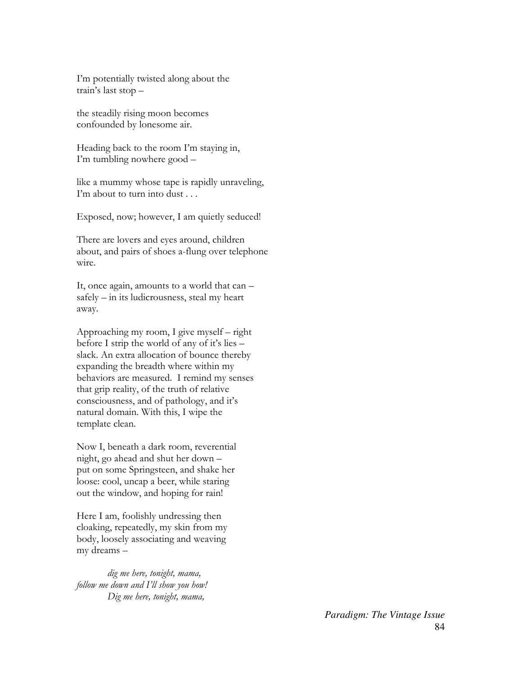I'm potentially twisted along about the train's last stop –

the steadily rising moon becomes confounded by lonesome air.

Heading back to the room I'm staying in, I'm tumbling nowhere good –

like a mummy whose tape is rapidly unraveling, I'm about to turn into dust . . .

Exposed, now; however, I am quietly seduced!

There are lovers and eyes around, children about, and pairs of shoes a-flung over telephone wire.

It, once again, amounts to a world that can – safely – in its ludicrousness, steal my heart away.

Approaching my room, I give myself – right before I strip the world of any of it's lies – slack. An extra allocation of bounce thereby expanding the breadth where within my behaviors are measured. I remind my senses that grip reality, of the truth of relative consciousness, and of pathology, and it's natural domain. With this, I wipe the template clean.

Now I, beneath a dark room, reverential night, go ahead and shut her down – put on some Springsteen, and shake her loose: cool, uncap a beer, while staring out the window, and hoping for rain!

Here I am, foolishly undressing then cloaking, repeatedly, my skin from my body, loosely associating and weaving my dreams –

 dig me here, tonight, mama, follow me down and I'll show you how! Dig me here, tonight, mama,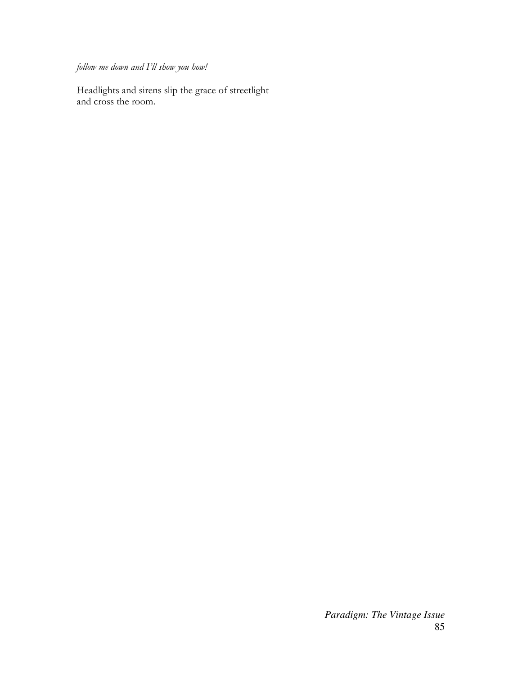follow me down and I'll show you how!

Headlights and sirens slip the grace of streetlight and cross the room.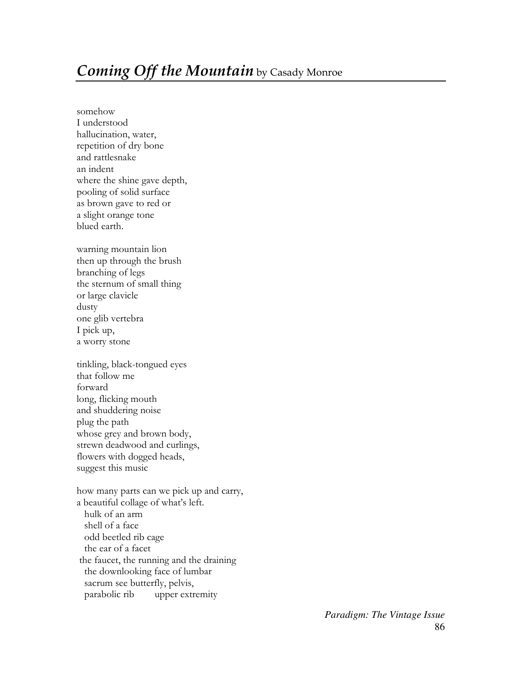## Coming Off the Mountain by Casady Monroe

somehow I understood hallucination, water, repetition of dry bone and rattlesnake an indent where the shine gave depth, pooling of solid surface as brown gave to red or a slight orange tone blued earth.

warning mountain lion then up through the brush branching of legs the sternum of small thing or large clavicle dusty one glib vertebra I pick up, a worry stone

tinkling, black-tongued eyes that follow me forward long, flicking mouth and shuddering noise plug the path whose grey and brown body, strewn deadwood and curlings, flowers with dogged heads, suggest this music

how many parts can we pick up and carry, a beautiful collage of what's left. hulk of an arm shell of a face odd beetled rib cage the ear of a facet the faucet, the running and the draining the downlooking face of lumbar sacrum see butterfly, pelvis, parabolic rib upper extremity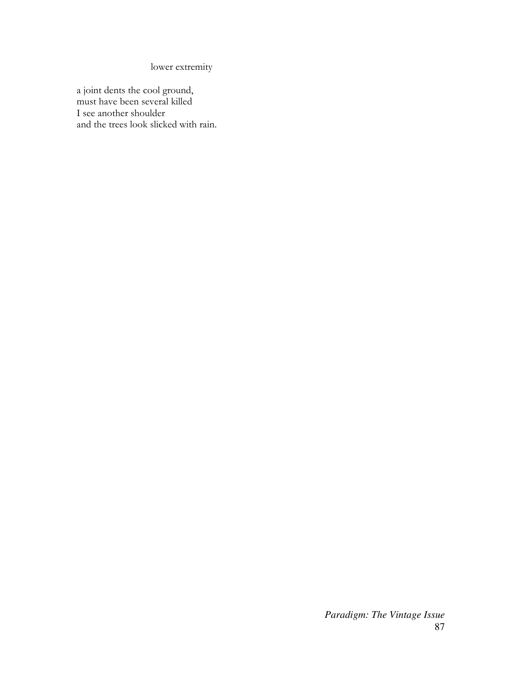lower extremity

a joint dents the cool ground, must have been several killed I see another shoulder and the trees look slicked with rain.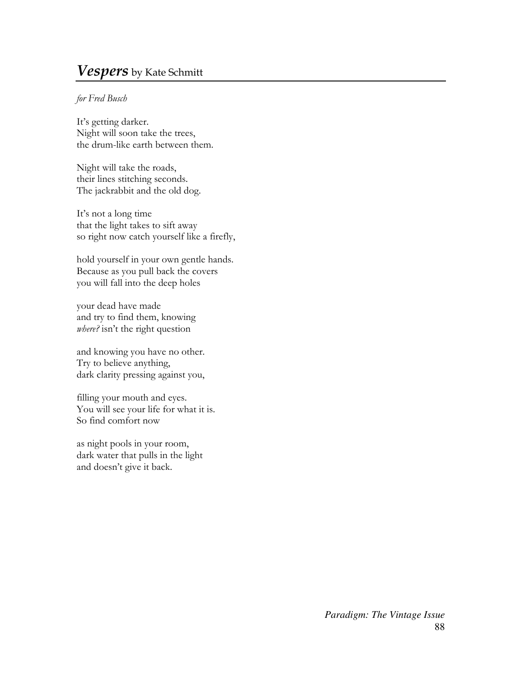### Vespers by Kate Schmitt

### for Fred Busch

It's getting darker. Night will soon take the trees, the drum-like earth between them.

Night will take the roads, their lines stitching seconds. The jackrabbit and the old dog.

It's not a long time that the light takes to sift away so right now catch yourself like a firefly,

hold yourself in your own gentle hands. Because as you pull back the covers you will fall into the deep holes

your dead have made and try to find them, knowing where? isn't the right question

and knowing you have no other. Try to believe anything, dark clarity pressing against you,

filling your mouth and eyes. You will see your life for what it is. So find comfort now

as night pools in your room, dark water that pulls in the light and doesn't give it back.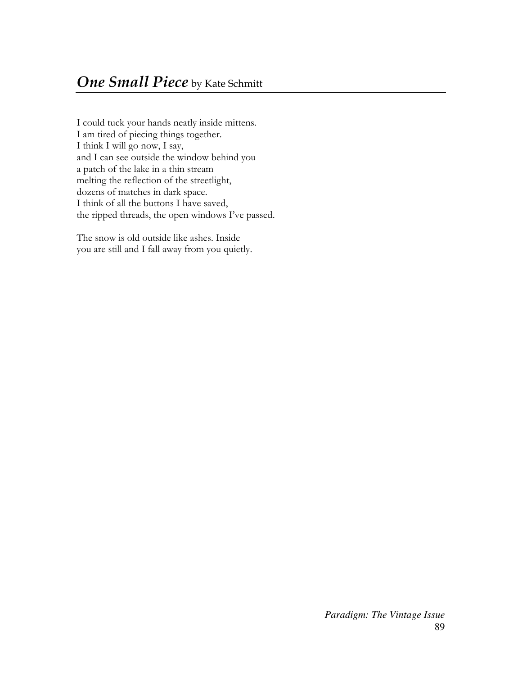I could tuck your hands neatly inside mittens. I am tired of piecing things together. I think I will go now, I say, and I can see outside the window behind you a patch of the lake in a thin stream melting the reflection of the streetlight, dozens of matches in dark space. I think of all the buttons I have saved, the ripped threads, the open windows I've passed.

The snow is old outside like ashes. Inside you are still and I fall away from you quietly.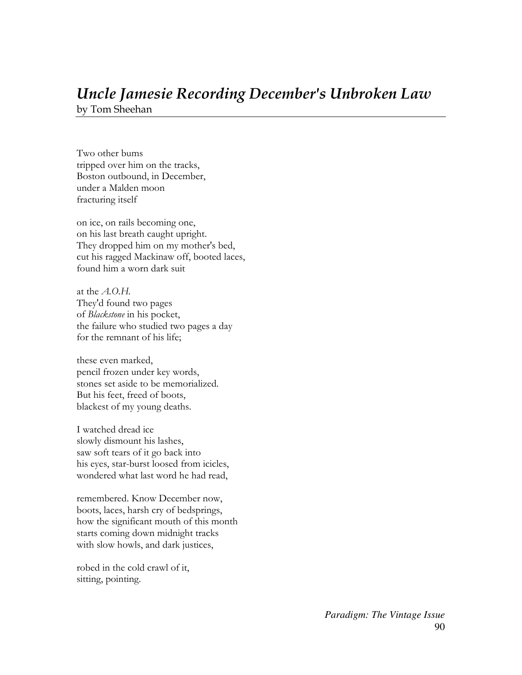### Uncle Jamesie Recording December's Unbroken Law by Tom Sheehan

Two other bums tripped over him on the tracks, Boston outbound, in December, under a Malden moon fracturing itself

on ice, on rails becoming one, on his last breath caught upright. They dropped him on my mother's bed, cut his ragged Mackinaw off, booted laces, found him a worn dark suit

at the A.O.H. They'd found two pages of Blackstone in his pocket, the failure who studied two pages a day for the remnant of his life;

these even marked, pencil frozen under key words, stones set aside to be memorialized. But his feet, freed of boots, blackest of my young deaths.

I watched dread ice slowly dismount his lashes, saw soft tears of it go back into his eyes, star-burst loosed from icicles, wondered what last word he had read,

remembered. Know December now, boots, laces, harsh cry of bedsprings, how the significant mouth of this month starts coming down midnight tracks with slow howls, and dark justices,

robed in the cold crawl of it, sitting, pointing.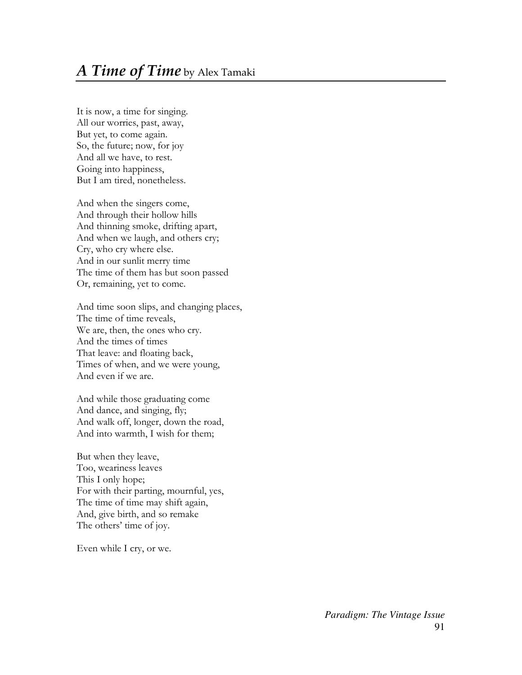## A Time of Time by Alex Tamaki

It is now, a time for singing. All our worries, past, away, But yet, to come again. So, the future; now, for joy And all we have, to rest. Going into happiness, But I am tired, nonetheless.

And when the singers come, And through their hollow hills And thinning smoke, drifting apart, And when we laugh, and others cry; Cry, who cry where else. And in our sunlit merry time The time of them has but soon passed Or, remaining, yet to come.

And time soon slips, and changing places, The time of time reveals, We are, then, the ones who cry. And the times of times That leave: and floating back, Times of when, and we were young, And even if we are.

And while those graduating come And dance, and singing, fly; And walk off, longer, down the road, And into warmth, I wish for them;

But when they leave, Too, weariness leaves This I only hope; For with their parting, mournful, yes, The time of time may shift again, And, give birth, and so remake The others' time of joy.

Even while I cry, or we.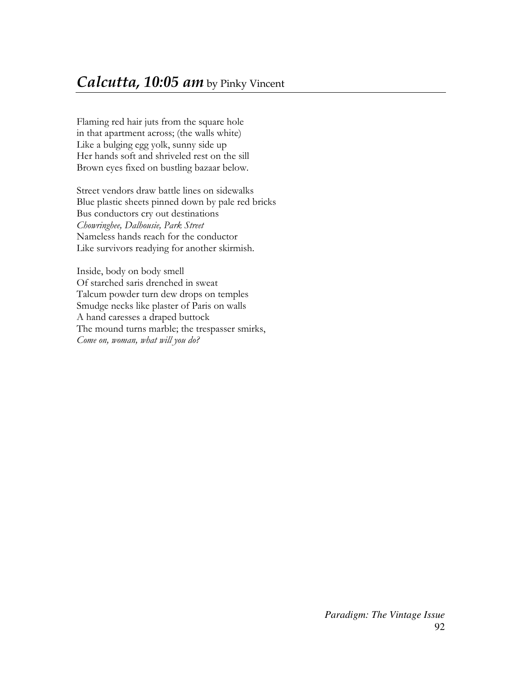Flaming red hair juts from the square hole in that apartment across; (the walls white) Like a bulging egg yolk, sunny side up Her hands soft and shriveled rest on the sill Brown eyes fixed on bustling bazaar below.

Street vendors draw battle lines on sidewalks Blue plastic sheets pinned down by pale red bricks Bus conductors cry out destinations Chowringhee, Dalhousie, Park Street Nameless hands reach for the conductor Like survivors readying for another skirmish.

Inside, body on body smell Of starched saris drenched in sweat Talcum powder turn dew drops on temples Smudge necks like plaster of Paris on walls A hand caresses a draped buttock The mound turns marble; the trespasser smirks, Come on, woman, what will you do?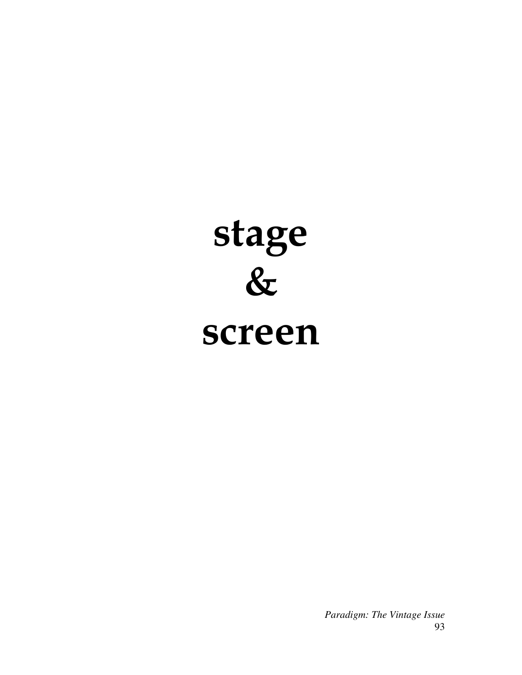# stage & screen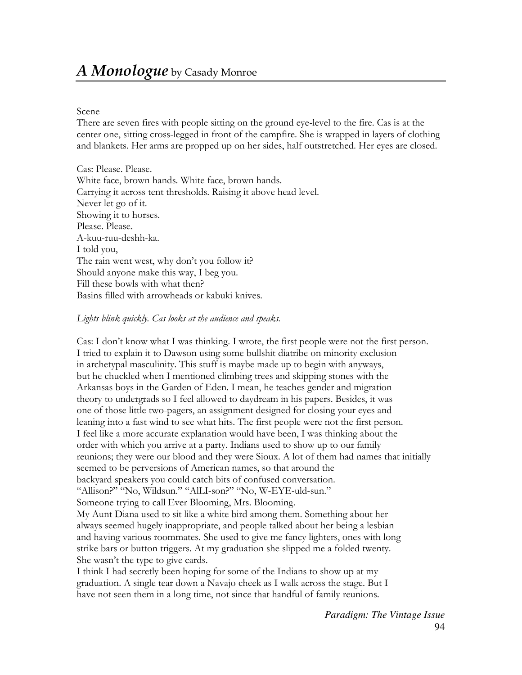## A Monologue by Casady Monroe

### Scene

There are seven fires with people sitting on the ground eye-level to the fire. Cas is at the center one, sitting cross-legged in front of the campfire. She is wrapped in layers of clothing and blankets. Her arms are propped up on her sides, half outstretched. Her eyes are closed.

Cas: Please. Please. White face, brown hands. White face, brown hands. Carrying it across tent thresholds. Raising it above head level. Never let go of it. Showing it to horses. Please. Please. A-kuu-ruu-deshh-ka. I told you, The rain went west, why don't you follow it? Should anyone make this way, I beg you. Fill these bowls with what then? Basins filled with arrowheads or kabuki knives.

### Lights blink quickly. Cas looks at the audience and speaks.

Cas: I don't know what I was thinking. I wrote, the first people were not the first person. I tried to explain it to Dawson using some bullshit diatribe on minority exclusion in archetypal masculinity. This stuff is maybe made up to begin with anyways, but he chuckled when I mentioned climbing trees and skipping stones with the Arkansas boys in the Garden of Eden. I mean, he teaches gender and migration theory to undergrads so I feel allowed to daydream in his papers. Besides, it was one of those little two-pagers, an assignment designed for closing your eyes and leaning into a fast wind to see what hits. The first people were not the first person. I feel like a more accurate explanation would have been, I was thinking about the order with which you arrive at a party. Indians used to show up to our family reunions; they were our blood and they were Sioux. A lot of them had names that initially seemed to be perversions of American names, so that around the backyard speakers you could catch bits of confused conversation. "Allison?" "No, Wildsun." "AlLI-son?" "No, W-EYE-uld-sun." Someone trying to call Ever Blooming, Mrs. Blooming.

My Aunt Diana used to sit like a white bird among them. Something about her always seemed hugely inappropriate, and people talked about her being a lesbian and having various roommates. She used to give me fancy lighters, ones with long strike bars or button triggers. At my graduation she slipped me a folded twenty. She wasn't the type to give cards.

I think I had secretly been hoping for some of the Indians to show up at my graduation. A single tear down a Navajo cheek as I walk across the stage. But I have not seen them in a long time, not since that handful of family reunions.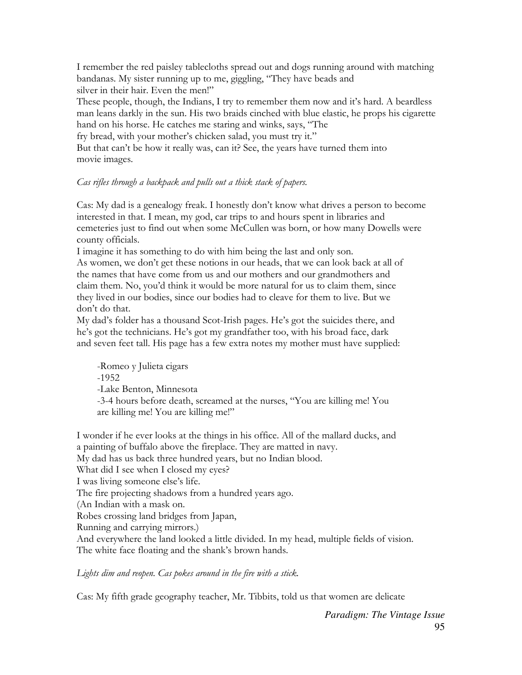I remember the red paisley tablecloths spread out and dogs running around with matching bandanas. My sister running up to me, giggling, "They have beads and silver in their hair. Even the men!"

These people, though, the Indians, I try to remember them now and it's hard. A beardless man leans darkly in the sun. His two braids cinched with blue elastic, he props his cigarette hand on his horse. He catches me staring and winks, says, "The

fry bread, with your mother's chicken salad, you must try it."

But that can't be how it really was, can it? See, the years have turned them into movie images.

### Cas rifles through a backpack and pulls out a thick stack of papers.

Cas: My dad is a genealogy freak. I honestly don't know what drives a person to become interested in that. I mean, my god, car trips to and hours spent in libraries and cemeteries just to find out when some McCullen was born, or how many Dowells were county officials.

I imagine it has something to do with him being the last and only son. As women, we don't get these notions in our heads, that we can look back at all of the names that have come from us and our mothers and our grandmothers and claim them. No, you'd think it would be more natural for us to claim them, since they lived in our bodies, since our bodies had to cleave for them to live. But we don't do that.

My dad's folder has a thousand Scot-Irish pages. He's got the suicides there, and he's got the technicians. He's got my grandfather too, with his broad face, dark and seven feet tall. His page has a few extra notes my mother must have supplied:

 -Romeo y Julieta cigars -1952 -Lake Benton, Minnesota -3-4 hours before death, screamed at the nurses, "You are killing me! You are killing me! You are killing me!"

I wonder if he ever looks at the things in his office. All of the mallard ducks, and a painting of buffalo above the fireplace. They are matted in navy. My dad has us back three hundred years, but no Indian blood. What did I see when I closed my eyes? I was living someone else's life. The fire projecting shadows from a hundred years ago. (An Indian with a mask on. Robes crossing land bridges from Japan, Running and carrying mirrors.) And everywhere the land looked a little divided. In my head, multiple fields of vision. The white face floating and the shank's brown hands.

Lights dim and reopen. Cas pokes around in the fire with a stick.

Cas: My fifth grade geography teacher, Mr. Tibbits, told us that women are delicate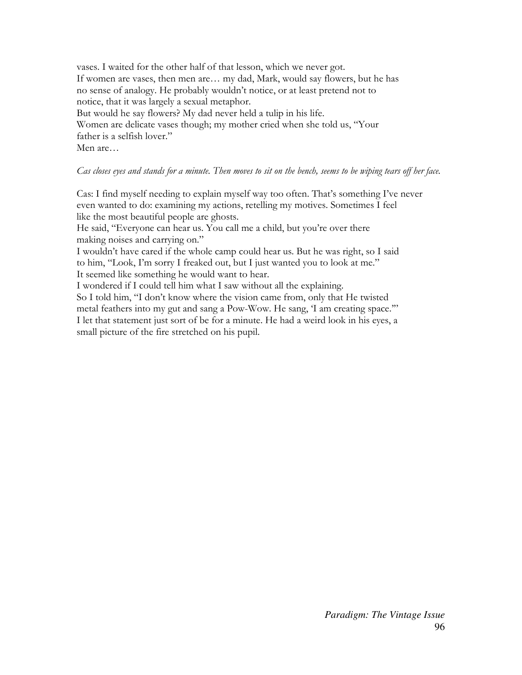vases. I waited for the other half of that lesson, which we never got. If women are vases, then men are… my dad, Mark, would say flowers, but he has no sense of analogy. He probably wouldn't notice, or at least pretend not to notice, that it was largely a sexual metaphor. But would he say flowers? My dad never held a tulip in his life. Women are delicate vases though; my mother cried when she told us, "Your father is a selfish lover."

Men are…

#### Cas closes eyes and stands for a minute. Then moves to sit on the bench, seems to be wiping tears off her face.

Cas: I find myself needing to explain myself way too often. That's something I've never even wanted to do: examining my actions, retelling my motives. Sometimes I feel like the most beautiful people are ghosts.

He said, "Everyone can hear us. You call me a child, but you're over there making noises and carrying on."

I wouldn't have cared if the whole camp could hear us. But he was right, so I said to him, "Look, I'm sorry I freaked out, but I just wanted you to look at me." It seemed like something he would want to hear.

I wondered if I could tell him what I saw without all the explaining.

So I told him, "I don't know where the vision came from, only that He twisted metal feathers into my gut and sang a Pow-Wow. He sang, 'I am creating space.'" I let that statement just sort of be for a minute. He had a weird look in his eyes, a small picture of the fire stretched on his pupil.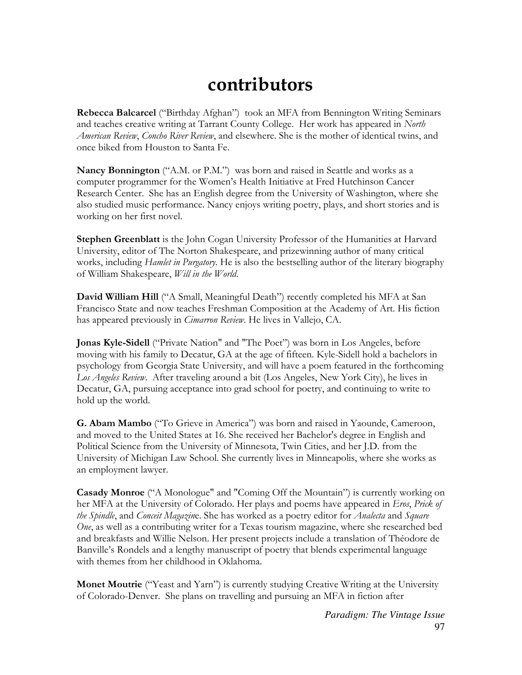## contributors

Rebecca Balcarcel ("Birthday Afghan") took an MFA from Bennington Writing Seminars and teaches creative writing at Tarrant County College. Her work has appeared in North American Review, Concho River Review, and elsewhere. She is the mother of identical twins, and once biked from Houston to Santa Fe.

Nancy Bonnington ("A.M. or P.M.") was born and raised in Seattle and works as a computer programmer for the Women's Health Initiative at Fred Hutchinson Cancer Research Center. She has an English degree from the University of Washington, where she also studied music performance. Nancy enjoys writing poetry, plays, and short stories and is working on her first novel.

**Stephen Greenblatt** is the John Cogan University Professor of the Humanities at Harvard University, editor of The Norton Shakespeare, and prizewinning author of many critical works, including Hamlet in Purgatory. He is also the bestselling author of the literary biography of William Shakespeare, Will in the World.

David William Hill ("A Small, Meaningful Death") recently completed his MFA at San Francisco State and now teaches Freshman Composition at the Academy of Art. His fiction has appeared previously in *Cimarron Review*. He lives in Vallejo, CA.

Jonas Kyle-Sidell ("Private Nation" and "The Poet") was born in Los Angeles, before moving with his family to Decatur, GA at the age of fifteen. Kyle-Sidell hold a bachelors in psychology from Georgia State University, and will have a poem featured in the forthcoming Los Angeles Review. After traveling around a bit (Los Angeles, New York City), he lives in Decatur, GA, pursuing acceptance into grad school for poetry, and continuing to write to hold up the world.

G. Abam Mambo ("To Grieve in America") was born and raised in Yaounde, Cameroon, and moved to the United States at 16. She received her Bachelor's degree in English and Political Science from the University of Minnesota, Twin Cities, and her J.D. from the University of Michigan Law School. She currently lives in Minneapolis, where she works as an employment lawyer.

Casady Monroe ("A Monologue" and "Coming Off the Mountain") is currently working on her MFA at the University of Colorado. Her plays and poems have appeared in *Eros*, *Prick of* the Spindle, and Conceit Magazine. She has worked as a poetry editor for Analecta and Square One, as well as a contributing writer for a Texas tourism magazine, where she researched bed and breakfasts and Willie Nelson. Her present projects include a translation of Théodore de Banville's Rondels and a lengthy manuscript of poetry that blends experimental language with themes from her childhood in Oklahoma.

Monet Moutrie ("Yeast and Yarn") is currently studying Creative Writing at the University of Colorado-Denver. She plans on travelling and pursuing an MFA in fiction after